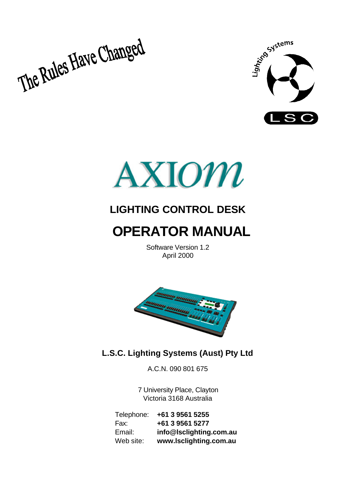





# **LIGHTING CONTROL DESK**

# **OPERATOR MANUAL**

Software Version 1.2 April 2000



# **L.S.C. Lighting Systems (Aust) Pty Ltd**

A.C.N. 090 801 675

7 University Place, Clayton Victoria 3168 Australia

Telephone: **+61 3 9561 5255** Fax: **+61 3 9561 5277** Email: **info@lsclighting.com.au** Web site: **www.lsclighting.com.au**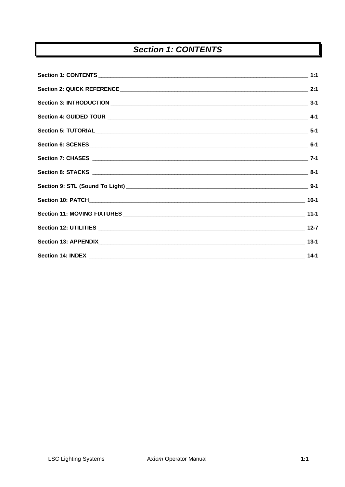# **Section 1: CONTENTS**

|                                                                                                                | 1:1    |
|----------------------------------------------------------------------------------------------------------------|--------|
|                                                                                                                |        |
|                                                                                                                |        |
|                                                                                                                |        |
| Section 5: TUTORIAL 5. 2010 12: 2010 12: 2010 12: 2010 12: 2010 12: 2010 12: 2010 12: 2010 12: 2010 12: 2010 1 |        |
| Section 6: SCENES 6-1                                                                                          |        |
|                                                                                                                |        |
|                                                                                                                |        |
|                                                                                                                |        |
|                                                                                                                |        |
|                                                                                                                |        |
|                                                                                                                |        |
|                                                                                                                |        |
|                                                                                                                | $14-1$ |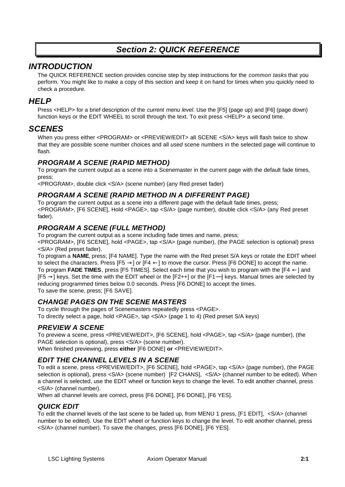# *Section 2: QUICK REFERENCE*

# *INTRODUCTION*

The QUICK REFERENCE section provides concise step by step instructions for the *common tasks* that you perform. You might like to make a copy of this section and keep it on hand for times when you quickly need to check a procedure.

# *HELP*

Press <HELP> for a brief description of the *current menu level*. Use the [F5] (page up) and [F6] (page down) function keys or the EDIT WHEEL to scroll through the text. To exit press <HELP> a second time.

# *SCENES*

When you press either <PROGRAM> or <PREVIEW/EDIT> all SCENE <S/A> keys will flash twice to show that they are possible scene number choices and all *used* scene numbers in the selected page will continue to flash.

### *PROGRAM A SCENE (RAPID METHOD)*

To program the current output as a scene into a Scenemaster in the current page with the default fade times, press;

<PROGRAM>, double click <S/A> (scene number) (any Red preset fader)

### *PROGRAM A SCENE (RAPID METHOD IN A DIFFERENT PAGE)*

To program the current output as a scene into a different page with the default fade times, press; <PROGRAM>, [F6 SCENE], Hold <PAGE>, tap <S/A> (page number), double click <S/A> (any Red preset fader).

### *PROGRAM A SCENE (FULL METHOD)*

To program the current output as a scene including fade times and name, press;

<PROGRAM>, [F6 SCENE], hold <PAGE>, tap <S/A> (page number), (the PAGE selection is optional) press <S/A> (Red preset fader).

To program a **NAME**, press; [F4 NAME]. Type the name with the Red preset S/A keys or rotate the EDIT wheel to select the characters. Press  $[F5 \rightarrow]$  or  $[F4 \leftarrow]$  to move the cursor. Press  $[F6$  DONE] to accept the name. To program **FADE TIMES**, press [F5 TIMES]. Select each time that you wish to program with the [F4 ←] and [F5 →] keys. Set the time with the EDIT wheel or the [F2++] or the [F1−−] keys. Manual times are selected by reducing programmed times below 0.0 seconds. Press [F6 DONE] to accept the times. To save the scene, press; [F6 SAVE].

### *CHANGE PAGES ON THE SCENE MASTERS*

To cycle through the pages of Scenemasters repeatedly press <PAGE>. To directly select a page, hold <PAGE>, tap <S/A> (page 1 to 4) (Red preset S/A keys)

### *PREVIEW A SCENE*

To preview a scene, press <PREVIEW/EDIT>, [F6 SCENE], hold <PAGE>, tap <S/A> (page number), (the PAGE selection is optional), press <S/A> (scene number). When finished previewing, press **either** [F6 DONE] **or** <PREVIEW/EDIT>.

### *EDIT THE CHANNEL LEVELS IN A SCENE*

To edit a scene, press <PREVIEW/EDIT>, [F6 SCENE], hold <PAGE>, tap <S/A> (page number), (the PAGE selection is optional), press <S/A> (scene number) [F2 CHANS], <S/A> (channel number to be edited). When a channel is selected, use the EDIT wheel or function keys to change the level. To edit another channel, press <S/A> (channel number).

When all channel levels are correct, press [F6 DONE], [F6 DONE], [F6 YES].

### *QUICK EDIT*

To edit the channel levels of the last scene to be faded up, from MENU 1 press, [F1 EDIT], <S/A> (channel number to be edited). Use the EDIT wheel or function keys to change the level. To edit another channel, press <S/A> (channel number). To save the changes, press [F6 DONE], [F6 YES].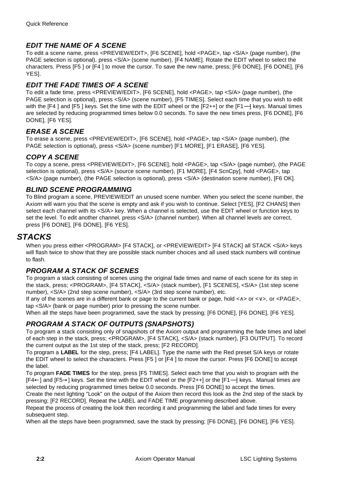## *EDIT THE NAME OF A SCENE*

To edit a scene name, press <PREVIEW/EDIT>, [F6 SCENE], hold <PAGE>, tap <S/A> (page number), (the PAGE selection is optional), press <S/A> (scene number), [F4 NAME]. Rotate the EDIT wheel to select the characters. Press [F5 ] or [F4 ] to move the cursor. To save the new name, press; [F6 DONE], [F6 DONE], [F6 YES].

## *EDIT THE FADE TIMES OF A SCENE*

To edit a fade time, press <PREVIEW/EDIT>, [F6 SCENE], hold <PAGE>, tap <S/A> (page number), (the PAGE selection is optional), press <S/A> (scene number), [F5 TIMES]. Select each time that you wish to edit with the [F4 ] and [F5 ] keys. Set the time with the EDIT wheel or the [F2++] or the [F1––] keys. Manual times are selected by reducing programmed times below 0.0 seconds. To save the new times press, [F6 DONE], [F6 DONE], [F6 YES].

### *ERASE A SCENE*

To erase a scene, press <PREVIEW/EDIT>, [F6 SCENE], hold <PAGE>, tap <S/A> (page number), (the PAGE selection is optional), press <S/A> (scene number) [F1 MORE], [F1 ERASE], [F6 YES].

### *COPY A SCENE*

To copy a scene, press <PREVIEW/EDIT>, [F6 SCENE], hold <PAGE>, tap <S/A> (page number), (the PAGE selection is optional), press <S/A> (source scene number), [F1 MORE], [F4 ScnCpy], hold <PAGE>, tap <S/A> (page number), (the PAGE selection is optional), press <S/A> (destination scene number), [F6 OK].

### *BLIND SCENE PROGRAMMING*

To Blind program a scene, PREVIEW/EDIT an unused scene number. When you select the scene number, the Axi*om* will warn you that the scene is empty and ask if you wish to continue. Select [YES], [F2 CHANS] then select each channel with its <S/A> key. When a channel is selected, use the EDIT wheel or function keys to set the level. To edit another channel, press <S/A> (channel number). When all channel levels are correct, press [F6 DONE], [F6 DONE], [F6 YES].

# *STACKS*

When you press either <PROGRAM> [F4 STACK], or <PREVIEW/EDIT> [F4 STACK] all STACK <S/A> keys will flash twice to show that they are possible stack number choices and all used stack numbers will continue to flash.

### *PROGRAM A STACK OF SCENES*

To program a stack consisting of scenes using the original fade times and name of each scene for its step in the stack, press; <PROGRAM>, [F4 STACK], <S/A> (stack number), [F1 SCENES], <S/A> (1st step scene number), <S/A> (2nd step scene number), <S/A> (3rd step scene number), etc.

If any of the scenes are in a different bank or page to the current bank or page, hold <∧> or <∨>, or <PAGE>, tap <S/A> (bank or page number) prior to pressing the scene number.

When all the steps have been programmed, save the stack by pressing; [F6 DONE], [F6 DONE], [F6 YES].

### *PROGRAM A STACK OF OUTPUTS (SNAPSHOTS)*

To program a stack consisting only of snapshots of the Axi*om* output and programming the fade times and label of each step in the stack, press; <PROGRAM>, [F4 STACK], <S/A> (stack number), [F3 OUTPUT]. To record the current output as the 1st step of the stack, press; [F2 RECORD].

To program a **LABEL** for the step, press; [F4 LABEL]. Type the name with the Red preset S/A keys or rotate the EDIT wheel to select the characters. Press [F5 ] or [F4 ] to move the cursor. Press [F6 DONE] to accept the label.

To program **FADE TIMES** for the step, press [F5 TIMES]. Select each time that you wish to program with the [F4←] and [F5→] keys. Set the time with the EDIT wheel or the [F2++] or the [F1−−] keys. Manual times are selected by reducing programmed times below 0.0 seconds. Press [F6 DONE] to accept the times.

Create the next lighting "Look" on the output of the Axi*om* then record this look as the 2nd step of the stack by pressing; [F2 RECORD]. Repeat the LABEL and FADE TIME programming described above.

Repeat the process of creating the look then recording it and programming the label and fade times for every subsequent step.

When all the steps have been programmed, save the stack by pressing; [F6 DONE], [F6 DONE], [F6 YES].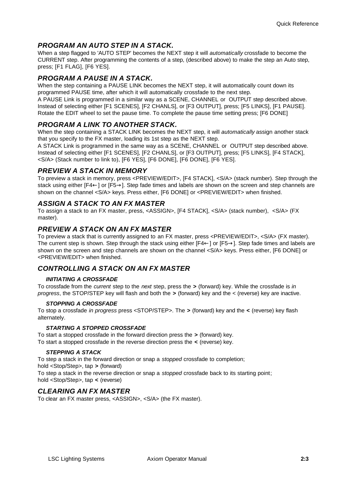## *PROGRAM AN AUTO STEP IN A STACK.*

When a step flagged to 'AUTO STEP' becomes the NEXT step it will *automatically* crossfade to become the CURRENT step. After programming the contents of a step, (described above) to make the step an Auto step, press; [F1 FLAG], [F6 YES].

### *PROGRAM A PAUSE IN A STACK.*

When the step containing a PAUSE LINK becomes the NEXT step, it will automatically count down its programmed PAUSE time, after which it will automatically crossfade to the next step.

A PAUSE Link is programmed in a similar way as a SCENE, CHANNEL or OUTPUT step described above. Instead of selecting either [F1 SCENES], [F2 CHANLS], or [F3 OUTPUT], press; [F5 LINKS], [F1 PAUSE]. Rotate the EDIT wheel to set the pause time. To complete the pause time setting press; [F6 DONE]

### *PROGRAM A LINK TO ANOTHER STACK.*

When the step containing a STACK LINK becomes the NEXT step, it will *automatically* assign another stack that you specify to the FX master, loading its 1st step as the NEXT step.

A STACK Link is programmed in the same way as a SCENE, CHANNEL or OUTPUT step described above. Instead of selecting either [F1 SCENES], [F2 CHANLS], or [F3 OUTPUT], press; [F5 LINKS], [F4 STACK], <S/A> (Stack number to link to), [F6 YES], [F6 DONE], [F6 DONE], [F6 YES].

### *PREVIEW A STACK IN MEMORY*

To preview a stack in memory, press <PREVIEW/EDIT>, [F4 STACK], <S/A> (stack number). Step through the stack using either [F4←] or [F5→]. Step fade times and labels are shown on the screen and step channels are shown on the channel <S/A> keys. Press either, [F6 DONE] or <PREVIEW/EDIT> when finished.

### *ASSIGN A STACK TO AN FX MASTER*

To assign a stack to an FX master, press, <ASSIGN>, [F4 STACK], <S/A> (stack number), <S/A> (FX master).

### *PREVIEW A STACK ON AN FX MASTER*

To preview a stack that is currently assigned to an FX master, press <PREVIEW/EDIT>, <S/A> (FX master). The current step is shown. Step through the stack using either [F4←] or [F5→]. Step fade times and labels are shown on the screen and step channels are shown on the channel <S/A> keys. Press either, [F6 DONE] or <PREVIEW/EDIT> when finished.

### *CONTROLLING A STACK ON AN FX MASTER*

### *INITIATING A CROSSFADE*

To crossfade from the *current* step to the *next* step, press the **>** (forward) key. While the crossfade is *in progress*, the STOP/STEP key will flash and both the **>** (forward) key and the < (reverse) key are inactive.

### *STOPPING A CROSSFADE*

To stop a crossfade *in progress* press <STOP/STEP>. The **>** (forward) key and the **<** (reverse) key flash alternately.

### *STARTING A STOPPED CROSSFADE*

To start a stopped crossfade in the forward direction press the **>** (forward) key. To start a stopped crossfade in the reverse direction press the **<** (reverse) key.

### *STEPPING A STACK*

To step a stack in the forward direction or snap a *stopped* crossfade to completion; hold <Stop/Step>, tap **>** (forward) To step a stack in the reverse direction or snap a *stopped* crossfade back to its starting point; hold <Stop/Step>, tap **<** (reverse)

### *CLEARING AN FX MASTER*

To clear an FX master press, <ASSIGN>, <S/A> (the FX master).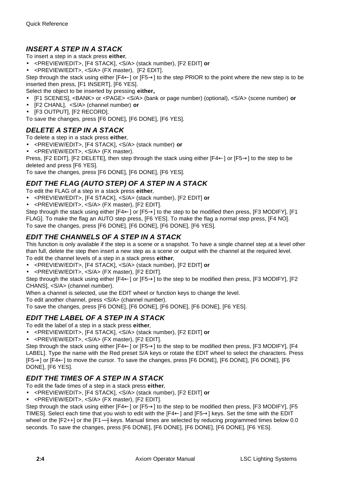# *INSERT A STEP IN A STACK*

To insert a step in a stack press **either**,

- <PREVIEW/EDIT>, [F4 STACK], <S/A> (stack number), [F2 EDIT] **or**
- <PREVIEW/EDIT>, <S/A> (FX master), [F2 EDIT].

Step through the stack using either [F4←] or [F5→] to the step PRIOR to the point where the new step is to be inserted then press, [F1 INSERT], [F6 YES].

Select the object to be inserted by pressing **either,**

- [F1 SCENES], <BANK> or <PAGE> <S/A> (bank or page number) (optional), <S/A> (scene number) **or**
- [F2 CHANL], <S/A> (channel number) **or**
- [F3 OUTPUT], [F2 RECORD].

To save the changes, press [F6 DONE], [F6 DONE], [F6 YES].

### *DELETE A STEP IN A STACK*

To delete a step in a stack press **either**,

- <PREVIEW/EDIT>, [F4 STACK], <S/A> (stack number) **or**
- <PREVIEW/EDIT>, <S/A> (FX master).

Press, [F2 EDIT], [F2 DELETE], then step through the stack using either [F4←] or [F5→] to the step to be deleted and press [F6 YES].

To save the changes, press [F6 DONE], [F6 DONE], [F6 YES].

## *EDIT THE FLAG (AUTO STEP) OF A STEP IN A STACK*

- To edit the FLAG of a step in a stack press **either**,
- <PREVIEW/EDIT>, [F4 STACK], <S/A> (stack number), [F2 EDIT] **or**
- <PREVIEW/EDIT>, <S/A> (FX master), [F2 EDIT].

Step through the stack using either [F4←] or [F5→] to the step to be modified then press, [F3 MODIFY], [F1 FLAG]. To make the flag an AUTO step press, [F6 YES]. To make the flag a normal step press, [F4 NO]. To save the changes, press [F6 DONE], [F6 DONE], [F6 DONE], [F6 YES].

## *EDIT THE CHANNELS OF A STEP IN A STACK*

This function is only available if the step is a scene or a snapshot. To have a single channel step at a level other than full, delete the step then insert a new step as a scene or output with the channel at the required level. To edit the channel levels of a step in a stack press **either**,

- <PREVIEW/EDIT>, [F4 STACK], <S/A> (stack number), [F2 EDIT] **or**
- <PREVIEW/EDIT>, <S/A> (FX master), [F2 EDIT].

Step through the stack using either [F4←] or [F5→] to the step to be modified then press, [F3 MODIFY], [F2 CHANS], <S/A> (channel number).

When a channel is selected, use the EDIT wheel or function keys to change the level.

To edit another channel, press <S/A> (channel number).

To save the changes, press [F6 DONE], [F6 DONE], [F6 DONE], [F6 DONE], [F6 YES].

# *EDIT THE LABEL OF A STEP IN A STACK*

To edit the label of a step in a stack press **either**,

• <PREVIEW/EDIT>, [F4 STACK], <S/A> (stack number), [F2 EDIT] **or**

• <PREVIEW/EDIT>, <S/A> (FX master), [F2 EDIT].

Step through the stack using either [F4←] or [F5→] to the step to be modified then press, [F3 MODIFY], [F4 LABEL]. Type the name with the Red preset S/A keys or rotate the EDIT wheel to select the characters. Press [F5→] or [F4←] to move the cursor. To save the changes, press [F6 DONE], [F6 DONE], [F6 DONE], [F6 DONE], [F6 YES].

# *EDIT THE TIMES OF A STEP IN A STACK*

To edit the fade times of a step in a stack press **either**,

• <PREVIEW/EDIT>, [F4 STACK], <S/A> (stack number), [F2 EDIT] **or**

• <PREVIEW/EDIT>, <S/A> (FX master), [F2 EDIT].

Step through the stack using either [F4←] or [F5→] to the step to be modified then press, [F3 MODIFY], [F5 TIMES]. Select each time that you wish to edit with the [F4←] and [F5→] keys. Set the time with the EDIT wheel or the [F2++] or the [F1––] keys. Manual times are selected by reducing programmed times below 0.0 seconds. To save the changes, press [F6 DONE], [F6 DONE], [F6 DONE], [F6 DONE], [F6 YES].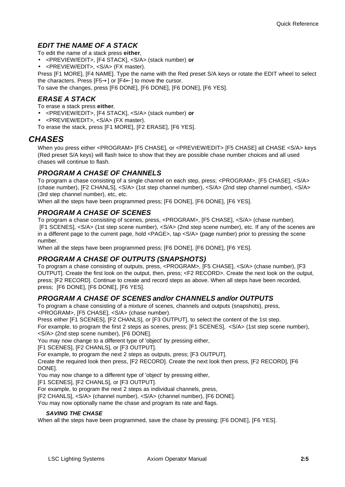## *EDIT THE NAME OF A STACK*

To edit the name of a stack press **either**,

- <PREVIEW/EDIT>, [F4 STACK], <S/A> (stack number) **or**
- <PREVIEW/EDIT>, <S/A> (FX master).

Press [F1 MORE], [F4 NAME]. Type the name with the Red preset S/A keys or rotate the EDIT wheel to select the characters. Press [F5→] or [F4←] to move the cursor.

To save the changes, press [F6 DONE], [F6 DONE], [F6 DONE], [F6 YES].

### *ERASE A STACK*

To erase a stack press **either**,

- <PREVIEW/EDIT>, [F4 STACK], <S/A> (stack number) **or**
- <PREVIEW/EDIT>, <S/A> (FX master).

To erase the stack, press [F1 MORE], [F2 ERASE], [F6 YES].

# *CHASES*

When you press either <PROGRAM> [F5 CHASE], or <PREVIEW/EDIT> [F5 CHASE] all CHASE <S/A> keys (Red preset S/A keys) will flash twice to show that they are possible chase number choices and all used chases will continue to flash.

### *PROGRAM A CHASE OF CHANNELS*

To program a chase consisting of a single channel on each step, press; <PROGRAM>, [F5 CHASE], <S/A> (chase number), [F2 CHANLS], <S/A> (1st step channel number), <S/A> (2nd step channel number), <S/A> (3rd step channel number), etc, etc.

When all the steps have been programmed press; [F6 DONE], [F6 DONE], [F6 YES].

### *PROGRAM A CHASE OF SCENES*

To program a chase consisting of scenes, press, <PROGRAM>, [F5 CHASE], <S/A> (chase number). [F1 SCENES], <S/A> (1st step scene number), <S/A> (2nd step scene number), etc. If any of the scenes are in a different page to the current page, hold <PAGE>, tap <S/A> (page number) prior to pressing the scene number.

When all the steps have been programmed press; [F6 DONE], [F6 DONE], [F6 YES].

### *PROGRAM A CHASE OF OUTPUTS (SNAPSHOTS)*

To program a chase consisting of outputs, press, <PROGRAM>, [F5 CHASE], <S/A> (chase number), [F3 OUTPUT]. Create the first look on the output, then, press; <F2 RECORD>. Create the next look on the output, press; [F2 RECORD]. Continue to create and record steps as above. When all steps have been recorded, press; [F6 DONE], [F6 DONE], [F6 YES].

### *PROGRAM A CHASE OF SCENES and/or CHANNELS and/or OUTPUTS*

To program a chase consisting of a mixture of scenes, channels and outputs (snapshots), press, <PROGRAM>, [F5 CHASE], <S/A> (chase number).

Press either [F1 SCENES], [F2 CHANLS], or [F3 OUTPUT], to select the content of the 1st step. For example, to program the first 2 steps as scenes, press; [F1 SCENES], <S/A> (1st step scene number), <S/A> (2nd step scene number), [F6 DONE].

You may now change to a different type of 'object' by pressing either,

[F1 SCENES], [F2 CHANLS], or [F3 OUTPUT].

For example, to program the next 2 steps as outputs, press; [F3 OUTPUT].

Create the required look then press, [F2 RECORD]. Create the next look then press, [F2 RECORD], [F6 DONE].

You may now change to a different type of 'object' by pressing either,

[F1 SCENES], [F2 CHANLS], or [F3 OUTPUT].

For example, to program the next 2 steps as individual channels, press,

[F2 CHANLS], <S/A> (channel number), <S/A> (channel number), [F6 DONE].

You may now optionally name the chase and program its rate and flags.

#### *SAVING THE CHASE*

When all the steps have been programmed, save the chase by pressing; [F6 DONE], [F6 YES].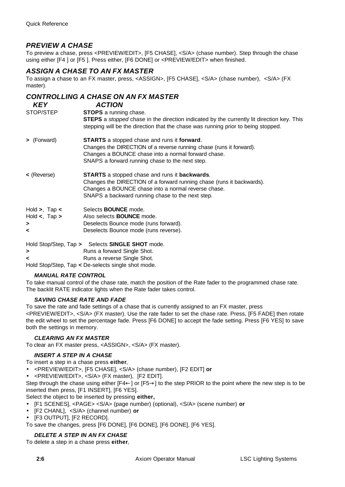# *PREVIEW A CHASE*

To preview a chase, press <PREVIEW/EDIT>, [F5 CHASE], <S/A> (chase number). Step through the chase using either [F4 ] or [F5 ]. Press either, [F6 DONE] or <PREVIEW/EDIT> when finished.

### *ASSIGN A CHASE TO AN FX MASTER*

To assign a chase to an FX master, press, <ASSIGN>, [F5 CHASE], <S/A> (chase number), <S/A> (FX master).

### *CONTROLLING A CHASE ON AN FX MASTER*

| <b>KEY</b>           | <b>ACTION</b>                                                                                           |
|----------------------|---------------------------------------------------------------------------------------------------------|
| STOP/STEP            | <b>STOPS</b> a running chase.                                                                           |
|                      | <b>STEPS</b> a <i>stopped</i> chase in the direction indicated by the currently lit direction key. This |
|                      | stepping will be the direction that the chase was running prior to being stopped.                       |
| > (Forward)          | <b>STARTS</b> a stopped chase and runs it forward.                                                      |
|                      | Changes the DIRECTION of a reverse running chase (runs it forward).                                     |
|                      | Changes a BOUNCE chase into a normal forward chase.                                                     |
|                      | SNAPS a forward running chase to the next step.                                                         |
| $\leq$ (Reverse)     | <b>STARTS</b> a stopped chase and runs it <b>backwards</b> .                                            |
|                      | Changes the DIRECTION of a forward running chase (runs it backwards).                                   |
|                      | Changes a BOUNCE chase into a normal reverse chase.                                                     |
|                      | SNAPS a backward running chase to the next step.                                                        |
| Hold $>$ , Tap $\lt$ | Selects <b>BOUNCE</b> mode.                                                                             |
| Hold $\lt$ , Tap $>$ | Also selects <b>BOUNCE</b> mode.                                                                        |
| $\geq$               | Deselects Bounce mode (runs forward).                                                                   |
| ≺                    | Deselects Bounce mode (runs reverse).                                                                   |
|                      | Hold Stop/Step, Tap > Selects SINGLE SHOT mode.                                                         |
| >                    | Runs a forward Single Shot.                                                                             |

**<** Runs a reverse Single Shot.

Hold Stop/Step, Tap **<** De-selects single shot mode.

### *MANUAL RATE CONTROL*

To take manual control of the chase rate, match the position of the Rate fader to the programmed chase rate. The backlit RATE indicator lights when the Rate fader takes control.

### *SAVING CHASE RATE AND FADE*

To save the rate and fade settings of a chase that is currently assigned to an FX master, press <PREVIEW/EDIT>, <S/A> (FX master). Use the rate fader to set the chase rate. Press, [F5 FADE] then rotate the edit wheel to set the percentage fade. Press [F6 DONE] to accept the fade setting. Press [F6 YES] to save both the settings in memory.

### *CLEARING AN FX MASTER*

To clear an FX master press, <ASSIGN>, <S/A> (FX master).

### *INSERT A STEP IN A CHASE*

- To insert a step in a chase press **either**,
- <PREVIEW/EDIT>, [F5 CHASE], <S/A> (chase number), [F2 EDIT] **or**

• <PREVIEW/EDIT>, <S/A> (FX master), [F2 EDIT].

Step through the chase using either [F4←] or [F5→] to the step PRIOR to the point where the new step is to be inserted then press, [F1 INSERT], [F6 YES].

Select the object to be inserted by pressing **either,**

- [F1 SCENES], <PAGE> <S/A> (page number) (optional), <S/A> (scene number) **or**
- [F2 CHANL], <S/A> (channel number) **or**
- [F3 OUTPUT], [F2 RECORD].
- To save the changes, press [F6 DONE], [F6 DONE], [F6 DONE], [F6 YES].

### *DELETE A STEP IN AN FX CHASE*

To delete a step in a chase press **either**,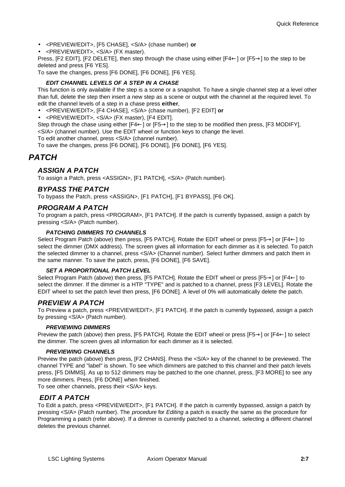- <PREVIEW/EDIT>, [F5 CHASE], <S/A> (chase number) **or**
- <PREVIEW/EDIT>, <S/A> (FX master).

Press, [F2 EDIT], [F2 DELETE], then step through the chase using either [F4←] or [F5→] to the step to be deleted and press [F6 YES].

To save the changes, press [F6 DONE], [F6 DONE], [F6 YES].

### *EDIT CHANNEL LEVELS OF A STEP IN A CHASE*

This function is only available if the step is a scene or a snapshot. To have a single channel step at a level other than full, delete the step then insert a new step as a scene or output with the channel at the required level. To edit the channel levels of a step in a chase press **either**,

- <PREVIEW/EDIT>, [F4 CHASE], <S/A> (chase number), [F2 EDIT] **or**
- <PREVIEW/EDIT>, <S/A> (FX master), [F4 EDIT].

Step through the chase using either  $[FA \leftarrow]$  or  $[FB \rightarrow]$  to the step to be modified then press, [F3 MODIFY], <S/A> (channel number). Use the EDIT wheel or function keys to change the level.

To edit another channel, press <S/A> (channel number).

To save the changes, press [F6 DONE], [F6 DONE], [F6 DONE], [F6 YES].

# *PATCH*

### *ASSIGN A PATCH*

To assign a Patch, press <ASSIGN>, [F1 PATCH], <S/A> (Patch number).

### *BYPASS THE PATCH*

To bypass the Patch, press <ASSIGN>, [F1 PATCH], [F1 BYPASS], [F6 OK].

### *PROGRAM A PATCH*

To program a patch, press <PROGRAM>, [F1 PATCH]. If the patch is currently bypassed, assign a patch by pressing <S/A> (Patch number).

#### *PATCHING DIMMERS TO CHANNELS*

Select Program Patch (above) then press, [F5 PATCH]. Rotate the EDIT wheel or press [F5→] or [F4←] to select the dimmer (DMX address). The screen gives all information for each dimmer as it is selected. To patch the selected dimmer to a channel, press <S/A> (Channel number). Select further dimmers and patch them in the same manner. To save the patch, press, [F6 DONE], [F6 SAVE].

### *SET A PROPORTIONAL PATCH LEVEL*

Select Program Patch (above) then press, [F5 PATCH]. Rotate the EDIT wheel or press [F5→] or [F4←] to select the dimmer. If the dimmer is a HTP "TYPE" and is patched to a channel, press [F3 LEVEL]. Rotate the EDIT wheel to set the patch level then press, [F6 DONE]. A level of 0% will automatically delete the patch.

### *PREVIEW A PATCH*

To Preview a patch, press <PREVIEW/EDIT>, [F1 PATCH]. If the patch is currently bypassed, assign a patch by pressing <S/A> (Patch number).

### *PREVIEWING DIMMERS*

Preview the patch (above) then press, [F5 PATCH]. Rotate the EDIT wheel or press [F5→] or [F4←] to select the dimmer. The screen gives all information for each dimmer as it is selected.

#### *PREVIEWING CHANNELS*

Preview the patch (above) then press, [F2 CHANS]. Press the <S/A> key of the channel to be previewed. The channel TYPE and "label" is shown. To see which dimmers are patched to this channel and their patch levels press, [F5 DIMMS]. As up to 512 dimmers may be patched to the one channel, press, [F3 MORE] to see any more dimmers. Press, [F6 DONE] when finished.

To see other channels, press their <S/A> keys.

### *EDIT A PATCH*

To Edit a patch, press <PREVIEW/EDIT>, [F1 PATCH]. If the patch is currently bypassed, assign a patch by pressing <S/A> (Patch number). The *procedure* for *Editing* a patch is exactly the same as the procedure for Programming a patch (refer above). If a dimmer is currently patched to a channel, selecting a different channel deletes the previous channel.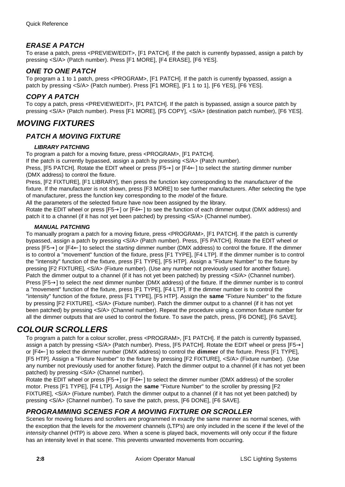### *ERASE A PATCH*

To erase a patch, press <PREVIEW/EDIT>, [F1 PATCH]. If the patch is currently bypassed, assign a patch by pressing <S/A> (Patch number). Press [F1 MORE], [F4 ERASE], [F6 YES].

### *ONE TO ONE PATCH*

To program a 1 to 1 patch, press <PROGRAM>, [F1 PATCH]. If the patch is currently bypassed, assign a patch by pressing <S/A> (Patch number). Press [F1 MORE], [F1 1 to 1], [F6 YES], [F6 YES].

### *COPY A PATCH*

To copy a patch, press <PREVIEW/EDIT>, [F1 PATCH]. If the patch is bypassed, assign a source patch by pressing <S/A> (Patch number). Press [F1 MORE], [F5 COPY], <S/A> (destination patch number), [F6 YES].

# *MOVING FIXTURES*

### *PATCH A MOVING FIXTURE*

### *LIBRARY PATCHING*

To program a patch for a moving fixture, press <PROGRAM>, [F1 PATCH].

If the patch is currently bypassed, assign a patch by pressing <S/A> (Patch number).

Press, [F5 PATCH]. Rotate the EDIT wheel or press [F5→] or [F4←] to select the *starting* dimmer number (DMX address) to control the fixture.

Press, [F2 FIXTURE], [F1 LIBRARY], then press the function key corresponding to the *manufacturer* of the fixture. If the manufacturer is not shown, press [F3 MORE] to see further manufacturers. After selecting the type of manufacturer, press the function key corresponding to the *model* of the fixture.

All the parameters of the selected fixture have now been assigned by the library.

Rotate the EDIT wheel or press [F5→] or [F4←] to see the function of each dimmer output (DMX address) and patch it to a channel (if it has not yet been patched) by pressing <S/A> (Channel number).

### *MANUAL PATCHING*

To manually program a patch for a moving fixture, press <PROGRAM>, [F1 PATCH]. If the patch is currently bypassed, assign a patch by pressing <S/A> (Patch number). Press, [F5 PATCH]. Rotate the EDIT wheel or press [F5→] or [F4←] to select the *starting* dimmer number (DMX address) to control the fixture. If the dimmer is to control a "movement" function of the fixture, press [F1 TYPE], [F4 LTP]. If the dimmer number is to control the "intensity" function of the fixture, press [F1 TYPE], [F5 HTP]. Assign a "Fixture Number" to the fixture by pressing [F2 FIXTURE], <S/A> (Fixture number). (Use any number not previously used for another fixture). Patch the dimmer output to a channel (if it has not yet been patched) by pressing <S/A> (Channel number). Press [F5→] to select the *next* dimmer number (DMX address) of the fixture. If the dimmer number is to control a "movement" function of the fixture, press [F1 TYPE], [F4 LTP]. If the dimmer number is to control the "intensity" function of the fixture, press [F1 TYPE], [F5 HTP]. Assign the **same** "Fixture Number" to the fixture by pressing [F2 FIXTURE], <S/A> (Fixture number). Patch the dimmer output to a channel (if it has not yet been patched) by pressing <S/A> (Channel number). Repeat the procedure using a common fixture number for all the dimmer outputs that are used to control the fixture. To save the patch, press, [F6 DONE], [F6 SAVE].

# *COLOUR SCROLLERS*

To program a patch for a colour scroller, press <PROGRAM>, [F1 PATCH]. If the patch is currently bypassed, assign a patch by pressing <S/A> (Patch number). Press, [F5 PATCH]. Rotate the EDIT wheel or press [F5→] or [F4←] to select the dimmer number (DMX address) to control the **dimmer** of the fixture. Press [F1 TYPE], [F5 HTP]. Assign a "Fixture Number" to the fixture by pressing [F2 FIXTURE], <S/A> (Fixture number). (Use any number not previously used for another fixture). Patch the dimmer output to a channel (if it has not yet been patched) by pressing <S/A> (Channel number).

Rotate the EDIT wheel or press [F5→] or [F4←] to select the dimmer number (DMX address) of the scroller motor. Press [F1 TYPE], [F4 LTP]. Assign the **same** "Fixture Number" to the scroller by pressing [F2 FIXTURE], <S/A> (Fixture number). Patch the dimmer output to a channel (if it has not yet been patched) by pressing <S/A> (Channel number). To save the patch, press, [F6 DONE], [F6 SAVE].

### *PROGRAMMING SCENES FOR A MOVING FIXTURE OR SCROLLER*

Scenes for moving fixtures and scrollers are programmed in exactly the same manner as normal scenes, with the exception that the levels for the *movement* channels (LTP's) are only included in the scene if the level of the *intensity* channel (HTP) is above zero. When a scene is played back, movements will only occur if the fixture has an intensity level in that scene. This prevents unwanted movements from occurring.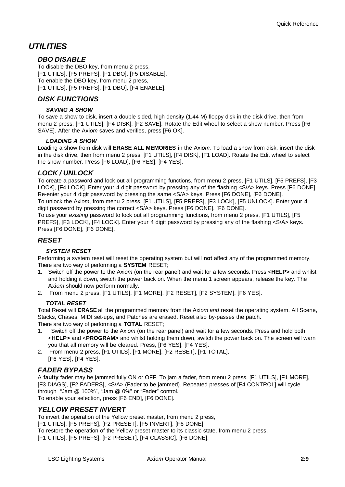# *UTILITIES*

### *DBO DISABLE*

To disable the DBO key, from menu 2 press, [F1 UTILS], [F5 PREFS], [F1 DBO], [F5 DISABLE]. To enable the DBO key, from menu 2 press, [F1 UTILS], [F5 PREFS], [F1 DBO], [F4 ENABLE].

### *DISK FUNCTIONS*

#### *SAVING A SHOW*

To save a show to disk, insert a double sided, high density (1.44 M) floppy disk in the disk drive, then from menu 2 press, [F1 UTILS], [F4 DISK], [F2 SAVE]. Rotate the Edit wheel to select a show number. Press [F6 SAVE]. After the Axi*om* saves and verifies, press [F6 OK].

#### *LOADING A SHOW*

Loading a show from disk will **ERASE ALL MEMORIES** in the Axi*om.* To load a show from disk, insert the disk in the disk drive, then from menu 2 press, [F1 UTILS], [F4 DISK], [F1 LOAD]. Rotate the Edit wheel to select the show number. Press [F6 LOAD], [F6 YES], [F4 YES].

### *LOCK / UNLOCK*

To create a password and lock out all programming functions, from menu 2 press, [F1 UTILS], [F5 PREFS], [F3 LOCK], [F4 LOCK]. Enter your 4 digit password by pressing any of the flashing <S/A> keys. Press [F6 DONE]. Re-enter your 4 digit password by pressing the same <S/A> keys. Press [F6 DONE], [F6 DONE]. To unlock the Axi*om*, from menu 2 press, [F1 UTILS], [F5 PREFS], [F3 LOCK], [F5 UNLOCK]. Enter your 4 digit password by pressing the correct <S/A> keys. Press [F6 DONE], [F6 DONE].

To use your *existing* password to lock out all programming functions, from menu 2 press, [F1 UTILS], [F5 PREFS], [F3 LOCK], [F4 LOCK]. Enter your 4 digit password by pressing any of the flashing <S/A> keys. Press [F6 DONE], [F6 DONE].

### *RESET*

### *SYSTEM RESET*

Performing a system reset will reset the operating system but will **not** affect any of the programmed memory. There are two way of performing a **SYSTEM** RESET;

- 1. Switch off the power to the Axi*om* (on the rear panel) and wait for a few seconds. Press <**HELP>** and whilst and holding it down, switch the power back on. When the menu 1 screen appears, release the key. The Axi*om* should now perform normally.
- 2. From menu 2 press, [F1 UTILS], [F1 MORE], [F2 RESET], [F2 SYSTEM], [F6 YES].

### *TOTAL RESET*

Total Reset will **ERASE** all the programmed memory from the Axi*om and* reset the operating system. All Scene, Stacks, Chases, MIDI set-ups, and Patches are erased. Reset also by-passes the patch.

There are two way of performing a **TOTAL** RESET;

- 1. Switch off the power to the Axi*om* (on the rear panel) and wait for a few seconds. Press and hold both <**HELP>** and <**PROGRAM>** and whilst holding them down, switch the power back on. The screen will warn you that all memory will be cleared. Press, [F6 YES], [F4 YES].
- 2. From menu 2 press, [F1 UTILS], [F1 MORE], [F2 RESET], [F1 TOTAL], [F6 YES], [F4 YES].

### *FADER BYPASS*

A **faulty** fader may be jammed fully ON or OFF. To jam a fader, from menu 2 press, [F1 UTILS], [F1 MORE], [F3 DIAGS], [F2 FADERS], <S/A> (Fader to be jammed). Repeated presses of [F4 CONTROL] will cycle through "Jam @ 100%", "Jam @ 0%" or "Fader" control. To enable your selection, press [F6 END], [F6 DONE].

### *YELLOW PRESET INVERT*

To invert the operation of the Yellow preset master, from menu 2 press, [F1 UTILS], [F5 PREFS], [F2 PRESET], [F5 INVERT], [F6 DONE]. To restore the operation of the Yellow preset master to its classic state, from menu 2 press, [F1 UTILS], [F5 PREFS], [F2 PRESET], [F4 CLASSIC], [F6 DONE].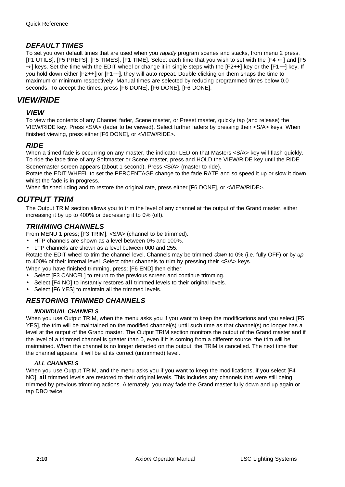### *DEFAULT TIMES*

To set you own default times that are used when you *rapidly* program scenes and stacks, from menu 2 press, [F1 UTILS], [F5 PREFS], [F5 TIMES], [F1 TIME]. Select each time that you wish to set with the [F4 ←] and [F5 →] keys. Set the time with the EDIT wheel or change it in single steps with the [F2**++**] key or the [F1−−] key. If you hold down either [F2**++]** or [F1−−**]**, they will auto repeat. Double clicking on them snaps the time to maximum or minimum respectively. Manual times are selected by reducing programmed times below 0.0 seconds. To accept the times, press [F6 DONE], [F6 DONE], [F6 DONE].

# *VIEW/RIDE*

### *VIEW*

To view the contents of any Channel fader, Scene master, or Preset master, quickly tap (and release) the VIEW/RIDE key. Press <S/A> (fader to be viewed). Select further faders by pressing their <S/A> keys. When finished viewing, press either [F6 DONE], or <VIEW/RIDE>.

### *RIDE*

When a timed fade is occurring on any master, the indicator LED on that Masters <S/A> key will flash quickly. To ride the fade time of any Softmaster or Scene master, press and HOLD the VIEW/RIDE key until the RIDE Scenemaster screen appears (about 1 second). Press <S/A> (master to ride).

Rotate the EDIT WHEEL to set the PERCENTAGE change to the fade RATE and so speed it up or slow it down whilst the fade is in progress.

When finished riding and to restore the original rate, press either [F6 DONE], or <VIEW/RIDE>.

# *OUTPUT TRIM*

The Output TRIM section allows you to trim the level of any channel at the output of the Grand master, either increasing it by up to 400% or decreasing it to 0% (off).

### *TRIMMING CHANNELS*

From MENU 1 press; [F3 TRIM], <S/A> (channel to be trimmed).

- HTP channels are shown as a level between 0% and 100%.
- LTP channels are shown as a level between 000 and 255.

Rotate the EDIT wheel to trim the channel level. Channels may be trimmed *down* to 0% (i.e. fully OFF) or by *up* to 400% of their internal level. Select other channels to trim by pressing their <S/A> keys.

When you have finished trimming, press; [F6 END] then either;

- Select [F3 CANCEL] to return to the previous screen and continue trimming.
- Select [F4 NO] to instantly restores **all** trimmed levels to their original levels.
- Select [F6 YES] to maintain all the trimmed levels.

### *RESTORING TRIMMED CHANNELS*

### *INDIVIDUAL CHANNELS*

When you use Output TRIM, when the menu asks you if you want to keep the modifications and you select [F5 YES], the trim will be maintained on the modified channel(s) until such time as that channel(s) no longer has a level at the output of the Grand master. The Output TRIM section monitors the output of the Grand master and if the level of a trimmed channel is greater than 0, even if it is coming from a different source, the trim will be maintained. When the channel is no longer detected on the output, the TRIM is cancelled. The next time that the channel appears, it will be at its correct (untrimmed) level.

### *ALL CHANNELS*

When you use Output TRIM, and the menu asks you if you want to keep the modifications, if you select [F4] NO], **all** trimmed levels are restored to their original levels. This includes any channels that were still being trimmed by previous trimming actions. Alternately, you may fade the Grand master fully down and up again or tap DBO twice.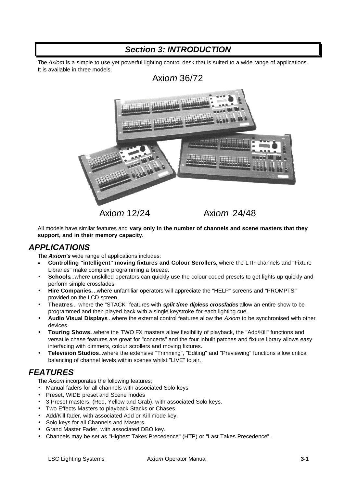# *Section 3: INTRODUCTION*

The *Axiom* is a simple to use yet powerful lighting control desk that is suited to a wide range of applications. It is available in three models.

Axi*om* 36/72



Axi*om* 12/24 Axi*om* 24/48

All models have similar features and **vary only in the number of channels and scene masters that they support, and in their memory capacity.**

# *APPLICATIONS*

The *Axiom's* wide range of applications includes:

- **Controlling "intelligent" moving fixtures and Colour Scrollers**, where the LTP channels and "Fixture Libraries" make complex programming a breeze.
- **Schools**...where unskilled operators can quickly use the colour coded presets to get lights up quickly and perform simple crossfades.
- **Hire Companies.** ..where unfamiliar operators will appreciate the "HELP" screens and "PROMPTS" provided on the LCD screen.
- **· Theatres**... where the "STACK" features with *split time dipless crossfades* allow an entire show to be programmed and then played back with a single keystroke for each lighting cue.
- **Audio Visual Displays**...where the external control features allow the *Axiom* to be synchronised with other devices.
- **Touring Shows**...where the TWO FX masters allow flexibility of playback, the "Add/Kill" functions and versatile chase features are great for "concerts" and the four inbuilt patches and fixture library allows easy interfacing with dimmers, colour scrollers and moving fixtures.
- **Television Studios**...where the extensive "Trimming", "Editing" and "Previewing" functions allow critical balancing of channel levels within scenes whilst "LIVE" to air.

# *FEATURES*

The *Axiom* incorporates the following features;

- Manual faders for all channels with associated Solo keys
- Preset, WIDE preset and Scene modes
- 3 Preset masters, (Red, Yellow and Grab), with associated Solo keys.
- Two Effects Masters to playback Stacks or Chases.
- Add/Kill fader, with associated Add or Kill mode key.
- Solo keys for all Channels and Masters
- Grand Master Fader, with associated DBO key.
- Channels may be set as "Highest Takes Precedence" (HTP) or "Last Takes Precedence" .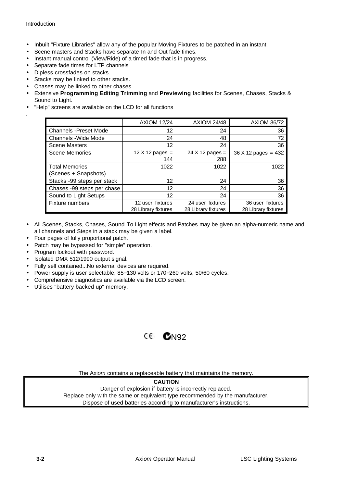.

- Inbuilt "Fixture Libraries" allow any of the popular Moving Fixtures to be patched in an instant.
- Scene masters and Stacks have separate In and Out fade times.
- Instant manual control (View/Ride) of a timed fade that is in progress.
- Separate fade times for LTP channels
- Dipless crossfades on stacks.
- Stacks may be linked to other stacks.
- Chases may be linked to other chases.
- Extensive **Programming Editing Trimming** and **Previewing** facilities for Scenes, Chases, Stacks & Sound to Light.
- "Help" screens are available on the LCD for all functions

|                               | <b>AXIOM 12/24</b>  | <b>AXIOM 24/48</b>  | <b>AXIOM 36/72</b>         |
|-------------------------------|---------------------|---------------------|----------------------------|
| <b>Channels - Preset Mode</b> | 12                  | 24                  | 36                         |
| Channels - Wide Mode          | 24                  | 48                  | 72                         |
| <b>Scene Masters</b>          | 12                  | 24                  | 36                         |
| <b>Scene Memories</b>         | $12$ X 12 pages =   | $24$ X 12 pages =   | $36 \times 12$ pages = 432 |
|                               | 144                 | 288                 |                            |
| <b>Total Memories</b>         | 1022                | 1022                | 1022                       |
| (Scenes + Snapshots)          |                     |                     |                            |
| Stacks -99 steps per stack    | 12                  | 24                  | 36                         |
| Chases -99 steps per chase    | 12                  | 24                  | 36                         |
| Sound to Light Setups         | 12                  | 24                  | 36                         |
| <b>Fixture numbers</b>        | 12 user fixtures    | 24 user fixtures    | 36 user fixtures           |
|                               | 28 Library fixtures | 28 Library fixtures | 28 Library fixtures        |

- All Scenes, Stacks, Chases, Sound To Light effects and Patches may be given an alpha-numeric name and all channels and Steps in a stack may be given a label.
- Four pages of fully proportional patch.
- Patch may be bypassed for "simple" operation.
- Program lockout with password.
- Isolated DMX 512/1990 output signal.
- Fully self contained...No external devices are required.
- Power supply is user selectable, 85−130 volts or 170−260 volts, 50/60 cycles.
- Comprehensive diagnostics are available via the LCD screen.
- Utilises "battery backed up" memory.



The Axi*om* contains a replaceable battery that maintains the memory.

### **CAUTION**

Danger of explosion if battery is incorrectly replaced. Replace only with the same or equivalent type recommended by the manufacturer. Dispose of used batteries according to manufacturer's instructions.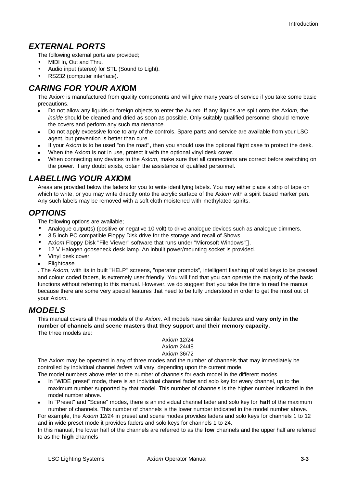# *EXTERNAL PORTS*

The following external ports are provided;

- MIDI In, Out and Thru.
- Audio input (stereo) for STL (Sound to Light).
- RS232 (computer interface).

# *CARING FOR YOUR AXI***OM**

The Axi*om* is manufactured from quality components and will give many years of service if you take some basic precautions.

- <sup>l</sup> Do not allow any liquids or foreign objects to enter the Axi*om*. If any liquids are spilt onto the Axi*om,* the *inside* should be cleaned and dried as soon as possible. Only suitably qualified personnel should remove the covers and perform any such maintenance.
- Do not apply excessive force to any of the controls. Spare parts and service are available from your LSC agent, but prevention is better than cure.
- If your Axiom is to be used "on the road", then you should use the optional flight case to protect the desk.
- <sup>l</sup> When the Axi*om* is not in use, protect it with the optional vinyl desk cover.
- <sup>l</sup> When connecting any devices to the Axi*om*, make sure that all connections are correct before switching on the power. If any doubt exists, obtain the assistance of qualified personnel.

# *LABELLING YOUR AXI***OM**

Areas are provided below the faders for you to write identifying labels. You may either place a strip of tape on which to write, or you may write directly onto the acrylic surface of the Axi*om* with a spirit based marker pen. Any such labels may be removed with a soft cloth moistened with methylated spirits.

# *OPTIONS*

The following options are available;

- Analogue output(s) (positive or negative 10 volt) to drive analogue devices such as analogue dimmers.
- 3.5 inch PC compatible Floppy Disk drive for the storage and recall of Shows.
- Axiom Floppy Disk "File Viewer" software that runs under "Microsoft Windows"<sup>©</sup>.
- 12 V Halogen gooseneck desk lamp. An inbuilt power/mounting socket is provided.
- Vinyl desk cover.
- Flightcase.

. The Axi*om*, with its in built "HELP" screens, "operator prompts", intelligent flashing of valid keys to be pressed and colour coded faders, is extremely user friendly. You will find that you can operate the majority of the basic functions without referring to this manual. However, we do suggest that you take the time to read the manual because there are some very special features that need to be fully understood in order to get the most out of your Axi*om*.

# *MODELS*

This manual covers all three models of the *Axiom*. All models have similar features and **vary only in the number of channels and scene masters that they support and their memory capacity.** The three models are:

#### Axi*om* 12/24 Axi*om* 24/48 Axi*om* 36/72

The Axi*om* may be operated in any of three modes and the number of channels that may immediately be controlled by individual channel *faders* will vary, depending upon the current mode.

The model numbers above refer to the number of channels for each model in the different modes.

- In "WIDE preset" mode, there is an individual channel fader and solo key for every channel, up to the maximum number supported by that model. This number of channels is the higher number indicated in the model number above.
- In "Preset" and "Scene" modes, there is an individual channel fader and solo key for **half** of the maximum number of channels. This number of channels is the lower number indicated in the model number above.

For example, the Axi*om* 12/24 in preset and scene modes provides faders and solo keys for channels 1 to 12 and in wide preset mode it provides faders and solo keys for channels 1 to 24.

In this manual, the lower half of the channels are referred to as the **low** channels and the upper half are referred to as the **high** channels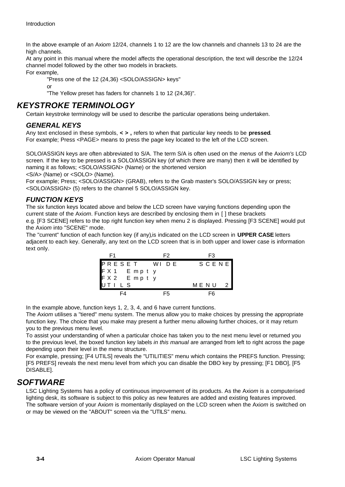In the above example of an Axi*om* 12/24, channels 1 to 12 are the low channels and channels 13 to 24 are the high channels.

At any point in this manual where the model affects the operational description, the text will describe the 12/24 channel model followed by the other two models in brackets.

For example,

"Press one of the 12 (24,36) <SOLO/ASSIGN> keys"

or

"The Yellow preset has faders for channels 1 to 12 (24,36)".

# *KEYSTROKE TERMINOLOGY*

Certain keystroke terminology will be used to describe the particular operations being undertaken.

### *GENERAL KEYS*

Any text enclosed in these symbols, **< > ,** refers to when that particular key needs to be **pressed**. For example; Press <PAGE> means to press the page key located to the left of the LCD screen.

SOLO/ASSIGN keys are often abbreviated to S/A. The term S/A is often used on the *menus* of the Axi*om's* LCD screen*.* If the key to be pressed is a SOLO/ASSIGN key (of which there are many) then it will be identified by naming it as follows; <SOLO/ASSIGN> (Name) or the shortened version

<S/A> (Name) or <SOLO> (Name).

For example; Press; <SOLO/ASSIGN> (GRAB), refers to the Grab master's SOLO/ASSIGN key or press; <SOLO/ASSIGN> (5) refers to the channel 5 SOLO/ASSIGN key.

# *FUNCTION KEYS*

The six function keys located above and below the LCD screen have varying functions depending upon the current state of the Axi*om*. Function keys are described by enclosing them in [ ] these brackets e.g. [F3 SCENE] refers to the top right function key when menu 2 is displayed. Pressing [F3 SCENE] would put the Axi*om* into "SCENE" mode.

The "current" function of each function key (if any),is indicated on the LCD screen in **UPPER CASE** letters adjacent to each key. Generally, any text on the LCD screen that is in both upper and lower case is information text only.

|       |                                       |    |      | F3     |  |
|-------|---------------------------------------|----|------|--------|--|
|       |                                       |    |      | SCENEI |  |
|       | PRESET WIDE<br>FX1 Empty<br>FX2 Empty |    |      |        |  |
|       |                                       |    |      |        |  |
| UTILS |                                       |    | MENU |        |  |
|       |                                       | F5 |      |        |  |

In the example above, function keys 1, 2, 3, 4, and 6 have current functions.

The Axi*om* utilises a "tiered" menu system. The menus allow you to make choices by pressing the appropriate function key. The choice that you make may present a further menu allowing further choices, or it may return you to the previous menu level.

To assist your understanding of when a particular choice has taken you to the next menu level or returned you to the previous level, the boxed function key labels *in this manual* are arranged from left to right across the page depending upon their level in the menu structure.

For example, pressing; [F4 UTILS] reveals the "UTILITIES" menu which contains the PREFS function. Pressing; [F5 PREFS] reveals the next menu level from which you can disable the DBO key by pressing; [F1 DBO], [F5 DISABLE].

# *SOFTWARE*

LSC Lighting Systems has a policy of continuous improvement of its products. As the Axi*om* is a computerised lighting desk, its software is subject to this policy as new features are added and existing features improved. The software version of your Axi*om* is momentarily displayed on the LCD screen when the Axi*om* is switched on or may be viewed on the "ABOUT" screen via the "UTILS" menu.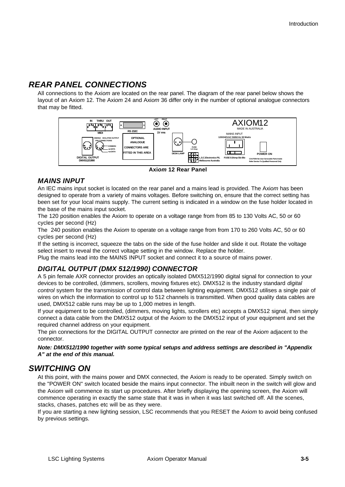# *REAR PANEL CONNECTIONS*

All connections to the Axi*om* are located on the rear panel. The diagram of the rear panel below shows the layout of an Axi*om* 12. The Axi*om* 24 and Axi*om* 36 differ only in the number of optional analogue connectors that may be fitted.



**Axi***om* **12 Rear Panel**

### *MAINS INPUT*

An IEC mains input socket is located on the rear panel and a mains lead is provided. The Axi*om* has been designed to operate from a variety of mains voltages. Before switching on, ensure that the correct setting has been set for your local mains supply. The current setting is indicated in a window on the fuse holder located in the base of the mains input socket.

The 120 position enables the Axi*om* to operate on a voltage range from from 85 to 130 Volts AC, 50 or 60 cycles per second (Hz)

The 240 position enables the Axi*om* to operate on a voltage range from from 170 to 260 Volts AC, 50 or 60 cycles per second (Hz)

If the setting is incorrect, squeeze the tabs on the side of the fuse holder and slide it out. Rotate the voltage select insert to reveal the correct voltage setting in the window. Replace the holder.

Plug the mains lead into the MAINS INPUT socket and connect it to a source of mains power.

### *DIGITAL OUTPUT (DMX 512/1990) CONNECTOR*

A 5 pin female AXR connector provides an optically isolated DMX512/1990 digital signal for connection to your devices to be controlled, (dimmers, scrollers, moving fixtures etc). DMX512 is the industry standard *digital control* system for the transmission of control data between lighting equipment. DMX512 utilises a single pair of wires on which the information to control up to 512 channels is transmitted. When good quality data cables are used, DMX512 cable runs may be up to 1,000 metres in length.

If your equipment to be controlled, (dimmers, moving lights, scrollers etc) accepts a DMX512 signal, then simply connect a data cable from the DMX512 output of the Axi*om* to the DMX512 input of your equipment and set the required channel address on your equipment.

The pin connections for the DIGITAL OUTPUT connector are printed on the rear of the Axi*om* adjacent to the connector.

*Note: DMX512/1990 together with some typical setups and address settings are described in "Appendix A" at the end of this manual.*

# *SWITCHING ON*

At this point, with the mains power and DMX connected, the Axi*om* is ready to be operated. Simply switch on the "POWER ON" switch located beside the mains input connector. The inbuilt neon in the switch will glow and the Axi*om* will commence its start up procedures. After briefly displaying the opening screen, the Axi*om* will commence operating in exactly the same state that it was in when it was last switched off. All the scenes, stacks, chases, patches etc will be as they were.

If you are starting a new lighting session, LSC recommends that you RESET the Axi*om* to avoid being confused by previous settings.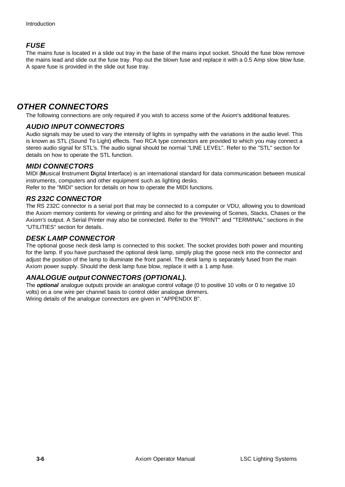### *FUSE*

The mains fuse is located in a slide out tray in the base of the mains input socket. Should the fuse blow remove the mains lead and slide out the fuse tray. Pop out the blown fuse and replace it with a 0.5 Amp slow blow fuse. A spare fuse is provided in the slide out fuse tray.

# *OTHER CONNECTORS*

The following connections are only required if you wish to access some of the Axi*om*'s additional features.

### *AUDIO INPUT CONNECTORS*

Audio signals may be used to vary the intensity of lights in sympathy with the variations in the audio level. This is known as STL (Sound To Light) effects. Two RCA type connectors are provided to which you may connect a stereo audio signal for STL's. The audio signal should be normal "LINE LEVEL". Refer to the "STL" section for details on how to operate the STL function.

### *MIDI CONNECTORS*

MIDI (**M**usical **I**nstrument **D**igital **I**nterface) is an international standard for data communication between musical instruments, computers and other equipment such as lighting desks.

Refer to the "MIDI" section for details on how to operate the MIDI functions.

### *RS 232C CONNECTOR*

The RS 232C connector is a serial port that may be connected to a computer or VDU, allowing you to download the Axi*om* memory contents for viewing or printing and also for the previewing of Scenes, Stacks, Chases or the Axi*om's* output. A Serial Printer may also be connected. Refer to the "PRINT" and "TERMINAL" sections in the "UTILITIES" section for details.

### *DESK LAMP CONNECTOR*

The optional goose neck desk lamp is connected to this socket. The socket provides both power and mounting for the lamp. If you have purchased the optional desk lamp, simply plug the goose neck into the connector and adjust the position of the lamp to illuminate the front panel. The desk lamp is separately fused from the main Axi*om* power supply. Should the desk lamp fuse blow, replace it with a 1 amp fuse.

### *ANALOGUE output CONNECTORS (OPTIONAL).*

The *optional* analogue outputs provide an analogue control voltage (0 to positive 10 volts or 0 to negative 10 volts) on a one wire per channel basis to control older analogue dimmers. Wiring details of the analogue connectors are given in "APPENDIX B".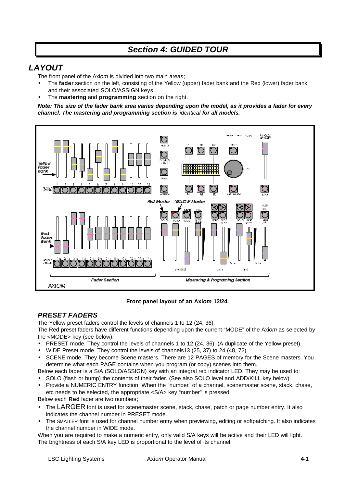# *Section 4: GUIDED TOUR*

# *LAYOUT*

The front panel of the Axi*om* is divided into two main areas;

- The **fader** section on the left, consisting of the Yellow (upper) fader bank and the Red (lower) fader bank and their associated SOLO/ASSIGN keys.
- The **mastering** and **programming** section on the right.

*Note: The size of the fader bank area varies depending upon the model, as it provides a fader for every channel. The mastering and programming section is identical for all models.*



**Front panel layout of an Axi***om* **12/24.**

### *PRESET FADERS*

The Yellow preset faders control the levels of channels 1 to 12 (24, 36).

The Red preset faders have different functions depending upon the current "MODE" of the Axi*om* as selected by the <MODE> key (see below).

- PRESET mode. They control the levels of channels 1 to 12 (24, 36). (A duplicate of the Yellow preset).
- WIDE Preset mode. They control the levels of channels13 (25, 37) to 24 (48, 72).
- SCENE mode. They become Scene masters. There are 12 PAGES of memory for the Scene masters. You determine what each PAGE contains when you program (or copy) scenes into them.
- Below each fader is a S/A (SOLO/ASSIGN) key with an integral red indicator LED. They may be used to:
- SOLO (flash or bump) the contents of their fader. (See also SOLO level and ADD/KILL key below).
- Provide a NUMERIC ENTRY function. When the "number" of a channel, scenemaster scene, stack, chase, etc needs to be selected, the appropriate <S/A> key "number" is pressed.

Below each **Red** fader are two numbers;

- The LARGER font is used for scenemaster scene, stack, chase, patch or page number entry. It also indicates the channel number in PRESET mode.
- The SMALLER font is used for channel number entry when previewing, editing or softpatching. It also indicates the channel number in WIDE mode.

When you are required to make a numeric entry, only valid S/A keys will be active and their LED will light. The brightness of each S/A key LED is proportional to the level of its channel: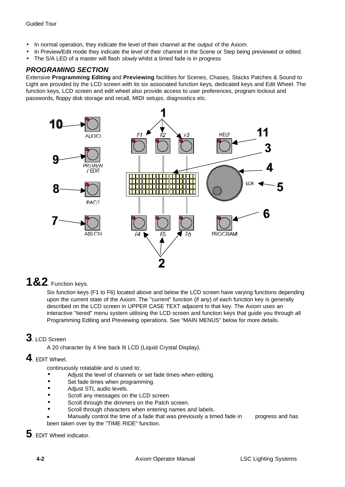- In normal operation, they indicate the level of their channel at the *output* of the Axi*om*.
- In Preview/Edit mode they indicate the level of their channel in the Scene or Step being previewed or edited.
- The S/A LED of a master will flash *slowly* whilst a timed fade is in progress

### *PROGRAMING SECTION*

Extensive **Programming Editing** and **Previewing** facilities for Scenes, Chases, Stacks Patches & Sound to Light are provided by the LCD screen with its six associated function keys, dedicated keys and Edit Wheel. The function keys, LCD screen and edit wheel also provide access to user preferences, program lockout and passwords, floppy disk storage and recall, MIDI setups, diagnostics etc.



# **1&2**. Function keys.

Six function keys (F1 to F6) located above and below the LCD screen have varying functions depending upon the current state of the Axi*om*. The "current" function (if any) of each function key is generally described on the LCD screen in UPPER CASE TEXT adjacent to that key. The Axi*om* uses an interactive "tiered" menu system utilising the LCD screen and function keys that guide you through all Programming Editing and Previewing operations. See "MAIN MENUS" below for more details.

# **3**. LCD Screen

A 20 character by 4 line back lit LCD (Liquid Crystal Display).

### **4**. EDIT Wheel.

continuously rotatable and is used to:

- Adjust the level of channels or set fade times when editing.
- Set fade times when programming.
- Adjust STL audio levels.
- Scroll any messages on the LCD screen.
- Scroll through the dimmers on the Patch screen.
- Scroll through characters when entering names and labels.

Manually control the time of a fade that was previously a timed fade in progress and has been taken over by the "TIME RIDE" function.

# **5**. EDIT Wheel indicator.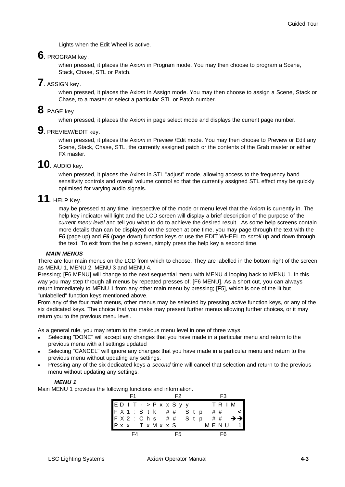Lights when the Edit Wheel is active.

# **6**. PROGRAM key.

when pressed, it places the Axi*om* in Program mode. You may then choose to program a Scene, Stack, Chase, STL or Patch.

# **7**. ASSIGN key.

when pressed, it places the Axi*om* in Assign mode. You may then choose to assign a Scene, Stack or Chase, to a master or select a particular STL or Patch number.

# **8**. PAGE key.

when pressed, it places the Axi*om* in page select mode and displays the current page number.

### **9**. PREVIEW/EDIT key.

when pressed, it places the Axi*om* in Preview /Edit mode. You may then choose to Preview or Edit any Scene, Stack, Chase, STL, the currently assigned patch or the contents of the Grab master or either FX master.

# **10**. AUDIO key.

when pressed, it places the Axi*om* in STL "adjust" mode, allowing access to the frequency band sensitivity controls and overall volume control so that the currently assigned STL effect may be quickly optimised for varying audio signals.

# **11**. HELP Key.

may be pressed at any time, irrespective of the mode or menu level that the Axi*om* is currently in. The help key indicator will light and the LCD screen will display a brief description of the purpose of the *current menu level* and tell you what to do to achieve the desired result. As some help screens contain more details than can be displayed on the screen at one time, you may page through the text with the *F5* (page up) and *F6* (page down) function keys or use the EDIT WHEEL to *scroll* up and down through the text. To exit from the help screen, simply press the help key a second time.

### *MAIN MENUS*

There are four main menus on the LCD from which to choose. They are labelled in the bottom right of the screen as MENU 1, MENU 2, MENU 3 and MENU 4.

Pressing; [F6 MENU] will change to the next sequential menu with MENU 4 looping back to MENU 1. In this way you may step through all menus by repeated presses of; [F6 MENU]. As a short cut, you can always return immediately to MENU 1 from any other main menu by pressing; [F5], which is one of the lit but "unlabelled" function keys mentioned above.

From any of the four main menus, other menus may be selected by pressing *active* function keys, or any of the six dedicated keys. The choice that you make may present further menus allowing further choices, or it may return you to the previous menu level.

As a general rule, you may return to the previous menu level in one of three ways.

- Selecting "DONE" will accept any changes that you have made in a particular menu and return to the previous menu with all settings updated
- Selecting "CANCEL" will ignore any changes that you have made in a particular menu and return to the previous menu without updating any settings.
- <sup>l</sup> Pressing any of the six dedicated keys a *second* time will cancel that selection and return to the previous menu without updating any settings.

### *MENU 1*

Main MENU 1 provides the following functions and information.

|                                   |  |  |  |  |  | F2. |  |    |  |  |  | F3 |  |  |  |  |  |        |  |
|-----------------------------------|--|--|--|--|--|-----|--|----|--|--|--|----|--|--|--|--|--|--------|--|
| EDIT->PxxSyy TRIM                 |  |  |  |  |  |     |  |    |  |  |  |    |  |  |  |  |  |        |  |
| FX1:Stk ## Stp ## <               |  |  |  |  |  |     |  |    |  |  |  |    |  |  |  |  |  |        |  |
| $FX2:Chs$ ## Stp ## $\rightarrow$ |  |  |  |  |  |     |  |    |  |  |  |    |  |  |  |  |  |        |  |
| Pxx TxMxxS                        |  |  |  |  |  |     |  |    |  |  |  |    |  |  |  |  |  | MENU 1 |  |
| FΔ                                |  |  |  |  |  |     |  | F5 |  |  |  |    |  |  |  |  |  |        |  |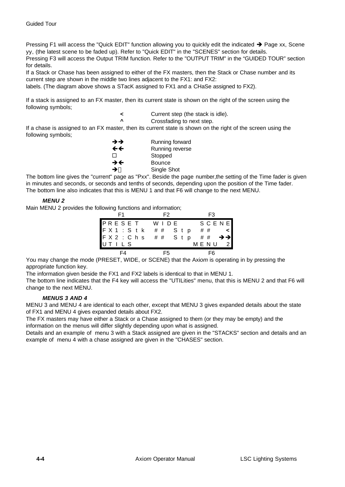Pressing F1 will access the "Quick EDIT" function allowing you to quickly edit the indicated → Page xx, Scene yy, (the latest scene to be faded up). Refer to "Quick EDIT" in the "SCENES" section for details.

Pressing F3 will access the Output TRIM function. Refer to the "OUTPUT TRIM" in the "GUIDED TOUR" section for details.

If a Stack or Chase has been assigned to either of the FX masters, then the Stack or Chase number and its current step are shown in the middle two lines adjacent to the FX1: and FX2:

labels. (The diagram above shows a STacK assigned to FX1 and a CHaSe assigned to FX2).

If a stack is assigned to an FX master, then its current state is shown on the right of the screen using the following symbols;

| Current step (the stack is idle). |  |
|-----------------------------------|--|
|-----------------------------------|--|

**^** Crossfading to next step.

If a chase is assigned to an FX master, then its current state is shown on the right of the screen using the following symbols;

| →→                       | Running forward |
|--------------------------|-----------------|
| $\leftarrow$             | Running reverse |
| П                        | Stopped         |
| $\rightarrow \leftarrow$ | <b>Bounce</b>   |
| $\rightarrow c$          | Single Shot     |

The bottom line gives the "current" page as "Pxx". Beside the page number,the setting of the Time fader is given in minutes and seconds, or seconds and tenths of seconds, depending upon the position of the Time fader. The bottom line also indicates that this is MENU 1 and that F6 will change to the next MENU.

### *MENU 2*

Main MENU 2 provides the following functions and information;

|                              | F3                     |
|------------------------------|------------------------|
| PRESET WIDE                  | SCENE                  |
| F X 1 : S t k # # S t p # #  |                        |
| FX 2 : C h s # # S t p # # → |                        |
| UTILS                        | MENU<br>$\overline{2}$ |
|                              |                        |

You may change the mode (PRESET, WIDE, or SCENE) that the Axi*om* is operating in by pressing the appropriate function key.

The information given beside the FX1 and FX2 labels is identical to that in MENU 1.

The bottom line indicates that the F4 key will access the "UTILities" menu, that this is MENU 2 and that F6 will change to the next MENU.

#### *MENUS 3 AND 4*

MENU 3 and MENU 4 are identical to each other, except that MENU 3 gives expanded details about the state of FX1 and MENU 4 gives expanded details about FX2.

The FX masters may have either a Stack or a Chase assigned to them (or they may be empty) and the information on the menus will differ slightly depending upon what is assigned.

Details and an example of menu 3 with a Stack assigned are given in the "STACKS" section and details and an example of menu 4 with a chase assigned are given in the "CHASES" section.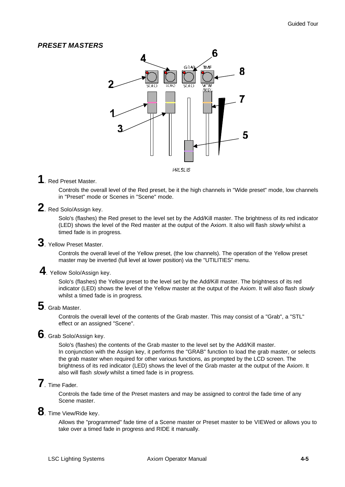### *PRESET MASTERS*



# **1**. Red Preset Master.

Controls the overall level of the Red preset, be it the high channels in "Wide preset" mode, low channels in "Preset" mode or Scenes in "Scene" mode.

# **2**. Red Solo/Assign key.

Solo's (flashes) the Red preset to the level set by the Add/Kill master. The brightness of its red indicator (LED) shows the level of the Red master at the output of the Axi*om*. It also will flash *slowly* whilst a timed fade is in progress*.*

# **3**. Yellow Preset Master.

Controls the overall level of the Yellow preset, (the low channels). The operation of the Yellow preset master may be inverted (full level at lower position) via the "UTILITIES" menu.

# **4**. Yellow Solo/Assign key.

Solo's (flashes) the Yellow preset to the level set by the Add/Kill master. The brightness of its red indicator (LED) shows the level of the Yellow master at the output of the Axi*om*. It will also flash *slowly* whilst a timed fade is in progress*.*

# **5**. Grab Master.

Controls the overall level of the contents of the Grab master. This may consist of a "Grab", a "STL" effect or an assigned "Scene".

# **6**. Grab Solo/Assign key.

Solo's (flashes) the contents of the Grab master to the level set by the Add/Kill master. In conjunction with the Assign key, it performs the "GRAB" function to load the grab master, or selects the grab master when required for other various functions, as prompted by the LCD screen. The brightness of its red indicator (LED) shows the level of the Grab master at the output of the Axi*om*. It also will flash *slowly* whilst a timed fade is in progress*.*

# **7**. Time Fader.

Controls the fade time of the Preset masters and may be assigned to control the fade time of any Scene master.

# **8**. Time View/Ride key.

Allows the "programmed" fade time of a Scene master or Preset master to be VIEWed or allows you to take over a timed fade in progress and RIDE it manually.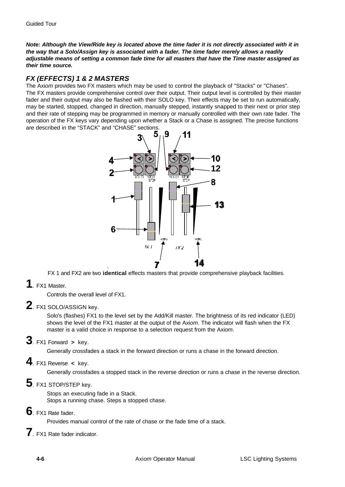*Note: Although the View/Ride key is located above the time fader it is not directly associated with it in the way that a Solo/Assign key is associated with a fader. The time fader merely allows a readily adjustable means of setting a common fade time for all masters that have the Time master assigned as their time source.*

### *FX (EFFECTS) 1 & 2 MASTERS*

The Axi*om* provides two FX masters which may be used to control the playback of "Stacks" or "Chases". The FX masters provide comprehensive control over their output. Their output level is controlled by their master fader and their output may also be flashed with their SOLO key. Their effects may be set to run automatically, may be started, stopped, changed in direction, manually stepped, instantly snapped to their next or prior step and their rate of stepping may be programmed in memory or manually controlled with their own rate fader. The operation of the FX keys vary depending upon whether a Stack or a Chase is assigned. The precise functions are described in the "STACK" and "CHASE" sections.



FX 1 and FX2 are two **identical** effects masters that provide comprehensive playback facilities.

**1**. FX1 Master.

Controls the overall level of FX1.

**2**. FX1 SOLO/ASSIGN key.

Solo's (flashes) FX1 to the level set by the Add/Kill master. The brightness of its red indicator (LED) shows the level of the FX1 master at the output of the Axi*om*. The indicator will flash when the FX master is a valid choice in response to a selection request from the Axi*om*.

**3**. FX1 Forward **>** key.

Generally crossfades a stack in the forward direction or runs a chase in the forward direction.

**4**. FX1 Reverse **<** key.

Generally crossfades a stopped stack in the reverse direction or runs a chase in the reverse direction.

**5**. FX1 STOP/STEP key.

Stops an executing fade in a Stack. Stops a running chase. Steps a stopped chase.

**6** FX1 Rate fader.

Provides manual control of the rate of chase or the fade time of a stack.

**7** FX1 Rate fader indicator.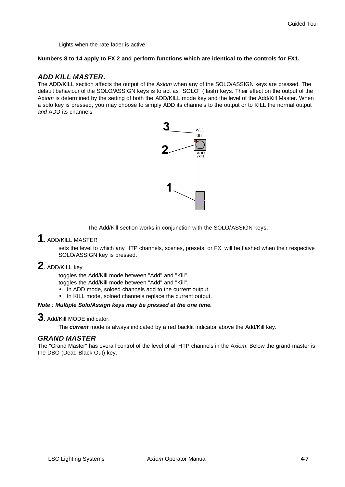Lights when the rate fader is active.

### **Numbers 8 to 14 apply to FX 2 and perform functions which are identical to the controls for FX1.**

### *ADD KILL MASTER.*

The ADD/KILL section affects the output of the Axi*om* when any of the SOLO/ASSIGN keys are pressed. The default behaviour of the SOLO/ASSIGN keys is to act as "SOLO" (flash) keys. Their effect on the output of the Axi*om* is determined by the setting of both the ADD/KILL mode key and the level of the Add/Kill Master. When a solo key is pressed, you may choose to simply ADD its channels to the output or to KILL the normal output *and* ADD its channels



The Add/Kill section works in conjunction with the SOLO/ASSIGN keys.

# **1**. ADD/KILL MASTER

sets the level to which any HTP channels, scenes, presets, or FX, will be flashed when their respective SOLO/ASSIGN key is pressed.

# **2**. ADD/KILL key

toggles the Add/Kill mode between "Add" and "Kill".

toggles the Add/Kill mode between "Add" and "Kill".

- In ADD mode, soloed channels add to the current output.
- In KILL mode, soloed channels replace the current output.

### *Note : Multiple Solo/Assign keys may be pressed at the one time.*

# **3**. Add/Kill MODE indicator.

The *current* mode is always indicated by a red backlit indicator above the Add/Kill key.

### *GRAND MASTER*

The "Grand Master" has overall control of the level of all HTP channels in the Axi*om*. Below the grand master is the DBO (Dead Black Out) key.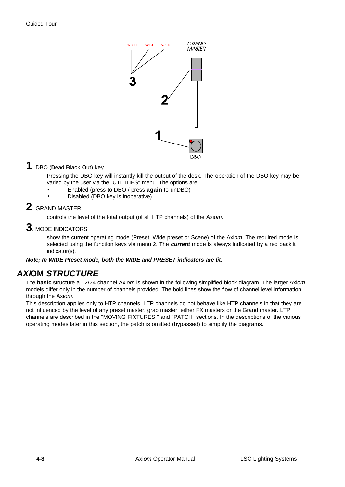

# **1**. DBO (**D**ead **B**lack **O**ut) key.

Pressing the DBO key will instantly kill the output of the desk. The operation of the DBO key may be varied by the user via the "UTILITIES" menu. The options are:

- Enabled (press to DBO / press **again** to unDBO)
- Disabled (DBO key is inoperative)
- **2**. GRAND MASTER.

controls the level of the total output (of all HTP channels) of the Axi*om*.

**3**. MODE INDICATORS

show the current operating mode (Preset, Wide preset or Scene) of the Axi*om*. The required mode is selected using the function keys via menu 2. The *current* mode is always indicated by a red backlit indicator(s).

### *Note; In WIDE Preset mode, both the WIDE and PRESET indicators are lit.*

# *AXI***OM** *STRUCTURE*

The **basic** structure a 12/24 channel Axi*om* is shown in the following simplified block diagram. The larger Axi*om* models differ only in the number of channels provided. The bold lines show the flow of channel level information through the Axi*om*.

This description applies only to HTP channels. LTP channels do not behave like HTP channels in that they are not influenced by the level of any preset master, grab master, either FX masters or the Grand master. LTP channels are described in the "MOVING FIXTURES " and "PATCH" sections. In the descriptions of the various operating modes later in this section, the patch is omitted (bypassed) to simplify the diagrams.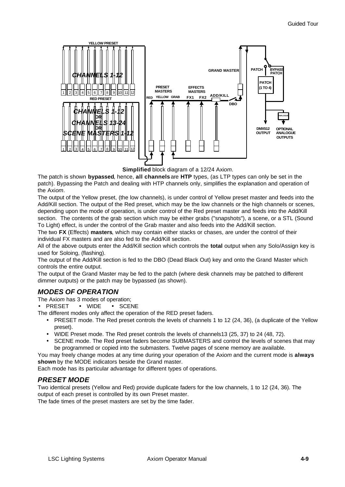

**Simplified** block diagram of a 12/24 Axi*om*.

The patch is shown **bypassed**, hence, **all channels** are **HTP** types, (as LTP types can only be set in the patch). Bypassing the Patch and dealing with HTP channels only, simplifies the explanation and operation of the Axi*om*.

The output of the Yellow preset, (the low channels), is under control of Yellow preset master and feeds into the Add/Kill section. The output of the Red preset, which may be the low channels or the high channels or scenes, depending upon the mode of operation, is under control of the Red preset master and feeds into the Add/Kill section. The contents of the grab section which may be either grabs ("snapshots"), a scene, or a STL (Sound To Light) effect, is under the control of the Grab master and also feeds into the Add/Kill section.

The two **FX** (Effects) **masters**, which may contain either stacks or chases, are under the control of their individual FX masters and are also fed to the Add/Kill section.

All of the above outputs enter the Add/Kill section which controls the **total** output when any Solo/Assign key is used for Soloing, (flashing).

The output of the Add/Kill section is fed to the DBO (Dead Black Out) key and onto the Grand Master which controls the entire output.

The output of the Grand Master may be fed to the patch (where desk channels may be patched to different dimmer outputs) or the patch may be bypassed (as shown).

### *MODES OF OPERATION*

The Axi*om* has 3 modes of operation;

• PRESET • WIDE • SCENE

The different modes only affect the operation of the RED preset faders.

- PRESET mode. The Red preset controls the levels of channels 1 to 12 (24, 36), (a duplicate of the Yellow preset).
- WIDE Preset mode. The Red preset controls the levels of channels13 (25, 37) to 24 (48, 72).
- SCENE mode. The Red preset faders become SUBMASTERS and control the levels of scenes that may be programmed or copied into the submasters. Twelve pages of scene memory are available.

You may freely change modes at any time during your operation of the Axi*om* and the current mode is **always shown** by the MODE indicators beside the Grand master.

Each mode has its particular advantage for different types of operations.

### *PRESET MODE*

Two identical presets (Yellow and Red) provide duplicate faders for the low channels, 1 to 12 (24, 36). The output of each preset is controlled by its own Preset master.

The fade times of the preset masters are set by the time fader.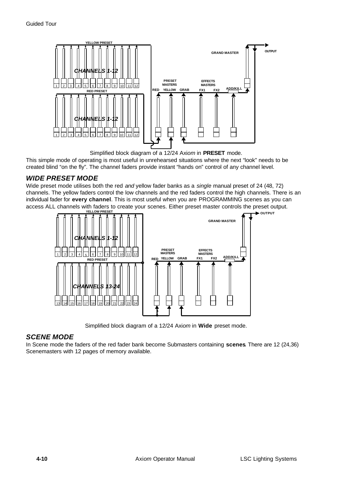



This simple mode of operating is most useful in unrehearsed situations where the next "look" needs to be created blind "on the fly". The channel faders provide instant "hands on" control of any channel level.

### *WIDE PRESET MODE*

Wide preset mode utilises both the red *and* yellow fader banks as a *single* manual preset of 24 (48, 72) channels. The yellow faders control the low channels and the red faders control the high channels. There is an individual fader for **every channel**. This is most useful when you are PROGRAMMING scenes as you can access ALL channels with faders to create your scenes. Either preset master controls the preset output. OUTPUT



Simplified block diagram of a 12/24 Axi*om* in **Wide** preset mode.

### *SCENE MODE*

In Scene mode the faders of the red fader bank become Submasters containing **scenes**. There are 12 (24,36) Scenemasters with 12 pages of memory available.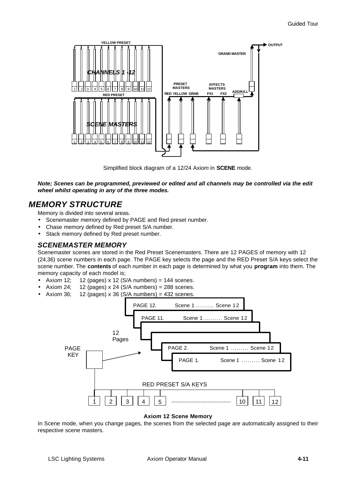

Simplified block diagram of a 12/24 Axi*om* in **SCENE** mode.

*Note; Scenes can be programmed, previewed or edited and all channels may be controlled via the edit wheel whilst operating in any of the three modes.*

# *MEMORY STRUCTURE*

Memory is divided into several areas.

- Scenemaster memory defined by PAGE and Red preset number.
- Chase memory defined by Red preset S/A number.
- Stack memory defined by Red preset number.

### *SCENEMASTER MEMORY*

Scenemaster scenes are stored in the Red Preset Scenemasters. There are 12 PAGES of memory with 12 (24,36) scene numbers in each page. The PAGE key selects the page and the RED Preset S/A keys select the scene number. The **contents** of each number in each page is determined by what you **program** into them. The memory capacity of each model is;

- Axi*om* 12; 12 (pages) x 12 (S/A numbers) = 144 scenes.
- Axi*om* 24; 12 (pages) x 24 (S/A numbers) = 288 scenes.
- Axi*om* 36; 12 (pages) x 36 (S/A numbers) = 432 scenes.



#### **Axi***om* **12 Scene Memory**

In Scene mode, when you change pages, the scenes from the selected page are automatically assigned to their respective scene masters.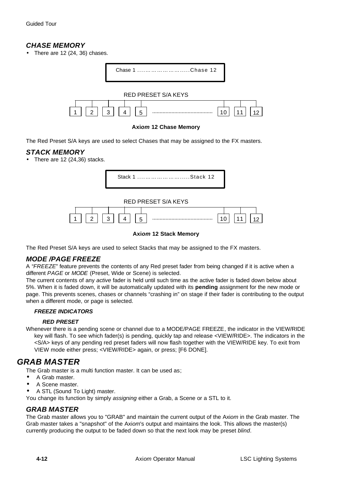## *CHASE MEMORY*

• There are 12 (24, 36) chases.

| Chase 1 Chase 12                                                                          |
|-------------------------------------------------------------------------------------------|
| <b>RED PRESET S/A KEYS</b><br>5<br>3<br>12<br>10                                          |
| <b>Axiom 12 Chase Memory</b>                                                              |
| The Red Preset S/A keys are used to select Chases that may be assigned to the FX masters. |
| <b>STACK MEMORY</b><br>• There are $12$ (24,36) stacks.                                   |
| Stack 1<br>Stack 12                                                                       |
|                                                                                           |

RED PRESET S/A KEYS 1 2 3 4 5 10 11 12 .........................................

#### **Axi***om* **12 Stack Memory**

The Red Preset S/A keys are used to select Stacks that may be assigned to the FX masters.

### *MODE /PAGE FREEZE*

A "*FREEZE*" feature prevents the contents of any Red preset fader from being changed if it is active when a different *PAGE* or *MODE* (Preset, Wide or Scene) is selected.

The current contents of any *active* fader is held until such time as the active fader is faded down below about 5%. When it is faded down, it will be automatically updated with its **pending** assignment for the new mode or page. This prevents scenes, chases or channels "crashing in" on stage if their fader is contributing to the output when a different mode, or page is selected.

#### *FREEZE INDICATORS*

### *RED PRESET*

Whenever there is a pending scene or channel due to a MODE/PAGE FREEZE, the indicator in the VIEW/RIDE key will flash. To see which fader(s) is pending, quickly tap and release <VIEW/RIDE>. The indicators in the <S/A> keys of any pending red preset faders will now flash together with the VIEW/RIDE key. To exit from VIEW mode either press; <VIEW/RIDE> again, or press; [F6 DONE].

# *GRAB MASTER*

The Grab master is a multi function master. It can be used as;

- A Grab master.
- A Scene master.
- A STL (Sound To Light) master.

You change its function by simply *assigning* either a Grab, a Scene or a STL to it.

### *GRAB MASTER*

The Grab master allows you to "GRAB" and maintain the current output of the Axi*om* in the Grab master. The Grab master takes a "snapshot" of the Axi*om*'s output and maintains the look. This allows the master(s) currently producing the output to be faded down so that the next look may be preset *blind*.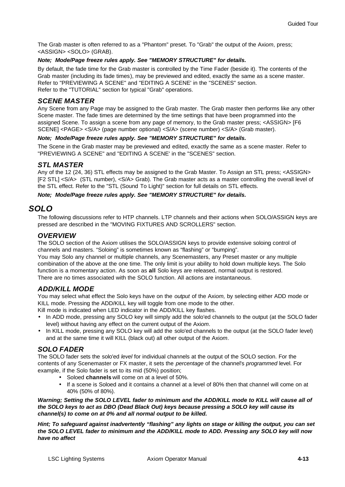The Grab master is often referred to as a "Phantom" preset. To "Grab" the output of the Axi*om*, press; <ASSIGN> <SOLO> (GRAB).

### *Note; Mode/Page freeze rules apply. See "MEMORY STRUCTURE" for details.*

By default, the fade time for the Grab master is controlled by the Time Fader (beside it). The contents of the Grab master (including its fade times), may be previewed and edited, exactly the same as a scene master. Refer to "PREVIEWING A SCENE" and "EDITING A SCENE' in the "SCENES" section. Refer to the "TUTORIAL" section for typical "Grab" operations.

### *SCENE MASTER*

Any Scene from any Page may be assigned to the Grab master. The Grab master then performs like any other Scene master. The fade times are determined by the time settings that have been programmed into the assigned Scene. To assign a scene from any page of memory, to the Grab master press; <ASSIGN> [F6 SCENE] <PAGE> <S/A> (page number optional) <S/A> (scene number) <S/A> (Grab master).

### *Note; Mode/Page freeze rules apply. See "MEMORY STRUCTURE" for details.*

The Scene in the Grab master may be previewed and edited, exactly the same as a scene master. Refer to "PREVIEWING A SCENE" and "EDITING A SCENE' in the "SCENES" section.

### *STL MASTER*

Any of the 12 (24, 36) STL effects may be assigned to the Grab Master. To Assign an STL press; <ASSIGN> [F2 STL] <S/A> (STL number), <S/A> Grab). The Grab master acts as a master controlling the overall level of the STL effect. Refer to the "STL (Sound To Light)" section for full details on STL effects.

### *Note; Mode/Page freeze rules apply. See "MEMORY STRUCTURE" for details.*

# *SOLO*

The following discussions refer to HTP channels. LTP channels and their actions when SOLO/ASSIGN keys are pressed are described in the "MOVING FIXTURES AND SCROLLERS" section.

### *OVERVIEW*

The SOLO section of the Axi*om* utilises the SOLO/ASSIGN keys to provide extensive soloing control of channels and masters. "Soloing" is sometimes known as "flashing" or "bumping".

You may Solo any channel or multiple channels, any Scenemasters, any Preset master or any multiple combination of the above at the one time. The only limit is your ability to hold down multiple keys. The Solo function is a momentary action. As soon as **all** Solo keys are released, normal output is restored. There are no times associated with the SOLO function. All actions are instantaneous.

### *ADD/KILL MODE*

You may select what effect the Solo keys have on the *output* of the Axi*om,* by selecting either ADD mode or KILL mode. Pressing the ADD/KILL key will toggle from one mode to the other.

Kill mode is indicated when LED indicator in the ADD/KILL key flashes.

- In ADD mode, pressing any SOLO key will simply add the solo'ed channels to the output (at the SOLO fader level) without having any effect on the current output of the Axi*om*.
- In KILL mode, pressing any SOLO key will add the solo'ed channels to the output (at the SOLO fader level) and at the same time it will KILL (black out) all other output of the Axi*om*.

### *SOLO FADER*

The SOLO fader sets the solo'ed *level* for individual channels at the output of the SOLO section. For the contents of any Scenemaster or FX master, it sets the *percentage* of the channel's *programmed* level. For example, if the Solo fader is set to its mid (50%) position;

- Soloed **channels** will come on at a level of 50%.
- If a scene is Soloed and it contains a channel at a level of 80% then that channel will come on at 40% (50% of 80%).

*Warning; Setting the SOLO LEVEL fader to minimum and the ADD/KILL mode to KILL will cause all of the SOLO keys to act as DBO (Dead Black Out) keys because pressing a SOLO key will cause its channel(s) to come on at 0% and all normal output to be killed.*

*Hint; To safeguard against inadvertently "flashing" any lights on stage or killing the output, you can set the SOLO LEVEL fader to minimum and the ADD/KILL mode to ADD. Pressing any SOLO key will now have no affect*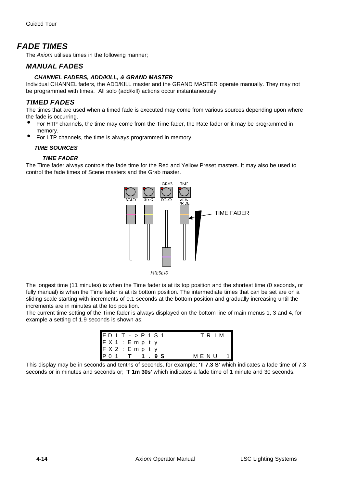# *FADE TIMES*

The *Axiom* utilises times in the following manner;

### *MANUAL FADES*

### *CHANNEL FADERS, ADD/KILL, & GRAND MASTER*

Individual CHANNEL faders, the ADD/KILL master and the GRAND MASTER operate manually. They may not be programmed with times. All solo (add/kill) actions occur instantaneously.

### *TIMED FADES*

The times that are used when a timed fade is executed may come from various sources depending upon where the fade is occurring.

- For HTP channels, the time may come from the Time fader, the Rate fader or it may be programmed in memory.
- For LTP channels, the time is always programmed in memory.

### *TIME SOURCES*

### *TIME FADER*

The Time fader always controls the fade time for the Red and Yellow Preset masters. It may also be used to control the fade times of Scene masters and the Grab master.



The longest time (11 minutes) is when the Time fader is at its top position and the shortest time (0 seconds, or fully manual) is when the Time fader is at its bottom position. The intermediate times that can be set are on a sliding scale starting with increments of 0.1 seconds at the bottom position and gradually increasing until the increments are in minutes at the top position.

The current time setting of the Time fader is always displayed on the bottom line of main menus 1, 3 and 4, for example a setting of 1.9 seconds is shown as;

| $EDIT - > P1S1$                      |  |  |      | TRIM |             |
|--------------------------------------|--|--|------|------|-------------|
| FX1: Empty                           |  |  |      |      |             |
| F X 2 : E m p t y<br>P 0 1 T 1 . 9 S |  |  |      |      |             |
|                                      |  |  | MENU |      | $\mathbf 1$ |

This display may be in seconds and tenths of seconds, for example; **'T 7.3 S'** which indicates a fade time of 7.3 seconds or in minutes and seconds or; **'T 1m 30s'** which indicates a fade time of 1 minute and 30 seconds.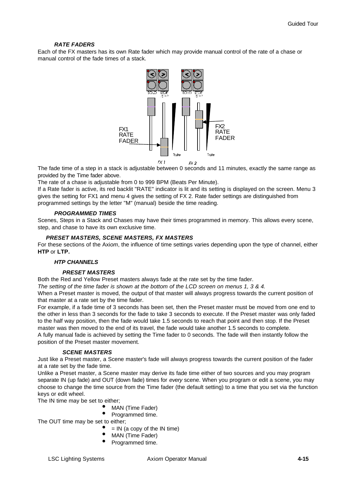### *RATE FADERS*

Each of the FX masters has its own Rate fader which may provide manual control of the rate of a chase or manual control of the fade times of a stack.



The fade time of a step in a stack is adjustable between 0 seconds and 11 minutes, exactly the same range as provided by the Time fader above.

The rate of a chase is adjustable from 0 to 999 BPM (Beats Per Minute).

If a Rate fader is active, its red backlit "RATE" indicator is lit and its setting is displayed on the screen. Menu 3 gives the setting for FX1 and menu 4 gives the setting of FX 2. Rate fader settings are distinguished from programmed settings by the letter "M" (manual) beside the time reading.

#### *PROGRAMMED TIMES*

Scenes, Steps in a Stack and Chases may have their times programmed in memory. This allows every scene, step, and chase to have its own exclusive time.

#### *PRESET MASTERS, SCENE MASTERS, FX MASTERS*

For these sections of the Axi*om*, the influence of time settings varies depending upon the type of channel, either **HTP** or **LTP.**

### *HTP CHANNELS*

### *PRESET MASTERS*

Both the Red and Yellow Preset masters always fade at the rate set by the time fader.

*The setting of the time fader is shown at the bottom of the LCD screen on menus 1, 3 & 4*.

When a Preset master is moved, the output of that master will always progress towards the current position of that master at a rate set by the time fader.

For example, if a fade time of 3 seconds has been set, then the Preset master must be moved from one end to the other in less than 3 seconds for the fade to take 3 seconds to execute. If the Preset master was only faded to the half way position, then the fade would take 1.5 seconds to reach that point and then stop. If the Preset master was then moved to the end of its travel, the fade would take another 1.5 seconds to complete. A fully manual fade is achieved by setting the Time fader to 0 seconds. The fade will then instantly follow the position of the Preset master movement.

### *SCENE MASTERS*

Just like a Preset master, a Scene master's fade will always progress towards the current position of the fader at a rate set by the fade time.

Unlike a Preset master, a Scene master may derive its fade time either of two sources and you may program separate IN (up fade) and OUT (down fade) times for *every* scene. When you program or edit a scene, you may choose to change the time source from the Time fader (the default setting) to a time that you set via the function keys or edit wheel.

The IN time may be set to either;

- MAN (Time Fader)
- Programmed time.

The OUT time may be set to either;

- $=$  IN (a copy of the IN time)
- MAN (Time Fader)
- Programmed time.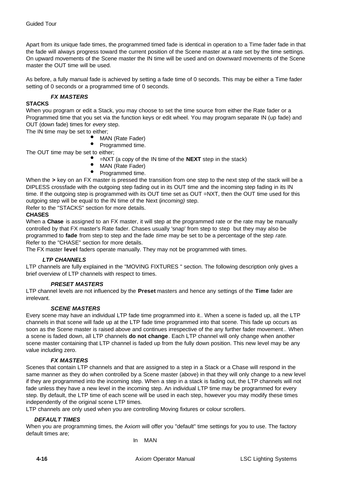Apart from its unique fade times, the programmed timed fade is identical in operation to a Time fader fade in that the fade will always progress toward the current position of the Scene master at a rate set by the time settings. On upward movements of the Scene master the IN time will be used and on downward movements of the Scene master the OUT time will be used.

As before, a fully manual fade is achieved by setting a fade time of 0 seconds. This may be either a Time fader setting of 0 seconds or a programmed time of 0 seconds.

### *FX MASTERS*

### **STACKS**

When you program or edit a Stack, you may choose to set the time source from either the Rate fader or a Programmed time that you set via the function keys or edit wheel. You may program separate IN (up fade) and OUT (down fade) times for *every* step.

The IN time may be set to either;

- MAN (Rate Fader)<br>• Programmed time
	- Programmed time.

The OUT time may be set to either;

- =NXT (a copy of the IN time of the **NEXT** step in the stack)
- MAN (Rate Fader)<br>• Programmed time
- Programmed time.

When the  $>$  key on an FX master is pressed the transition from one step to the next step of the stack will be a DIPLESS crossfade with the outgoing step fading out in its OUT time and the incoming step fading in its IN time. If the outgoing step is programmed with its OUT time set as OUT =NXT, then the OUT time used for this outgoing step will be equal to the IN time of the Next (*incoming)* step.

Refer to the "STACKS" section for more details.

#### **CHASES**

When a **Chase** is assigned to an FX master, it will step at the programmed rate or the rate may be manually controlled by that FX master's Rate fader. Chases usually 'snap' from step to step but they may also be programmed to **fade** from step to step and the fade *time* may be set to be a percentage of the step *rate*. Refer to the "CHASE" section for more details.

The FX master **level** faders operate manually. They may not be programmed with times.

#### *LTP CHANNELS*

LTP channels are fully explained in the "MOVING FIXTURES " section. The following description only gives a brief overview of LTP channels with respect to times.

#### *PRESET MASTERS*

LTP channel levels are not influenced by the **Preset** masters and hence any settings of the **Time** fader are irrelevant.

### *SCENE MASTERS*

Every scene may have an individual LTP fade time programmed into it.. When a scene is faded up, all the LTP channels in that scene will fade up at the LTP fade time programmed into that scene. This fade up occurs as soon as the Scene master is raised above and continues irrespective of the any further fader movement.. When a scene is faded down, all LTP channels **do not change**. Each LTP channel will only change when another scene master containing that LTP channel is faded up from the fully down position. This new level may be any value including zero.

### *FX MASTERS*

Scenes that contain LTP channels and that are assigned to a step in a Stack or a Chase will respond in the same manner as they do when controlled by a Scene master (above) in that they will only change to a new level if they are programmed into the incoming step. When a step in a stack is fading out, the LTP channels will not fade unless they have a new level in the incoming step. An individual LTP time may be programmed for every step. By default, the LTP time of each scene will be used in each step, however you may modify these times independently of the original scene LTP times.

LTP channels are only used when you are controlling Moving fixtures or colour scrollers.

### *DEFAULT TIMES*

When you are programming times, the Axi*om* will offer you "default" time settings for you to use. The factory default times are;

In MAN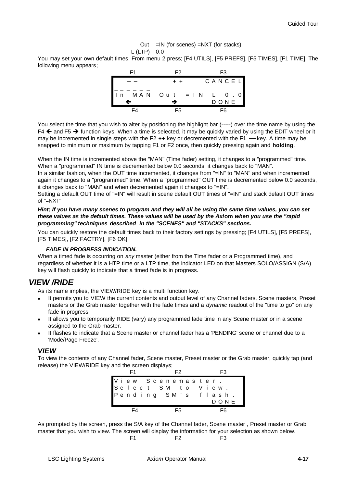Out =IN (for scenes) =NXT (for stacks)

$$
L(LTP) \quad 0.0
$$

You may set your own default times. From menu 2 press; [F4 UTILS], [F5 PREFS], [F5 TIMES], [F1 TIME]. The following menu appears;

| Γ1 | F2    | F3                               |
|----|-------|----------------------------------|
|    | $+ +$ | CANCEL                           |
| ←  |       | In MAN Out = $ N L 0.0 $<br>DONE |
|    | F5    |                                  |

You select the time that you wish to alter by positioning the highlight bar (-----) over the time name by using the  $F_4$   $\leftarrow$  and F5  $\rightarrow$  function keys. When a time is selected, it may be quickly varied by using the EDIT wheel or it may be incremented in single steps with the F2 **++** key or decremented with the F1 **--** key. A time may be snapped to minimum or maximum by tapping F1 or F2 once, then quickly pressing again and **holding**.

When the IN time is incremented above the "MAN" (Time fader) setting, it changes to a "programmed" time. When a "programmed" IN time is decremented below 0.0 seconds, it changes back to "MAN".

In a similar fashion, when the OUT time incremented, it changes from "=IN" to "MAN" and when incremented again it changes to a "programmed" time. When a "programmed" OUT time is decremented below 0.0 seconds, it changes back to "MAN" and when decremented again it changes to "=IN".

Setting a default OUT time of "=IN" will result in scene default OUT times of "=IN" and stack default OUT times of "=NXT"

*Hint; If you have many scenes to program and they will all be using the same time values, you can set these values as the default times. These values will be used by the Axi***om** *when you use the "rapid programming" techniques described in the "SCENES" and "STACKS" sections.*

You can quickly restore the default times back to their factory settings by pressing; [F4 UTILS], [F5 PREFS], [F5 TIMES], [F2 FACTRY], [F6 OK].

#### *FADE IN PROGRESS INDICATION.*

When a timed fade is occurring on *any* master (either from the Time fader or a Programmed time), and regardless of whether it is a HTP time or a LTP time, the indicator LED on that Masters SOLO/ASSIGN (S/A) key will flash quickly to indicate that a timed fade is in progress.

## *VIEW /RIDE*

As its name implies, the VIEW/RIDE key is a multi function key.

- It permits you to VIEW the current contents and output level of any Channel faders, Scene masters, Preset masters or the Grab master together with the fade times and a *dynamic* readout of the "time to go" on any fade in progress.
- It allows you to temporarily RIDE (vary) any programmed fade time in any Scene master or in a scene assigned to the Grab master.
- It flashes to indicate that a Scene master or channel fader has a 'PENDING' scene or channel due to a 'Mode/Page Freeze'.

#### *VIEW*

To view the contents of any Channel fader, Scene master, Preset master or the Grab master, quickly tap (and release) the VIEW/RIDE key and the screen displays;

| View Scenemaster.                         |      |
|-------------------------------------------|------|
| Select SM to View.<br>Pending SM's flash. |      |
|                                           |      |
|                                           | DONE |
|                                           |      |

As prompted by the screen, press the S/A key of the Channel fader, Scene master , Preset master or Grab master that you wish to view. The screen will display the information for your selection as shown below.

| Ξ4. | ニク<br>г<br>г | F3 |
|-----|--------------|----|
|-----|--------------|----|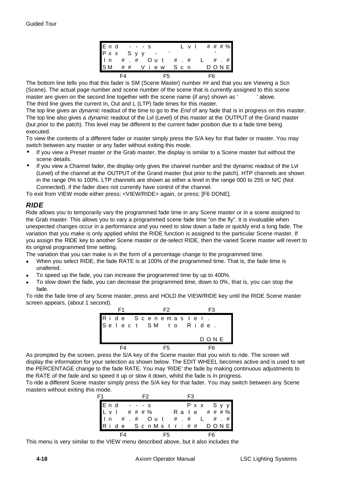|  |  |    |  |  | End ---s<br>Pxx Syy - ' ' '<br>In # # Out # # L # #<br>SM ## View Scn DONE |  |  |  |    |  |  |
|--|--|----|--|--|----------------------------------------------------------------------------|--|--|--|----|--|--|
|  |  | FΔ |  |  | F5.                                                                        |  |  |  | F6 |  |  |

The bottom line tells you that this fader is SM (Scene Master) number ## and that you are Viewing a Scn (Scene). The actual page number and scene number of the scene that is currently assigned to this scene master are given on the second line together with the scene name (if any) shown as ' above. The third line gives the current In, Out and L (LTP) fade times for this master.

The top line gives an *dynamic* readout of the time to go to the *End* of any fade that is in progress on this master. The top line also gives a *dynamic* readout of the Lvl (Level) of this master at the OUTPUT of the Grand master (but prior to the patch). This level may be different to the current fader position due to a fade time being executed.

To view the contents of a different fader or master simply press the S/A key for that fader or master. You may switch between any master or any fader without exiting this mode.

- If you view a Preset master or the Grab master, the display is similar to a Scene master but without the scene details.
- If you view a Channel fader, the display only gives the channel number and the dynamic readout of the Lvl (Level) of the channel at the OUTPUT of the Grand master (but prior to the patch). HTP channels are shown in the range 0% to 100%. LTP channels are shown as either a level in the range 000 to 255 or N/C (Not Connected), if the fader does not currently have control of the channel.

To exit from VIEW mode either press; <VIEW/RIDE> again, or press; [F6 DONE].

## *RIDE*

Ride allows you to temporarily vary the programmed fade time in any Scene master or in a scene assigned to the Grab master. This allows you to vary a programmed scene fade time "on the fly". It is invaluable when unexpected changes occur in a performance and you need to slow down a fade or quickly end a long fade. The variation that you make is only applied whilst the RIDE function is assigned to the particular Scene master. If you assign the RIDE key to another Scene master or de-select RIDE, then the varied Scene master will revert to its original programmed time setting.

The variation that you can make is in the form of a percentage change to the programmed time.

- <sup>l</sup> When you select RIDE, the fade RATE is at 100% of the programmed time. That is, the fade time is unaltered.
- To speed up the fade, you can increase the programmed time by up to 400%.
- To slow down the fade, you can decrease the programmed time, down to 0%, that is, you can stop the fade.

To ride the fade time of any Scene master, press and HOLD the VIEW/RIDE key until the RIDE Scene master screen appears, (about 1 second).

|                                         |  |  |  |  | F2. |  |  | F3   |  |
|-----------------------------------------|--|--|--|--|-----|--|--|------|--|
| Ride Scenemaster.<br>Select SM to Ride. |  |  |  |  |     |  |  |      |  |
|                                         |  |  |  |  |     |  |  | DONE |  |
|                                         |  |  |  |  |     |  |  |      |  |

As prompted by the screen, press the S/A key of the Scene master that you wish to ride. The screen will display the information for your selection as shown below. The EDIT WHEEL becomes active and is used to set the PERCENTAGE change to the fade RATE. You may 'RIDE' the fade by making continuous adjustments to the RATE of the fade and so speed it up or slow it down, whilst the fade is in progress.

To ride a different Scene master simply press the S/A key for that fader. You may switch between any Scene masters without exiting this mode.

| End ---s<br>Lvl ###% Rate ###%<br>In #.# Out #.# L #.#<br>Ride ScnMstr:## DONE |  |  |  |  |    |  |  |  |  |  |
|--------------------------------------------------------------------------------|--|--|--|--|----|--|--|--|--|--|
|                                                                                |  |  |  |  |    |  |  |  |  |  |
|                                                                                |  |  |  |  |    |  |  |  |  |  |
|                                                                                |  |  |  |  |    |  |  |  |  |  |
|                                                                                |  |  |  |  | F5 |  |  |  |  |  |

This menu is very similar to the VIEW menu described above, but it also includes the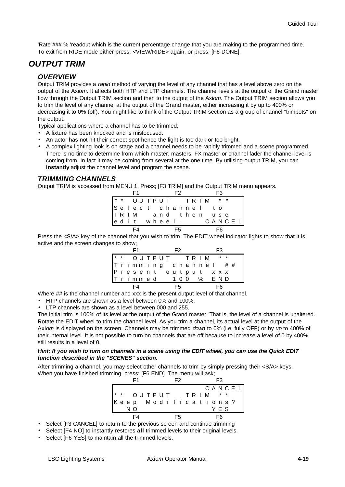'Rate ### % 'readout which is the current percentage change that you are making to the programmed time. To exit from RIDE mode either press; <VIEW/RIDE> again, or press; [F6 DONE].

## *OUTPUT TRIM*

## *OVERVIEW*

Output TRIM provides a *rapid* method of varying the level of any channel that has a level above zero on the output of the Axi*om*. It affects both HTP and LTP channels. The channel levels at the output of the Grand master flow through the Output TRIM section and then to the output of the Axi*om*. The Output TRIM section allows you to trim the level of any channel at the output of the Grand master, either increasing it by up to 400% or decreasing it to 0% (off). You might like to think of the Output TRIM section as a group of channel "trimpots" on the output.

Typical applications where a channel has to be trimmed;

- A fixture has been knocked and is misfocused.
- An actor has not hit their correct spot hence the light is too dark or too bright.
- A complex lighting look is on stage and a channel needs to be rapidly trimmed and a scene programmed. There is no time to determine from which master, masters, FX master or channel fader the channel level is coming from. In fact it may be coming from several at the one time. By utilising output TRIM, you can **instantly** adjust the channel level and program the scene.

### *TRIMMING CHANNELS*

Output TRIM is accessed from MENU 1. Press; [F3 TRIM] and the Output TRIM menu appears.

|  |  |  |  |  |     |  |  | F3 |  |                                                                                   |
|--|--|--|--|--|-----|--|--|----|--|-----------------------------------------------------------------------------------|
|  |  |  |  |  |     |  |  |    |  |                                                                                   |
|  |  |  |  |  |     |  |  |    |  |                                                                                   |
|  |  |  |  |  |     |  |  |    |  |                                                                                   |
|  |  |  |  |  |     |  |  |    |  | ** OUTPUT TRIM **<br>Select channel to<br>TRIM and then use<br>edit wheel. CANCEL |
|  |  |  |  |  | F5. |  |  | FR |  |                                                                                   |

Press the <S/A> key of the channel that you wish to trim. The EDIT wheel indicator lights to show that it is active and the screen changes to show;

|  |  |  |  |  |     |  |  |  | ** OUTPUT TRIM **<br>Trimming channel ##<br>Present output xxx<br>Trimmed 100 % END |  |
|--|--|--|--|--|-----|--|--|--|-------------------------------------------------------------------------------------|--|
|  |  |  |  |  |     |  |  |  |                                                                                     |  |
|  |  |  |  |  |     |  |  |  |                                                                                     |  |
|  |  |  |  |  |     |  |  |  |                                                                                     |  |
|  |  |  |  |  | F5. |  |  |  |                                                                                     |  |

Where ## is the channel number and xxx is the present output level of that channel.

- HTP channels are shown as a level between 0% and 100%.
- LTP channels are shown as a level between 000 and 255.

The initial trim is 100% of its level at the output of the Grand master. That is, the level of a channel is unaltered. Rotate the EDIT wheel to trim the channel level. As you trim a channel, its actual level at the output of the Axi*om* is displayed on the screen. Channels may be trimmed *down* to 0% (i.e. fully OFF) or by *up* to 400% of their internal level. It is not possible to turn on channels that are off because to increase a level of 0 by 400% still results in a level of 0.

#### *Hint; If you wish to turn on channels in a scene using the EDIT wheel, you can use the Quick EDIT function described in the "SCENES" section.*

After trimming a channel, you may select other channels to trim by simply pressing their <S/A> keys. When you have finished trimming, press; [F6 END]. The menu will ask;

|                     |  |     |  |  |  | F2 |               |  | F3  |  |        |
|---------------------|--|-----|--|--|--|----|---------------|--|-----|--|--------|
|                     |  |     |  |  |  |    |               |  |     |  | CANCEL |
|                     |  |     |  |  |  |    | * OUTPUT TRIM |  |     |  |        |
| Keep Modifications? |  |     |  |  |  |    |               |  |     |  |        |
|                     |  | N O |  |  |  |    |               |  | YES |  |        |
|                     |  |     |  |  |  | F5 |               |  | FR  |  |        |

- Select [F3 CANCEL] to return to the previous screen and continue trimming
- Select [F4 NO] to instantly restores **all** trimmed levels to their original levels.
- Select [F6 YES] to maintain all the trimmed levels.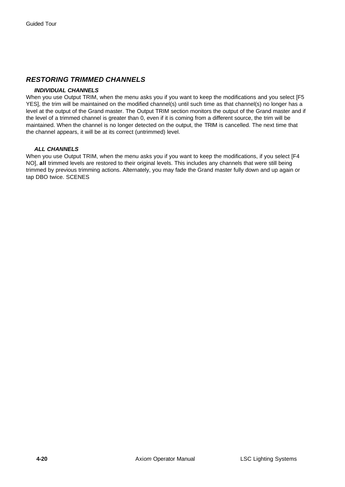## *RESTORING TRIMMED CHANNELS*

#### *INDIVIDUAL CHANNELS*

When you use Output TRIM, when the menu asks you if you want to keep the modifications and you select [F5 YES], the trim will be maintained on the modified channel(s) until such time as that channel(s) no longer has a level at the output of the Grand master. The Output TRIM section monitors the output of the Grand master and if the level of a trimmed channel is greater than 0, even if it is coming from a different source, the trim will be maintained. When the channel is no longer detected on the output, the TRIM is cancelled. The next time that the channel appears, it will be at its correct (untrimmed) level.

#### *ALL CHANNELS*

When you use Output TRIM, when the menu asks you if you want to keep the modifications, if you select [F4 NO], **all** trimmed levels are restored to their original levels. This includes any channels that were still being trimmed by previous trimming actions. Alternately, you may fade the Grand master fully down and up again or tap DBO twice. SCENES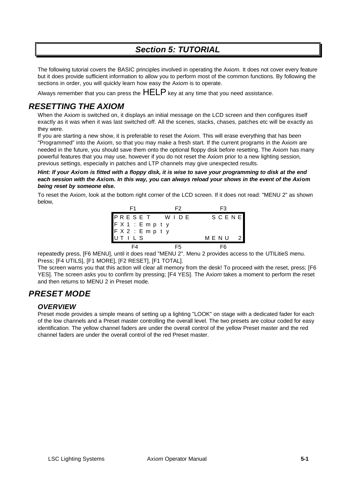# *Section 5: TUTORIAL*

The following tutorial covers the BASIC principles involved in operating the Axi*om.* It does not cover every feature but it does provide sufficient information to allow you to perform most of the common functions. By following the sections in order, you will quickly learn how easy the Axi*om* is to operate.

Always remember that you can press the  $HELP$  key at any time that you need assistance.

## *RESETTING THE AXIOM*

When the Axi*om* is switched on, it displays an initial message on the LCD screen and then configures itself exactly as it was when it was last switched off. All the scenes, stacks, chases, patches etc will be exactly as they were.

If you are starting a new show, it is preferable to reset the Axi*om.* This will erase everything that has been "Programmed" into the Axi*om*, so that you may make a fresh start. If the current programs in the Axi*om* are needed in the future, you should save them onto the optional floppy disk before resetting. The Axi*om* has many powerful features that you may use, however if you do not reset the Axi*om* prior to a new lighting session*,* previous settings, especially in patches and LTP channels may give unexpected results.

*Hint: If your Axi***om** *is fitted with a floppy disk, it is wise to save your programming to disk at the end each session with the Axi***om***. In this way, you can always reload your shows in the event of the Axi***om** *being reset by someone else.*

To reset the Axi*om*, look at the bottom right corner of the LCD screen. If it does not read: "MENU 2" as shown below,

|             | F2. | F3    |
|-------------|-----|-------|
| PRESET WIDE |     | SCENE |
| FX1: Empty  |     |       |
| FX2: Empty  |     |       |
| UTILS       |     | MENU  |
| FΔ          | F5  | FR    |

repeatedly press, [F6 MENU], until it does read "MENU 2". Menu 2 provides access to the UTILitieS menu. Press; [F4 UTILS], [F1 MORE], [F2 RESET], [F1 TOTAL].

The screen warns you that this action will clear all memory from the desk! To proceed with the reset, press; [F6 YES]. The screen asks you to confirm by pressing; [F4 YES]. The Axi*om* takes a moment to perform the reset and then returns to MENU 2 in Preset mode.

# *PRESET MODE*

## *OVERVIEW*

Preset mode provides a simple means of setting up a lighting "LOOK" on stage with a dedicated fader for each of the low channels and a Preset master controlling the overall level. The two presets are colour coded for easy identification. The yellow channel faders are under the overall control of the yellow Preset master and the red channel faders are under the overall control of the red Preset master.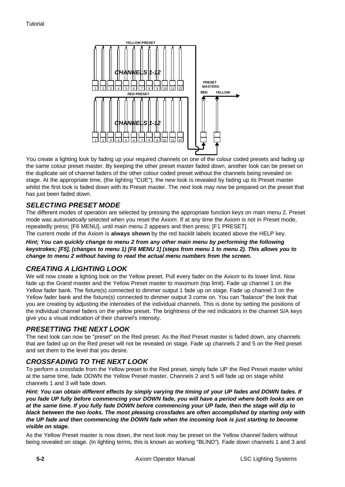

You create a lighting look by fading up your required channels on one of the colour coded presets and fading up the same colour preset master. By keeping the other preset master faded down, another look can be preset on the duplicate set of channel faders of the other colour coded preset without the channels being revealed on stage. At the appropriate time, (the lighting "CUE"), the new look is revealed by fading up its Preset master whilst the first look is faded down with its Preset master. The *next* look may now be prepared on the preset that has just been faded down.

## *SELECTING PRESET MODE*

The different modes of operation are selected by pressing the appropriate function keys on main menu 2. Preset mode was *automatically* selected when you reset the Axi*om*. If at any time the Axi*om* is not in Preset mode, repeatedly press; [F6 MENU], until main menu 2 appears and then press; [F1 PRESET]. The current mode of the Axi*om* is **always shown** by the red backlit labels located above the HELP key.

*Hint; You can quickly change to menu 2 from any other main menu by performing the following keystrokes; [F5], (changes to menu 1) [F6 MENU 1] (steps from menu 1 to menu 2). This allows you to change to menu 2 without having to read the actual menu numbers from the screen.*

## *CREATING A LIGHTING LOOK*

We will now create a lighting look on the Yellow preset. Pull every fader on the Axi*om* to its lower limit. Now fade up the Grand master and the Yellow Preset master to maximum (top limit). Fade up channel 1 on the Yellow fader bank. The fixture(s) connected to dimmer output 1 fade up on stage. Fade up channel 3 on the Yellow fader bank and the fixture(s) connected to dimmer output 3 come on. You can "balance" the look that you are creating by adjusting the intensities of the individual channels. This is done by setting the positions of the individual channel faders on the yellow preset. The brightness of the red indicators in the channel S/A keys give you a visual indication of their channel's intensity.

## *PRESETTING THE NEXT LOOK*

The next look can now be "preset" on the Red preset. As the Red Preset master is faded down, any channels that are faded up on the Red preset will not be revealed on stage. Fade up channels 2 and 5 on the Red preset and set them to the level that you desire.

## *CROSSFADING TO THE NEXT LOOK*

To perform a crossfade from the Yellow preset to the Red preset, simply fade UP the Red Preset master whilst at the same time, fade DOWN the Yellow Preset master. Channels 2 and 5 will fade up on stage whilst channels 1 and 3 will fade down.

*Hint: You can obtain different effects by simply varying the timing of your UP fades and DOWN fades. If you fade UP fully before commencing your DOWN fade, you will have a period where both looks are on at the same time. If you fully fade DOWN before commencing your UP fade, then the stage will dip to black between the two looks. The most pleasing crossfades are often accomplished by starting only with the UP fade and then commencing the DOWN fade when the incoming look is just starting to become visible on stage.*

As the Yellow Preset master is now down, the next look may be preset on the Yellow channel faders without being revealed on stage. (In lighting terms, this is known as working "BLIND"). Fade down channels 1 and 3 and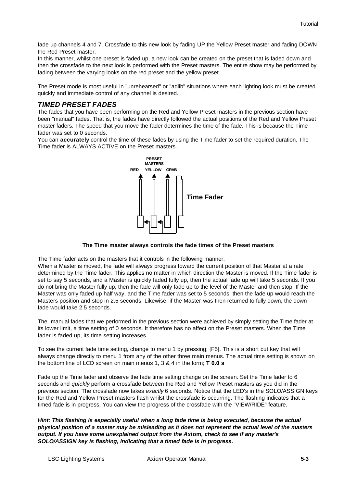fade up channels 4 and 7. Crossfade to this new look by fading UP the Yellow Preset master and fading DOWN the Red Preset master.

In this manner, whilst one preset is faded up, a new look can be created on the preset that is faded down and then the crossfade to the next look is performed with the Preset masters. The entire show may be performed by fading between the varying looks on the red preset and the yellow preset.

The Preset mode is most useful in "unrehearsed" or "adlib" situations where each lighting look must be created quickly and immediate control of any channel is desired.

## *TIMED PRESET FADES*

The fades that you have been performing on the Red and Yellow Preset masters in the previous section have been "manual" fades. That is, the fades have directly followed the actual positions of the Red and Yellow Preset master faders. The speed that you move the fader determines the time of the fade. This is because the Time fader was set to 0 seconds.

You can **accurately** control the time of these fades by using the Time fader to set the required duration. The Time fader is ALWAYS ACTIVE on the Preset masters.



#### **The Time master always controls the fade times of the Preset masters**

The Time fader acts on the masters that it controls in the following manner.

When a Master is moved, the fade will always progress toward the current position of that Master at a rate determined by the Time fader. This applies no matter in which direction the Master is moved. If the Time fader is set to say 5 seconds, and a Master is quickly faded fully up, then the actual fade up will take 5 seconds. If you do not bring the Master fully up, then the fade will only fade up to the level of the Master and then stop. If the Master was only faded up half way, and the Time fader was set to 5 seconds, then the fade up would reach the Masters position and stop in 2.5 seconds. Likewise, if the Master was then returned to fully down, the down fade would take 2.5 seconds.

The manual fades that we performed in the previous section were achieved by simply setting the Time fader at its lower limit, a time setting of 0 seconds. It therefore has no affect on the Preset masters. When the Time fader is faded up, its time setting increases.

To see the current fade time setting, change to menu 1 by pressing; [F5]. This is a short cut key that will always change directly to menu 1 from any of the other three main menus. The actual time setting is shown on the bottom line of LCD screen on main menus 1, 3 & 4 in the form; **T 0.0 s**

Fade up the Time fader and observe the fade time setting change on the screen. Set the Time fader to 6 seconds and *quickly* perform a crossfade between the Red and Yellow Preset masters as you did in the previous section. The crossfade now takes *exactly* 6 seconds. Notice that the LED's in the SOLO/ASSIGN keys for the Red and Yellow Preset masters flash whilst the crossfade is occurring. The flashing indicates that a timed fade is in progress. You can view the progress of the crossfade with the "VIEW/RIDE" feature.

*Hint: This flashing is especially useful when a long fade time is being executed, because the actual physical position of a master may be misleading as it does not represent the actual level of the masters output. If you have some unexplained output from the Axi***om***, check to see if any master's SOLO/ASSIGN key is flashing, indicating that a timed fade is in progress.*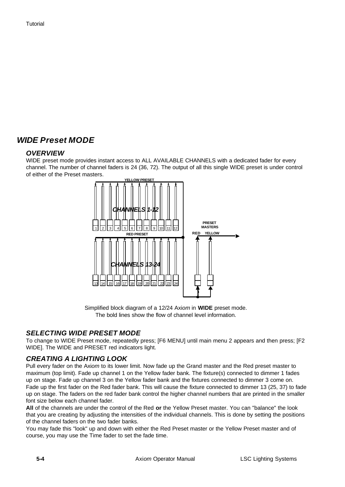## *WIDE Preset MODE*

### *OVERVIEW*

WIDE preset mode provides instant access to ALL AVAILABLE CHANNELS with a dedicated fader for every channel. The number of channel faders is 24 (36, 72). The output of all this single WIDE preset is under control of either of the Preset masters.



Simplified block diagram of a 12/24 Axi*om* in **WIDE** preset mode. The bold lines show the flow of channel level information.

## *SELECTING WIDE PRESET MODE*

To change to WIDE Preset mode, repeatedly press; [F6 MENU] until main menu 2 appears and then press; [F2 WIDE]. The WIDE and PRESET red indicators light.

## *CREATING A LIGHTING LOOK*

Pull every fader on the Axi*om* to its lower limit. Now fade up the Grand master and the Red preset master to maximum (top limit). Fade up channel 1 on the Yellow fader bank. The fixture(s) connected to dimmer 1 fades up on stage. Fade up channel 3 on the Yellow fader bank and the fixtures connected to dimmer 3 come on. Fade up the first fader on the Red fader bank. This will cause the fixture connected to dimmer 13 (25, 37) to fade up on stage. The faders on the red fader bank control the higher channel numbers that are printed in the smaller font size below each channel fader.

**All** of the channels are under the control of the Red **or** the Yellow Preset master. You can "balance" the look that you are creating by adjusting the intensities of the individual channels. This is done by setting the positions of the channel faders on the two fader banks.

You may fade this "look" up and down with either the Red Preset master or the Yellow Preset master and of course, you may use the Time fader to set the fade time.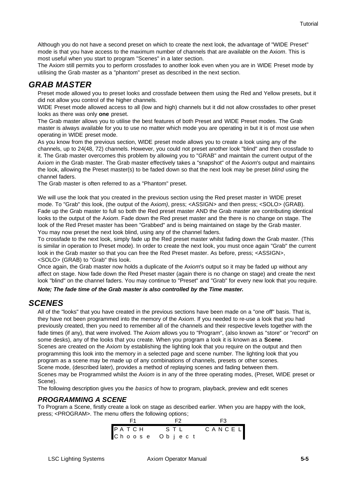Although you do not have a second preset on which to create the next look, the advantage of "WIDE Preset" mode is that you have access to the maximum number of channels that are available on the Axi*om*. This is most useful when you start to program "Scenes" in a later section.

The Axi*om* still permits you to perform crossfades to another look even when you are in WIDE Preset mode by utilising the Grab master as a "phantom" preset as described in the next section.

## *GRAB MASTER*

Preset mode allowed you to preset looks and crossfade between them using the Red and Yellow presets, but it did not allow you control of the higher channels.

WIDE Preset mode allowed access to all (low and high) channels but it did not allow crossfades to other preset looks as there was only **one** preset.

The Grab master allows you to utilise the best features of both Preset and WIDE Preset modes. The Grab master is always available for you to use no matter which mode you are operating in but it is of most use when operating in WIDE preset mode.

As you know from the previous section, WIDE preset mode allows you to create a look using any of the channels, up to 24(48, 72) channels. However, you could not preset another look "blind" and then crossfade to it. The Grab master overcomes this problem by allowing you to "GRAB" and maintain the current output of the Axi*om* in the Grab master. The Grab master effectively takes a "snapshot" of the Axi*om*'s output and maintains the look, allowing the Preset master(s) to be faded down so that the next look may be preset *blind* using the channel faders.

The Grab master is often referred to as a "Phantom" preset.

We will use the look that you created in the previous section using the Red preset master in WIDE preset mode. To "Grab" this look, (the output of the Axi*om)*, press; <ASSIGN> and then press; <SOLO> (GRAB). Fade up the Grab master to full so both the Red preset master AND the Grab master are contributing identical looks to the output of the Axi*om*. Fade down the Red preset master and the there is no change on stage. The look of the Red Preset master has been "Grabbed" and is being maintained on stage by the Grab master. You may now preset the next look blind, using any of the channel faders.

To crossfade to the next look, simply fade up the Red preset master whilst fading down the Grab master. (This is similar in operation to Preset mode). In order to create the next look, you must once again "Grab" the current look in the Grab master so that you can free the Red Preset master. As before, press; <ASSIGN>, <SOLO> (GRAB) to "Grab" this look.

Once again, the Grab master now holds a duplicate of the Axi*om*'s output so it may be faded up without any affect on stage. Now fade down the Red Preset master (again there is no change on stage) and create the next look "blind" on the channel faders. You may continue to "Preset" and "Grab" for every new look that you require.

*Note; The fade time of the Grab master is also controlled by the Time master.*

## *SCENES*

All of the "looks" that you have created in the previous sections have been made on a "one off" basis. That is, they have not been programmed into the memory of the Axi*om*. If you needed to re-use a look that you had previously created, then you need to remember all of the channels and their respective levels together with the fade times (if any), that were involved. The Axi*om* allows you to "Program", (also known as "store" or "record" on some desks), any of the looks that you create. When you program a look it is known as a **Scene**. Scenes are created on the Axi*om* by establishing the lighting look that you require on the output and then programming this look into the memory in a selected page and scene number. The lighting look that you program as a scene may be made up of any combinations of channels, presets or other scenes. Scene mode, (described later), provides a method of replaying scenes and fading between them. Scenes may be Programmed whilst the Axi*om* is in any of the three operating modes, (Preset, WIDE preset or Scene).

The following description gives you the *basics* of how to program, playback, preview and edit scenes

## *PROGRAMMING A SCENE*

To Program a Scene, firstly create a look on stage as described earlier. When you are happy with the look, press; <PROGRAM>. The menu offers the following options;

 F1 F2 F3 P A T C H S T L C A N C E L C h o o s e O b j e c t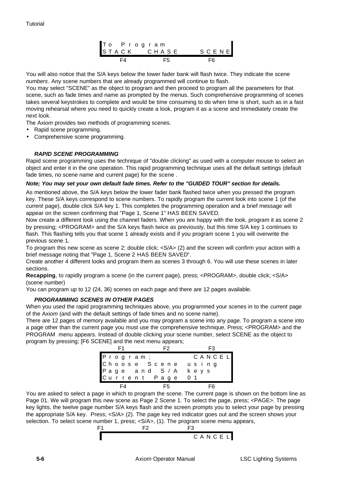T o P r o g r a m S T A C K C H A S E S C E N E F4 F5 F6

You will also notice that the S/A keys below the lower fader bank will flash twice. They indicate the scene *numbers*. Any scene numbers that are already programmed will continue to flash.

You may select "SCENE" as the object to program and then proceed to program all the parameters for that scene, such as fade times and name as prompted by the menus. Such comprehensive programming of scenes takes several keystrokes to complete and would be time consuming to do when time is short, such as in a fast moving rehearsal where you need to quickly create a look, program it as a scene and immediately create the next look.

The Axi*om* provides two methods of programming scenes.

- Rapid scene programming.
- Comprehensive scene programming.

#### *RAPID SCENE PROGRAMMING*

Rapid scene programming uses the technique of "double clicking" as used with a computer mouse to select an object and enter it in the one operation. This rapid programming technique uses all the default settings (default fade times, no scene name and current page) for the scene .

#### *Note; You may set your own default fade times. Refer to the "GUIDED TOUR" section for details.*

As mentioned above, the S/A keys below the lower fader bank flashed twice when you pressed the program key. These S/A keys correspond to scene numbers. To rapidly program the current look into scene 1 (of the *current* page), double click S/A key 1. This completes the programming operation and a brief message will appear on the screen confirming that "Page 1, Scene 1" HAS BEEN SAVED.

Now create a different look using the channel faders. When you are happy with the look, program it as scene 2 by pressing; <PROGRAM> and the S/A keys flash twice as previously, but this time S/A key 1 continues to flash. This flashing tells you that scene 1 already exists and if you program scene 1 you will overwrite the previous scene 1.

To program this new scene as scene 2; double click; <S/A> (2) and the screen will confirm your action with a brief message noting that "Page 1, Scene 2 HAS BEEN SAVED".

Create another 4 different looks and program them as scenes 3 through 6. You will use these scenes in later sections.

**Recapping**, to rapidly program a scene (in the current page), press; <PROGRAM>, double click; <S/A> (scene number)

You can program up to 12 (24, 36) scenes on each page and there are 12 pages available.

#### *PROGRAMMING SCENES IN OTHER PAGES*

When you used the rapid programming techniques above, you programmed your scenes in to the *current* page of the Axi*om* (and with the default settings of fade times and no scene name).

There are 12 pages of memory available and you may program a scene into any page. To program a scene into a page other than the current page you must use the comprehensive technique. Press; <PROGRAM> and the PROGRAM menu appears. Instead of double clicking your scene number, select SCENE as the object to program by pressing; [F6 SCENE] and the next menu appears;

|              | F2.                | F3     |
|--------------|--------------------|--------|
| Program;     |                    | CANCEL |
|              | Choose Scene using |        |
|              | Page and S/A keys  |        |
| Current Page |                    | 01     |
|              | F5                 |        |

You are asked to select a page in which to program the scene. The current page is shown on the bottom line as Page 01. We will program this new scene as Page 2 Scene 1. To select the page, press; <PAGE>. The page key lights, the twelve page number S/A keys flash and the screen prompts you to select your page by pressing the appropriate S/A key. Press; <S/A> (2). The page key red indicator goes out and the screen shows your selection. To select scene number 1, press; <S/A>, (1). The program scene menu appears,

 F1 F2 F3 C A N C E L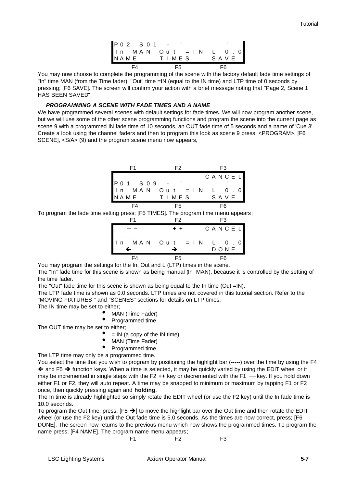P 0 2 S 0 1 - ' ' I n M A N O u t = I N L 0 . 0 N A M E T I M E S S A V E F4 F5 F6

You may now choose to complete the programming of the scene with the factory default fade time settings of "In" time MAN (from the Time fader), "Out" time =IN (equal to the IN time) and LTP time of 0 seconds by pressing; [F6 SAVE]. The screen will confirm your action with a brief message noting that "Page 2, Scene 1 HAS BEEN SAVED".

#### *PROGRAMMING A SCENE WITH FADE TIMES AND A NAME*

We have programmed several scenes with default settings for fade times. We will now program another scene, but we will use some of the other scene programming functions and program the scene into the current page as scene 9 with a programmed IN fade time of 10 seconds, an OUT fade time of 5 seconds and a name of 'Cue 3'. Create a look using the channel faders and then to program this look as scene 9 press; <PROGRAM>, [F6 SCENE], <S/A> (9) and the program scene menu now appears,

|                         | F2    | F3     |
|-------------------------|-------|--------|
|                         |       | CANCEL |
| P01 S09                 |       |        |
| In MAN Out = $IN$ L 0.0 |       |        |
| <b>NAME</b>             | TIMES | SAVE   |
|                         |       |        |

To program the fade time setting press; [F5 TIMES]. The program time menu appears;

|   | F2                    | F3     |
|---|-----------------------|--------|
|   | $+ +$                 | CANCEL |
| ← | In MAN Out = IN L 0.0 | DONE   |
|   |                       |        |

You may program the settings for the In, Out and L (LTP) times in the scene.

The "In" fade time for this scene is shown as being manual (In MAN), because it is controlled by the setting of the time fader.

The "Out" fade time for this scene is shown as being equal to the In time (Out  $=$ IN).

The LTP fade time is shown as 0.0 seconds. LTP times are not covered in this tutorial section. Refer to the "MOVING FIXTURES " and "SCENES" sections for details on LTP times.

The IN time may be set to either;

- MAN (Time Fader)
- Programmed time.

The OUT time may be set to either;

- $\bullet$  = IN (a copy of the IN time)
- MAN (Time Fader)
- Programmed time.

The LTP time may only be a programmed time.

You select the time that you wish to program by positioning the highlight bar (-----) over the time by using the F4  $\leftarrow$  and F5  $\rightarrow$  function keys. When a time is selected, it may be quickly varied by using the EDIT wheel or it may be incremented in single steps with the F2 **++** key or decremented with the F1 **--** key. If you hold down either F1 or F2, they will auto repeat. A time may be snapped to minimum or maximum by tapping F1 or F2 once, then quickly pressing again and **holding**.

The In time is already highlighted so simply rotate the EDIT wheel (or use the F2 key) until the In fade time is 10.0 seconds.

To program the Out time, press;  $[F5 \rightarrow]$  to move the highlight bar over the Out time and then rotate the EDIT wheel (or use the F2 key) until the Out fade time is 5.0 seconds. As the times are now correct, press; [F6 DONE]. The screen now returns to the previous menu which now shows the programmed times. To program the name press; [F4 NAME]. The program name menu appears;

$$
F1 \hspace{1.5cm} F2 \hspace{1.5cm} F3
$$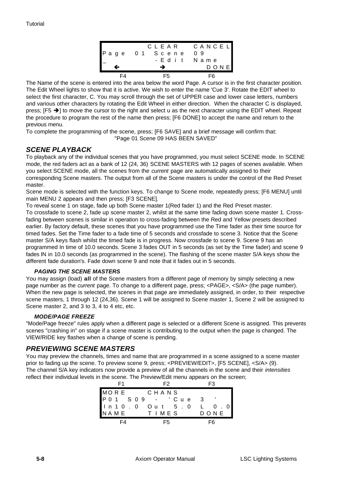

The Name of the scene is entered into the area below the word Page. A cursor is in the first character position. The Edit Wheel lights to show that it is active. We wish to enter the name 'Cue 3'. Rotate the EDIT wheel to select the first character, C. You may scroll through the set of UPPER case and lower case letters, numbers and various other characters by rotating the Edit Wheel in either direction. When the character C is displayed, press;  $[F5 \rightarrow]$  to move the cursor to the right and select u as the next character using the EDIT wheel. Repeat the procedure to program the rest of the name then press; [F6 DONE] to accept the name and return to the previous menu.

To complete the programming of the scene, press; [F6 SAVE] and a brief message will confirm that: "Page 01 Scene 09 HAS BEEN SAVED"

## *SCENE PLAYBACK*

To playback any of the individual scenes that you have programmed, you must select SCENE mode. In SCENE mode, the red faders act as a bank of 12 (24, 36) SCENE MASTERS with 12 pages of scenes available. When you select SCENE mode, all the scenes from the *current* page are automatically assigned to their corresponding Scene masters. The output from all of the Scene masters is under the control of the Red Preset master.

Scene mode is selected with the function keys. To change to Scene mode, repeatedly press; [F6 MENU] until main MENU 2 appears and then press; [F3 SCENE].

To reveal scene 1 on stage, fade up both Scene master 1(Red fader 1) and the Red Preset master.

To crossfade to scene 2, fade up scene master 2, whilst at the same time fading down scene master 1. Crossfading between scenes is similar in operation to cross-fading between the Red and Yellow presets described earlier. By factory default, these scenes that you have programmed use the Time fader as their time source for timed fades. Set the Time fader to a fade time of 5 seconds and crossfade to scene 3. Notice that the Scene master S/A keys flash whilst the timed fade is in progress. Now crossfade to scene 9. Scene 9 has an programmed In time of 10.0 seconds. Scene 3 fades OUT in 5 seconds (as set by the Time fader) and scene 9 fades IN in 10.0 seconds (as programmed in the scene). The flashing of the scene master S/A keys show the different fade duration's. Fade down scene 9 and note that it fades out in 5 seconds.

#### *PAGING THE SCENE MASTERS*

You may assign (load) **all** of the Scene masters from a different page of memory by simply selecting a new page number as the *current* page. To change to a different page, press; <PAGE>, <S/A> (the page number). When the new page is selected, the scenes in that page are immediately assigned, in order, to their respective scene masters, 1 through 12 (24,36). Scene 1 will be assigned to Scene master 1, Scene 2 will be assigned to Scene master 2, and 3 to 3, 4 to 4 etc, etc.

#### *MODE/PAGE FREEZE*

"Mode/Page freeze" rules apply when a different page is selected or a different Scene is assigned. This prevents scenes "crashing in" on stage if a scene master is contributing to the output when the page is changed. The VIEW/RIDE key flashes when a change of scene is pending.

### *PREVIEWING SCENE MASTERS*

You may preview the channels, times and name that are programmed in a scene assigned to a scene master prior to fading up the scene. To preview scene 9, press; <PREVIEW/EDIT>, [F5 SCENE], <S/A> (9). The channel S/A key indicators now provide a preview of all the channels in the scene and their *intensities* reflect their individual levels in the scene. The Preview/Edit menu appears on the screen;

| MORE | C H A N S            |  |
|------|----------------------|--|
|      | P01 S09 - 'Cue 3 '   |  |
|      |                      |  |
|      | THES DONE TIMES DONE |  |
|      |                      |  |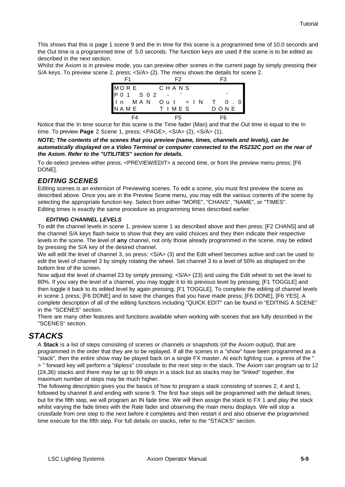This shows that this is page 1 scene 9 and the In time for this scene is a programmed time of 10.0 seconds and the Out time is a programmed time of 5.0 seconds. The function keys are used if the scene is to be edited as described in the next section.

Whilst the Axi*om* is in preview mode, you can preview other scenes in the current page by simply pressing their S/A keys. To preview scene 2, press; <S/A> (2). The menu shows the details for scene 2.

| MORE CHANS<br>P01 S02 - '<br>In MAN Out = IN T 0.<br>NA <u>ME TIMES</u> DONE |  |
|------------------------------------------------------------------------------|--|
|                                                                              |  |

Notice that the In time source for this scene is the Time fader (Man) and that the Out time is equal to the In time. To preview **Page** 2 Scene 1, press; <PAGE>, <S/A> (2), <S/A> (1).

*NOTE; The contents of the scenes that you preview (name, times, channels and levels), can be automatically displayed on a Video Terminal or computer connected to the RS232C port on the rear of the Axiom. Refer to the "UTILITIES" section for details.*

To de-select preview either press; <PREVIEW/EDIT> a second time, or from the preview menu press; [F6 DONE].

### *EDITING SCENES*

Editing scenes is an extension of Previewing scenes. To edit a scene, you must first preview the scene as described above. Once you are in the Preview Scene menu, you may edit the various contents of the scene by selecting the appropriate function key. Select from either "MORE", "CHANS", "NAME", or "TIMES". Editing times is exactly the same procedure as programming times described earlier.

#### *EDITING CHANNEL LEVELS*

To edit the channel levels in scene 1, preview scene 1 as described above and then press; [F2 CHANS] and all the channel S/A keys flash twice to show that they are valid choices and they then indicate their respective levels in the scene. The level of **any** channel, not only those already programmed in the scene, may be edited by pressing the S/A key of the desired channel.

We will edit the level of channel 3, so press; <S/A> (3) and the Edit wheel becomes active and can be used to edit the level of channel 3 by simply rotating the wheel. Set channel 3 to a level of 50% as displayed on the bottom line of the screen.

Now adjust the level of channel 23 by simply pressing; <S/A> (23) and using the Edit wheel to set the level to 80%. If you vary the level of a channel, you may toggle it to its previous level by pressing; [F1 TOGGLE] and then toggle it back to its edited level by again pressing; [F1 TOGGLE]. To complete the editing of channel levels in scene 1 press; [F6 DONE] and to save the changes that you have made press; [F6 DONE], [F6 YES]. A complete description of all of the editing functions including "QUICK EDIT" can be found in "EDITING A SCENE" in the "SCENES" section.

There are many other features and functions available when working with scenes that are fully described in the "SCENES" section.

## *STACKS*

A **Stack** is a list of steps consisting of scenes or channels or snapshots (of the Axi*om* output), that are programmed in the order that they are to be replayed. If all the scenes in a "show" have been programmed as a "stack", then the entire show may be played back on a single FX master. At each lighting cue, a press of the " > " forward key will perform a "dipless" crossfade to the next step in the stack. The Axi*om* can program up to 12 (24,36) stacks and there may be up to 99 steps in a stack but as stacks may be "linked" together, the

maximum number of steps may be much higher. The following description gives you the basics of how to program a stack consisting of scenes 2, 4 and 1, followed by channel 8 and ending with scene 9. The first four steps will be programmed with the default times, but for the fifth step, we will program an IN fade time. We will then assign the stack to FX 1 and play the stack whilst varying the fade times with the Rate fader and observing the main menu displays. We will stop a crossfade from one step to the next before it completes and then restart it and also observe the programmed time execute for the fifth step. For full details on stacks, refer to the "STACKS" section.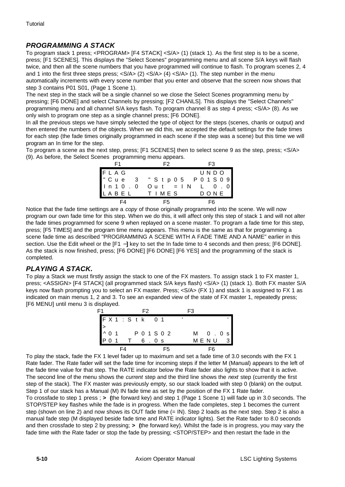## *PROGRAMMING A STACK*

To program stack 1 press; <PROGRAM> [F4 STACK] <S/A> (1) (stack 1). As the first step is to be a scene, press; [F1 SCENES]. This displays the "Select Scenes" programming menu and all scene S/A keys will flash twice, and then all the scene numbers that you have programmed will continue to flash. To program scenes 2, 4 and 1 into the first three steps press;  $\langle S/A \rangle$  (2)  $\langle S/A \rangle$  (4)  $\langle S/A \rangle$  (1). The step number in the menu automatically increments with every scene number that you enter and observe that the screen now shows that step 3 contains P01 S01, (Page 1 Scene 1).

The next step in the stack will be a single channel so we close the Select Scenes programming menu by pressing; [F6 DONE] and select Channels by pressing; [F2 CHANLS]. This displays the "Select Channels" programming menu and all channel S/A keys flash. To program channel 8 as step 4 press; <S/A> (8). As we only wish to program one step as a single channel press; [F6 DONE].

In all the previous steps we have simply selected the type of object for the steps (scenes, chanls or output) and then entered the numbers of the objects. When we did this, we accepted the default settings for the fade times for each step (the fade times originally programmed in each scene if the step was a scene) but this time we will program an In time for the step.

To program a scene as the next step, press; [F1 SCENES] then to select scene 9 as the step, press; <S/A> (9). As before, the Select Scenes programming menu appears.

|          | FLAG<br>"Cue 3 "Stp05 P01S09             |  |  |                         |  |    |  |  |      |    |                                                                                                                 |
|----------|------------------------------------------|--|--|-------------------------|--|----|--|--|------|----|-----------------------------------------------------------------------------------------------------------------|
|          | In 10 0 Out = IN L 0<br>LABEL TIMES DONE |  |  |                         |  |    |  |  |      |    |                                                                                                                 |
|          |                                          |  |  |                         |  |    |  |  | DONE |    |                                                                                                                 |
|          |                                          |  |  |                         |  | F5 |  |  |      | -6 |                                                                                                                 |
| $\cdots$ |                                          |  |  | $\cdot$ $\cdot$ $\cdot$ |  |    |  |  |      |    | and the state of the state of the state of the state of the state of the state of the state of the state of the |

Notice that the fade time settings are a *copy* of those originally programmed into the scene. We will now program our own fade time for this step. When we do this, it will affect only this step of stack 1 and will not alter the fade times programmed for scene 9 when replayed on a scene master. To program a fade time for this step, press; [F5 TIMES] and the program time menu appears. This menu is the same as that for programming a scene fade time as described "PROGRAMMING A SCENE WITH A FADE TIME AND A NAME" earlier in this section. Use the Edit wheel or the [F1 **-]** key to set the In fade time to 4 seconds and then press; [F6 DONE]. As the stack is now finished, press; [F6 DONE] [F6 DONE] [F6 YES] and the programming of the stack is completed.

## *PLAYING A STACK.*

To play a Stack we must firstly assign the stack to one of the FX masters. To assign stack 1 to FX master 1, press; <ASSIGN> [F4 STACK] (all programmed stack S/A keys flash) <S/A> (1) (stack 1). Both FX master S/A keys now flash prompting you to select an FX master. Press; <S/A> (FX 1) and stack 1 is assigned to FX 1 as indicated on main menus 1, 2 and 3. To see an expanded view of the state of FX master 1, repeatedly press; [F6 MENU] until menu 3 is displayed.

| F1 | F2                | F3               |
|----|-------------------|------------------|
|    | F X 1 : S t k 0 1 |                  |
| ∣> |                   |                  |
|    |                   | М<br>0.0s        |
|    |                   | 3<br><b>MENU</b> |
| FΔ |                   |                  |

To play the stack, fade the FX 1 level fader up to maximum and set a fade time of 3.0 seconds with the FX 1 Rate fader. The Rate fader will set the fade time for incoming steps if the letter M (Manual) appears to the left of the fade time value for that step. The RATE indicator below the Rate fader also lights to show that it is active. The second line of the menu shows the *current* step and the third line shows the *next* step (currently the first step of the stack). The FX master was previously empty, so our stack loaded with step 0 (blank) on the output. Step 1 of our stack has a Manual (M) IN fade time as set by the position of the FX 1 Rate fader.

To crossfade to step 1 press ; **> (**the forward key) and step 1 (Page 1 Scene 1) will fade up in 3.0 seconds. The STOP/STEP key flashes while the fade is in progress. When the fade completes, step 1 becomes the current step (shown on line 2) and now shows its OUT fade time (= IN). Step 2 loads as the next step. Step 2 is also a manual fade step (M displayed beside fade time and RATE indicator lights). Set the Rate fader to 8.0 seconds and then crossfade to step 2 by pressing; **> (**the forward key). Whilst the fade is in progress, you may vary the fade time with the Rate fader or stop the fade by pressing; <STOP/STEP> and then restart the fade in the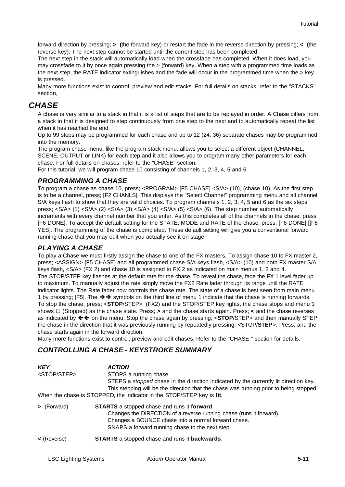forward direction by pressing; **> (**the forward key) or restart the fade in the reverse direction by pressing; **< (**the reverse key). The next step cannot be started until the current step has been completed.

The next step in the stack will automatically load when the crossfade has completed. When it does load, you may crossfade to it by once again pressing the > (forward) key. When a step with a programmed time loads as the next step, the RATE indicator extinguishes and the fade will occur in the programmed time when the > key is pressed.

Many more functions exist to control, preview and edit stacks. For full details on stacks, refer to the "STACKS" section, .

# *CHASE*

A chase is very similar to a stack in that it is a list of steps that are to be replayed in order. A Chase differs from a stack in that it is designed to step continuously from one step to the next and to automatically repeat the list when it has reached the end.

Up to 99 steps may be programmed for each chase and up to 12 (24, 36) separate chases may be programmed into the memory.

The program chase menu, like the program stack menu, allows you to select a different object (CHANNEL, SCENE, OUTPUT or LINK) for each step and it also allows you to program many other parameters for each chase. For full details on chases, refer to the "CHASE" section.

For this tutorial, we will program chase 10 consisting of channels 1, 2, 3, 4, 5 and 6.

## *PROGRAMMING A CHASE*

To program a chase as chase 10, press; <PROGRAM> [F5 CHASE] <S/A> (10), (chase 10). As the first step is to be a channel, press; [F2 CHANLS]. This displays the "Select Channel" programming menu and all channel S/A keys flash to show that they are valid choices. To program channels 1, 2, 3, 4, 5 and 6 as the six steps press; <S/A> (1) <S/A> (2) <S/A> (3) <S/A> (4) <S/A> (5) <S/A> (6). The step number automatically increments with every channel number that you enter. As this completes all of the channels in the chase, press [F6 DONE]. To accept the default setting for the STATE, MODE and RATE of the chase, press; [F6 DONE] [[F6 YES]. The programming of the chase is completed. These default setting will give you a conventional forward running chase that you may edit when you actually see it on stage.

## *PLAYING A CHASE*

To play a Chase we must firstly assign the chase to one of the FX masters. To assign chase 10 to FX master 2, press; <ASSIGN> [F5 CHASE] and all programmed chase S/A keys flash, <S/A> (10) and both FX master S/A keys flash, <S/A> (FX 2) and chase 10 is assigned to FX 2 as indicated on main menus 1, 2 and 4. The STOP/STEP key flashes at the default *rate* for the chase. To reveal the chase, fade the FX 1 level fader up to maximum. To manually adjust the rate simply move the FX2 Rate fader through its range until the RATE indicator lights. The Rate fader now controls the chase rate. The state of a chase is best seen from main menu 1 by pressing; [F5]. The  $\rightarrow \rightarrow$  symbols on the third line of menu 1 indicate that the chase is running forwards. To stop the chase, press; <**STOP**/STEP> (FX2) and the STOP/STEP key lights, the chase stops and menu 1 shows ® (Stopped) as the chase state. Press; **>** and the chase starts again. Press; **<** and the chase reverses as indicated by  $\leftarrow \leftarrow$  on the menu. Stop the chase again by pressing; <**STOP**/STEP> and then manually STEP the chase in the direction that it was previously running by repeatedly pressing; <STOP/**STEP**>. Press; and the chase starts again in the forward direction.

Many more functions exist to control, preview and edit chases. Refer to the "CHASE " section for details.

## *CONTROLLING A CHASE - KEYSTROKE SUMMARY*

| <b>KEY</b><br><stop step=""></stop> | <b>ACTION</b><br>STOPS a running chase.<br>STEPS a <i>stopped</i> chase in the direction indicated by the currently lit direction key.<br>This stepping will be the direction that the chase was running prior to being stopped.    |
|-------------------------------------|-------------------------------------------------------------------------------------------------------------------------------------------------------------------------------------------------------------------------------------|
|                                     | When the chase is STOPPED, the indicator in the STOP/STEP key is lit.                                                                                                                                                               |
| > (Forward)                         | <b>STARTS</b> a stopped chase and runs it forward.<br>Changes the DIRECTION of a reverse running chase (runs it forward).<br>Changes a BOUNCE chase into a normal forward chase.<br>SNAPS a forward running chase to the next step. |
| $\leq$ (Reverse)                    | <b>STARTS</b> a stopped chase and runs it <b>backwards</b> .                                                                                                                                                                        |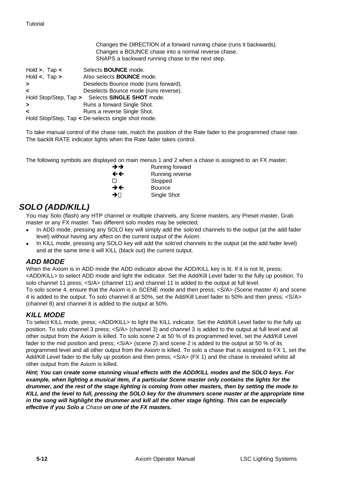|                       | Changes the DIRECTION of a forward running chase (runs it backwards). |
|-----------------------|-----------------------------------------------------------------------|
|                       | Changes a BOUNCE chase into a normal reverse chase.                   |
|                       | SNAPS a backward running chase to the next step.                      |
| Hold $>$ , Tap $\lt$  | Selects <b>BOUNCE</b> mode.                                           |
| Hold $\lt$ , Tap $>$  | Also selects <b>BOUNCE</b> mode.                                      |
| $\geq$                | Deselects Bounce mode (runs forward).                                 |
| $\tilde{\phantom{0}}$ | Deselects Bounce mode (runs reverse).                                 |
|                       | Hold Stop/Step, Tap > Selects SINGLE SHOT mode.                       |
| $\geq$                | Runs a forward Single Shot.                                           |
| $\prec$               | Runs a reverse Single Shot.                                           |
|                       |                                                                       |

Hold Stop/Step, Tap **<** De-selects single shot mode.

To take manual control of the chase rate, match the position of the Rate fader to the programmed chase rate. The backlit RATE indicator lights when the Rate fader takes control.

The following symbols are displayed on main menus 1 and 2 when a chase is assigned to an FX master;

| →→                       | Running forward |
|--------------------------|-----------------|
| $\leftarrow$             | Running reverse |
| П                        | Stopped         |
| $\rightarrow \leftarrow$ | <b>Bounce</b>   |
| $\rightarrow c$          | Single Shot     |

## *SOLO (ADD/KILL)*

You may Solo (flash) any HTP channel or multiple channels, any Scene masters, any Preset master, Grab master or any FX master. Two different solo modes may be selected;

- In ADD mode, pressing any SOLO key will simply add the solo'ed channels to the output (at the add fader level) without having any affect on the current output of the Axi*om*.
- In KILL mode, pressing any SOLO key will add the solo'ed channels to the output (at the add fader level) and at the same time it will KILL (black out) the current output.

## *ADD MODE*

When the Axiom is in ADD mode the ADD indicator above the ADD/KILL key is lit. If it is not lit, press; <ADD/KILL> to select ADD mode and light the indicator. Set the Add/Kill Level fader to the fully up position. To solo channel 11 press; <S/A> (channel 11) and channel 11 is added to the output at full level. To solo scene 4, ensure that the Axi*om* is in SCENE mode and then press; <S/A> (Scene master 4) and scene 4 is added to the output. To solo channel 8 at 50%, set the Add/Kill Level fader to 50% and then press; <S/A> (channel 8) and channel 8 is added to the output at 50%.

## *KILL MODE*

To select KILL mode, press; <ADD/KILL> to light the KILL indicator. Set the Add/Kill Level fader to the fully up position. To solo channel 3 press; <S/A> (channel 3) and channel 3 is added to the output at full level and all other output from the Axi*om* is killed. To solo scene 2 at 50 % of its programmed level, set the Add/Kill Level fader to the mid position and press; <S/A> (scene 2) and scene 2 is added to the output at 50 % of its programmed level and all other output from the Axi*om* is killed. To solo a chase that is assigned to FX 1, set the Add/Kill Level fader to the fully up position and then press; <S/A> (FX 1) and the chase is revealed whilst all other output from the Axi*om* is killed.

*Hint; You can create some stunning visual effects with the ADD/KILL modes and the SOLO keys. For example, when lighting a musical item, if a particular Scene master only contains the lights for the drummer, and the rest of the stage lighting is coming from other masters, then by setting the mode to KILL and the level to full, pressing the SOLO key for the drummers scene master at the appropriate time in the song will highlight the drummer and kill all the other stage lighting. This can be especially effective if you Solo a Chase on one of the FX masters.*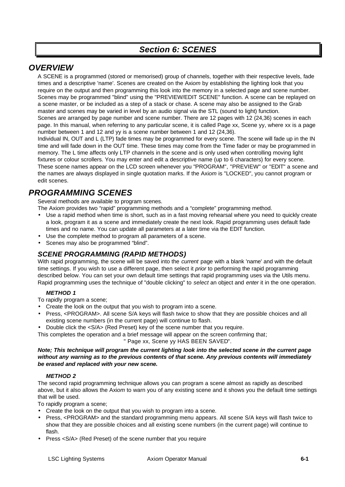# *Section 6: SCENES*

## *OVERVIEW*

A SCENE is a programmed (stored or memorised) group of channels, together with their respective levels, fade times and a descriptive 'name'. Scenes are created on the Axi*om* by establishing the lighting look that you require on the output and then programming this look into the memory in a selected page and scene number. Scenes may be programmed "blind" using the "PREVIEW/EDIT SCENE" function. A scene can be replayed on a scene master, or be included as a step of a stack or chase. A scene may also be assigned to the Grab master and scenes may be varied in level by an audio signal via the STL (sound to light) function.

Scenes are arranged by page number and scene number. There are 12 pages with 12 (24,36) scenes in each page. In this manual, when referring to any particular scene, it is called Page xx, Scene yy, where xx is a page number between 1 and 12 and yy is a scene number between 1 and 12 (24,36).

Individual IN, OUT and L (LTP) fade times may be programmed for every scene. The scene will fade up in the IN time and will fade down in the OUT time. These times may come from the Time fader or may be programmed in memory. The L time affects only LTP channels in the scene and is only used when controlling moving light fixtures or colour scrollers. You may enter and edit a descriptive name (up to 6 characters) for every scene. These scene names appear on the LCD screen whenever you "PROGRAM", "PREVIEW" or "EDIT" a scene and the names are always displayed in single quotation marks. If the Axi*om* is "LOCKED", you cannot program or edit scenes.

# *PROGRAMMING SCENES*

Several methods are available to program scenes.

The Axi*om* provides two "rapid" programming methods and a "complete" programming method.

- Use a rapid method when time is short, such as in a fast moving rehearsal where you need to quickly create a look, program it as a scene and immediately create the next look. Rapid programming uses default fade times and no name. You can update all parameters at a later time via the EDIT function.
- Use the complete method to program all parameters of a scene.
- Scenes may also be programmed "blind".

## *SCENE PROGRAMMING (RAPID METHODS)*

With rapid programming, the scene will be saved into the *current* page with a blank 'name' and with the default time settings. If you wish to use a different page, then select it *prior* to performing the rapid programming described below. You can set your own default time settings that rapid programming uses via the Utils menu. Rapid programming uses the technique of "double clicking" to *select* an object and *enter* it in the one operation.

#### *METHOD 1*

To rapidly program a scene;

- Create the look on the output that you wish to program into a scene.
- Press, <PROGRAM>. All scene S/A keys will flash twice to show that they are possible choices and all existing scene numbers (in the current page) will continue to flash.
- Double click the  $\leq$ S/A $>$  (Red Preset) key of the scene number that you require.

This completes the operation and a brief message will appear on the screen confirming that;

" Page xx, Scene yy HAS BEEN SAVED".

#### *Note; This technique will program the current lighting look into the selected scene in the current page without any warning as to the previous contents of that scene. Any previous contents will immediately be erased and replaced with your new scene.*

#### *METHOD 2*

The second rapid programming technique allows you can program a scene almost as rapidly as described above, but it also allows the Axi*om* to warn you of any existing scene and it shows you the default time settings that will be used.

To rapidly program a scene;

- Create the look on the output that you wish to program into a scene.
- Press, <PROGRAM> and the standard programming menu appears. All scene S/A keys will flash twice to show that they are possible choices and all existing scene numbers (in the current page) will continue to flash.
- Press <S/A> (Red Preset) of the scene number that you require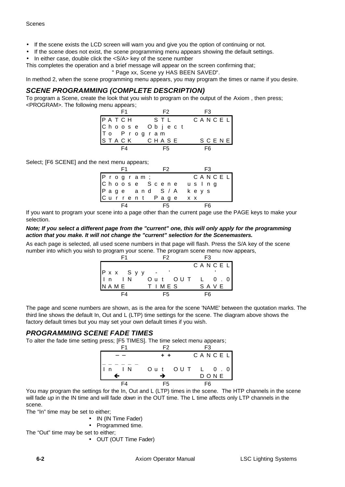- If the scene exists the LCD screen will warn you and give you the option of continuing or not.
- If the scene does not exist, the scene programming menu appears showing the default settings.
- In either case, double click the <S/A> key of the scene number

This completes the operation and a brief message will appear on the screen confirming that;

" Page xx, Scene yy HAS BEEN SAVED".

In method 2, when the scene programming menu appears, you may program the times or name if you desire.

### *SCENE PROGRAMMING (COMPLETE DESCRIPTION)*

To program a Scene, create the look that you wish to program on the output of the Axiom , then press; <PROGRAM>. The following menu appears;

| F <sub>2</sub>                                                       | F3  |
|----------------------------------------------------------------------|-----|
| PATCH STL CANCEL<br>Choose Object<br>To Program<br>STACK CHASE SCENE |     |
|                                                                      |     |
|                                                                      |     |
|                                                                      |     |
| F5.                                                                  | F6. |

Select; [F6 SCENE] and the next menu appears;

| Program; CANC<br>Choose Scene using<br>Page and S/A keys<br>Current Page xx | CANCEL |
|-----------------------------------------------------------------------------|--------|
|                                                                             |        |
|                                                                             |        |
|                                                                             |        |
|                                                                             |        |

If you want to program your scene into a page other than the current page use the PAGE keys to make your selection.

#### *Note; If you select a different page from the "current" one, this will only apply for the programming action that you make. It will not change the "current" selection for the Scenemasters.*

As each page is selected, all used scene numbers in that page will flash. Press the S/A key of the scene number into which you wish to program your scene. The program scene menu now appears,

|                        |               | CANCEL |
|------------------------|---------------|--------|
|                        |               |        |
| P x x S y y<br>I n I N | Out OUT L 0.0 |        |
| <b>NAME</b>            | TIMES         | SAVE   |
|                        | ᇊ             |        |

The page and scene numbers are shown, as is the area for the scene 'NAME' between the quotation marks. The third line shows the default In, Out and L (LTP) time settings for the scene. The diagram above shows the factory default times but you may set your own default times if you wish.

### *PROGRAMMING SCENE FADE TIMES*

To alter the fade time setting press; [F5 TIMES]. The time select menu appears;

|                                                                                                                                                                                                                                                                                                                                                                                                                                                                                 | F2            | F3     |
|---------------------------------------------------------------------------------------------------------------------------------------------------------------------------------------------------------------------------------------------------------------------------------------------------------------------------------------------------------------------------------------------------------------------------------------------------------------------------------|---------------|--------|
|                                                                                                                                                                                                                                                                                                                                                                                                                                                                                 | $+ +$         | CANCEL |
| $\overline{\phantom{a}}$ $\overline{\phantom{a}}$ $\overline{\phantom{a}}$ $\overline{\phantom{a}}$ $\overline{\phantom{a}}$ $\overline{\phantom{a}}$ $\overline{\phantom{a}}$ $\overline{\phantom{a}}$ $\overline{\phantom{a}}$ $\overline{\phantom{a}}$ $\overline{\phantom{a}}$ $\overline{\phantom{a}}$ $\overline{\phantom{a}}$ $\overline{\phantom{a}}$ $\overline{\phantom{a}}$ $\overline{\phantom{a}}$ $\overline{\phantom{a}}$ $\overline{\phantom{a}}$ $\overline{\$ | Out OUT L 0.0 |        |
| $-4$                                                                                                                                                                                                                                                                                                                                                                                                                                                                            | F5            | FR     |

You may program the settings for the In, Out and L (LTP) times in the scene. The HTP channels in the scene will fade *up* in the IN time and will fade *down* in the OUT time. The L time affects only LTP channels in the scene.

The "In" time may be set to either;

- IN (IN Time Fader)
- Programmed time.
- The "Out" time may be set to either;
	- OUT (OUT Time Fader)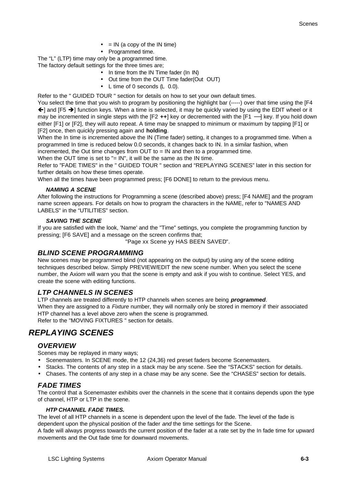- $\bullet$  = IN (a copy of the IN time)
- Programmed time.

The "L" (LTP) time may only be a programmed time.

The factory default settings for the three times are;

- In time from the IN Time fader (In IN)
- Out time from the OUT Time fader(Out OUT)
- L time of 0 seconds (L 0.0).

Refer to the " GUIDED TOUR " section for details on how to set your own default times.

You select the time that you wish to program by positioning the highlight bar (-----) over that time using the [F4  $\leftarrow$ ] and [F5  $\rightarrow$ ] function keys. When a time is selected, it may be quickly varied by using the EDIT wheel or it may be incremented in single steps with the [F2 **++**] key or decremented with the [F1 **--**] key. If you hold down either [F1] or [F2], they will auto repeat. A time may be snapped to minimum or maximum by tapping [F1] or [F2] once, then quickly pressing again and **holding**.

When the In time is incremented above the IN (Time fader) setting, it changes to a programmed time. When a programmed In time is reduced below 0.0 seconds, it changes back to IN. In a similar fashion, when

incremented, the Out time changes from  $OUT$  to  $= IN$  and then to a programmed time.

When the OUT time is set to  $"$  =  $\mathsf{IN}$ ", it will be the same as the IN time.

Refer to "FADE TIMES" in the " GUIDED TOUR " section and "REPLAYING SCENES" later in this section for further details on how these times operate.

When all the times have been programmed press; [F6 DONE] to return to the previous menu.

#### *NAMING A SCENE*

After following the instructions for Programming a scene (described above) press; [F4 NAME] and the program name screen appears. For details on how to program the characters in the NAME, refer to "NAMES AND LABELS" in the "UTILITIES" section.

#### *SAVING THE SCENE*

If you are satisfied with the look, 'Name' and the "Time" settings, you complete the programming function by pressing; [F6 SAVE] and a message on the screen confirms that;

"Page xx Scene yy HAS BEEN SAVED".

## *BLIND SCENE PROGRAMMING*

New scenes may be programmed blind (not appearing on the output) by using any of the scene editing techniques described below. Simply PREVIEW/EDIT the new scene number. When you select the scene number, the Axi*om* will warn you that the scene is empty and ask if you wish to continue. Select YES, and create the scene with editing functions.

## *LTP CHANNELS IN SCENES*

LTP channels are treated differently to HTP channels when scenes are being *programmed*. When they are assigned to a *Fixture* number, they will normally only be stored in memory if their associated HTP channel has a level above zero when the scene is programmed. Refer to the "MOVING FIXTURES " section for details.

## *REPLAYING SCENES*

### *OVERVIEW*

Scenes may be replayed in many ways;

- Scenemasters. In SCENE mode, the 12 (24,36) red preset faders become Scenemasters.
- Stacks. The contents of any step in a stack may be any scene. See the "STACKS" section for details.
- Chases. The contents of any step in a chase may be any scene. See the "CHASES" section for details.

### *FADE TIMES*

The control that a Scenemaster exhibits over the channels in the scene that it contains depends upon the type of channel, HTP or LTP in the scene.

#### *HTP CHANNEL FADE TIMES.*

The level of all HTP channels in a scene is dependent upon the level of the fade. The level of the fade is dependent upon the physical position of the fader *and* the time settings for the Scene.

A fade will always progress towards the current position of the fader at a rate set by the In fade time for upward movements and the Out fade time for downward movements.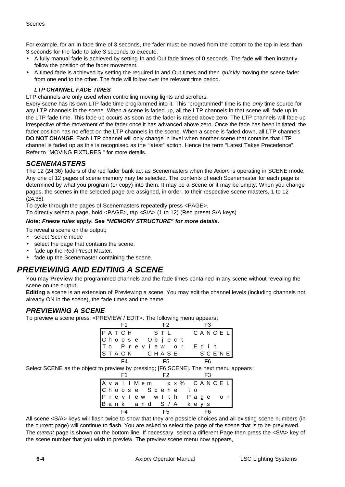For example, for an In fade time of 3 seconds, the fader must be moved from the bottom to the top in less than 3 seconds for the fade to take 3 seconds to execute.

- A fully manual fade is achieved by setting In and Out fade times of 0 seconds. The fade will then instantly follow the position of the fader movement.
- A timed fade is achieved by setting the required In and Out times and then *quickly* moving the scene fader from one end to the other. The fade will follow over the relevant time period.

#### *LTP CHANNEL FADE TIMES*

LTP channels are only used when controlling moving lights and scrollers.

Every scene has its own LTP fade time programmed into it. This "programmed" time is the *only* time source for any LTP channels in the scene. When a scene is faded up, all the LTP channels in that scene will fade up in the LTP fade time. This fade up occurs as soon as the fader is raised above zero. The LTP channels will fade up irrespective of the movement of the fader once it has advanced above zero. Once the fade has been initiated, the fader position has no effect on the LTP channels in the scene. When a scene is faded down, all LTP channels **DO NOT CHANGE**. Each LTP channel will only change in level when another scene that contains that LTP channel is faded up as this is recognised as the "latest" action. Hence the term "Latest Takes Precedence". Refer to "MOVING FIXTURES " for more details.

### *SCENEMASTERS*

The 12 (24,36) faders of the red fader bank act as Scenemasters when the Axi*om* is operating in SCENE mode. Any one of 12 pages of scene memory may be selected. The contents of each Scenemaster for each page is determined by what you program (or copy) into them. It may be a Scene or it may be empty. When you change pages, the scenes in the selected page are assigned, in order, to their respective scene masters, 1 to 12 (24,36).

To cycle through the pages of Scenemasters repeatedly press <PAGE>.

To directly select a page, hold <PAGE>, tap <S/A> (1 to 12) (Red preset S/A keys)

#### *Note; Freeze rules apply. See "MEMORY STRUCTURE" for more details.*

To reveal a scene on the output;

- select Scene mode
- select the page that contains the scene.
- fade up the Red Preset Master.
- fade up the Scenemaster containing the scene.

## *PREVIEWING AND EDITING A SCENE*

You may **Preview** the programmed channels and the fade times contained in any scene without revealing the scene on the output.

**Editing** a scene is an extension of Previewing a scene. You may edit the channel levels (including channels not already ON in the scene), the fade times and the name.

## *PREVIEWING A SCENE*

To preview a scene press; <PREVIEW / EDIT>. The following menu appears;

|               | F2.                | F3       |
|---------------|--------------------|----------|
|               | PATCH STL CANCEL   |          |
| Choose Object |                    |          |
|               | To Preview or Edit |          |
| STACK CHASE   |                    | $S$ CENE |
|               | F5                 | FR       |

Select SCENE as the object to preview by pressing; [F6 SCENE]. The next menu appears;

| AvailMem xx% CANCEL<br>Choose Scene to<br>Prevlew with Page or<br>Bank and S/A keys |  |  |  |  |  |  | F2     |  |  |  |  |  |  | F3 |    |  |  |  |
|-------------------------------------------------------------------------------------|--|--|--|--|--|--|--------|--|--|--|--|--|--|----|----|--|--|--|
|                                                                                     |  |  |  |  |  |  |        |  |  |  |  |  |  |    |    |  |  |  |
|                                                                                     |  |  |  |  |  |  |        |  |  |  |  |  |  |    |    |  |  |  |
|                                                                                     |  |  |  |  |  |  |        |  |  |  |  |  |  |    |    |  |  |  |
|                                                                                     |  |  |  |  |  |  |        |  |  |  |  |  |  |    |    |  |  |  |
| F4                                                                                  |  |  |  |  |  |  | - F5 - |  |  |  |  |  |  |    | F6 |  |  |  |

All scene <S/A> keys will flash twice to show that they are possible choices and all existing scene numbers (in the current page) will continue to flash. You are asked to select the page of the scene that is to be previewed. The *current* page is shown on the bottom line. If necessary, select a different Page then press the <S/A> key of the scene number that you wish to preview. The preview scene menu now appears,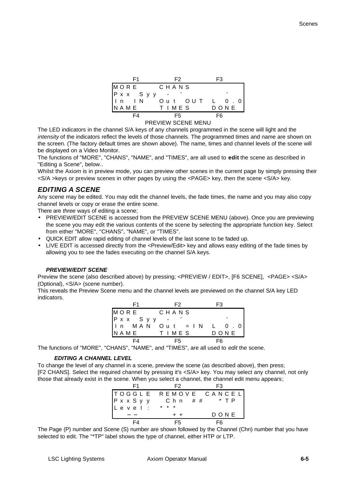|                    | F <sub>2</sub>     | F3   |  |  |  |  |  |  |  |
|--------------------|--------------------|------|--|--|--|--|--|--|--|
| MORE               | CHANS              |      |  |  |  |  |  |  |  |
| Pxx Syy            |                    |      |  |  |  |  |  |  |  |
|                    | In IN Out OUT L 0. |      |  |  |  |  |  |  |  |
| <b>NAME</b>        | TIMES              | DONE |  |  |  |  |  |  |  |
| F4                 | F5                 | F6   |  |  |  |  |  |  |  |
| PREVIEW SCENE MENU |                    |      |  |  |  |  |  |  |  |

The LED indicators in the channel S/A keys of any channels programmed in the scene will light and the *intensity* of the indicators reflect the levels of those channels. The programmed times and name are shown on the screen. (The factory default times are shown above). The name, times and channel levels of the scene will be displayed on a Video Monitor.

The functions of "MORE", "CHANS", "NAME", and "TIMES", are all used to **edit** the scene as described in "Editing a Scene", below..

Whilst the Axi*om* is in preview mode, you can preview other scenes in the current page by simply pressing their <S/A >keys or preview scenes in other pages by using the <PAGE> key, then the scene <S/A> key.

## *EDITING A SCENE*

Any scene may be edited. You may edit the channel levels, the fade times, the name and you may also copy channel levels or copy or erase the entire scene.

There are *three* ways of editing a scene;

- PREVIEW/EDIT SCENE is accessed from the PREVIEW SCENE MENU (above). Once you are previewing the scene you may edit the various contents of the scene by selecting the appropriate function key. Select from either "MORE", "CHANS", "NAME", or "TIMES".
- QUICK EDIT allow rapid editing of channel levels of the last scene to be faded up.
- LIVE EDIT is accessed directly from the <Preview/Edit> key and allows easy editing of the fade times by allowing you to see the fades executing on the channel S/A keys.

#### *PREVIEW/EDIT SCENE*

Preview the scene (also described above) by pressing; <PREVIEW / EDIT>, [F6 SCENE], <PAGE> <S/A> (Optional), <S/A> (scene number).

This reveals the Preview Scene menu and the channel levels are previewed on the channel S/A key LED indicators.

|         | F2                                                 | F3   |  |  |  |
|---------|----------------------------------------------------|------|--|--|--|
|         | MORE CHANS<br>Pxx Syy - '<br>In MAN Out = IN L 0.0 |      |  |  |  |
|         |                                                    |      |  |  |  |
|         |                                                    |      |  |  |  |
| N A M E | TIMES                                              | DONE |  |  |  |
|         |                                                    |      |  |  |  |

The functions of "MORE", "CHANS", "NAME", and "TIMES", are all used to *edit* the scene.

#### *EDITING A CHANNEL LEVEL*

To change the level of any channel in a scene, preview the scene (as described above), then press; [F2 CHANS]. Select the required channel by pressing it's <S/A> key. You may select any channel, not only those that already exist in the scene. When you select a channel, the channel edit menu appears;

| F1                                                      | F2.     | F3   |
|---------------------------------------------------------|---------|------|
| TOGGLE REMOVE CANCEL<br>PxxSyy Chn ## *TP<br>Level: *** |         |      |
|                                                         |         |      |
|                                                         |         |      |
|                                                         | $+$ $+$ | DONE |
| FΔ                                                      | F5      | FR   |

The Page (P) number and Scene (S) number are shown followed by the Channel (Chn) number that you have selected to edit. The "\*TP" label shows the type of channel, either HTP or LTP.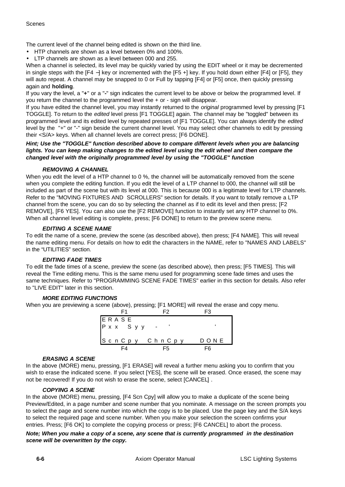The current level of the channel being edited is shown on the third line.

- HTP channels are shown as a level between 0% and 100%.
- LTP channels are shown as a level between 000 and 255.

When a channel is selected, its level may be quickly varied by using the EDIT wheel or it may be decremented in single steps with the [F4 −] key or incremented with the [F5 +] key. If you hold down either [F4] or [F5], they will auto repeat. A channel may be snapped to 0 or Full by tapping [F4] or [F5] once, then quickly pressing again and **holding**.

If you vary the level, a "**+**" or a "**-**" sign indicates the current level to be above or below the programmed level. If you return the channel to the programmed level the + or - sign will disappear.

If you have edited the channel level, you may instantly returned to the *original* programmed level by pressing [F1 TOGGLE]. To return to the *edited* level press [F1 TOGGLE] again. The channel may be "toggled" between its programmed level and its edited level by repeated presses of [F1 TOGGLE]. You can always identify the *edited* level by the "+" or "-" sign beside the current channel level. You may select other channels to edit by pressing their <S/A> keys. When all channel levels are correct press; [F6 DONE].

#### *Hint; Use the "TOGGLE" function described above to compare different levels when you are balancing lights. You can keep making changes to the edited level using the edit wheel and then compare the changed level with the originally programmed level by using the "TOGGLE" function*

#### *REMOVING A CHANNEL*

When you edit the level of a HTP channel to 0 %, the channel will be automatically removed from the scene when you complete the editing function. If you edit the level of a LTP channel to 000, the channel will still be included as part of the scene but with its level at 000. This is because 000 is a legitimate level for LTP channels. Refer to the "MOVING FIXTURES AND SCROLLERS" section for details. If you want to totally remove a LTP channel from the scene, you can do so by selecting the channel as if to edit its level and then press; [F2 REMOVE], [F6 YES]. You can also use the [F2 REMOVE] function to instantly set any HTP channel to 0%. When all channel level editing is complete, press; [F6 DONE] to return to the preview scene menu.

#### *EDITING A SCENE NAME*

To edit the name of a scene, preview the scene (as described above), then press; [F4 NAME]. This will reveal the name editing menu. For details on how to edit the characters in the NAME, refer to "NAMES AND LABELS" in the "UTILITIES" section.

#### *EDITING FADE TIMES*

To edit the fade times of a scene, preview the scene (as described above), then press; [F5 TIMES]. This will reveal the Time editing menu. This is the same menu used for programming scene fade times and uses the same techniques. Refer to "PROGRAMMING SCENE FADE TIMES" earlier in this section for details. Also refer to "LIVE EDIT" later in this section.

#### *MORE EDITING FUNCTIONS*

When you are previewing a scene (above), pressing; [F1 MORE] will reveal the erase and copy menu.

| ERASE       |         |      |  |  |
|-------------|---------|------|--|--|
| P x x S y y |         |      |  |  |
|             |         |      |  |  |
| ScnCpy      | Chn Cpy | DONE |  |  |
|             |         |      |  |  |

#### *ERASING A SCENE*

In the above (MORE) menu, pressing, [F1 ERASE] will reveal a further menu asking you to confirm that you wish to erase the indicated scene. If you select [YES], the scene will be erased. Once erased, the scene may not be recovered! If you do not wish to erase the scene, select [CANCEL] .

#### *COPYING A SCENE*

In the above (MORE) menu, pressing, [F4 Scn Cpy] will allow you to make a duplicate of the scene being Preview/Edited, in a page number and scene number that you nominate. A message on the screen prompts you to select the page and scene number into which the copy is to be placed. Use the page key and the S/A keys to select the required page and scene number. When you make your selection the screen confirms your entries. Press; [F6 OK] to complete the copying process or press; [F6 CANCEL] to abort the process.

#### *Note; When you make a copy of a scene, any scene that is currently programmed in the destination scene will be overwritten by the copy.*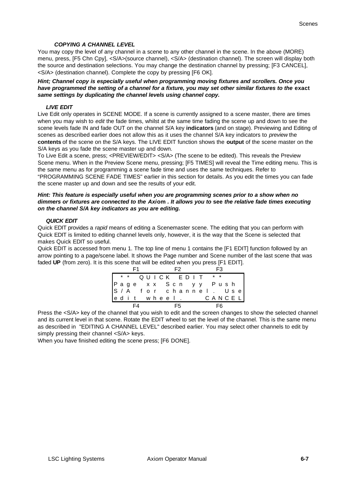### *COPYING A CHANNEL LEVEL*

You may copy the level of any channel in a scene to any other channel in the scene. In the above (MORE) menu, press, [F5 Chn Cpy], <S/A>(source channel), <S/A> (destination channel). The screen will display both the source and destination selections. You may change the destination channel by pressing; [F3 CANCEL], <S/A> (destination channel). Complete the copy by pressing [F6 OK].

*Hint; Channel copy is especially useful when programming moving fixtures and scrollers. Once you have programmed the setting of a channel for a fixture, you may set other similar fixtures to the exact same settings by duplicating the channel levels using channel copy.*

#### *LIVE EDIT*

Live Edit only operates in SCENE MODE. If a scene is currently assigned to a scene master, there are times when you may wish to *edit* the fade times, whilst at the same time fading the scene up and down to see the scene levels fade IN and fade OUT on the channel S/A key **indicators** (and on stage). Previewing and Editing of scenes as described earlier does not allow this as it uses the channel S/A key indicators to *preview* the **contents** of the scene on the S/A keys. The LIVE EDIT function shows the **output** of the scene master on the S/A keys as you fade the scene master up and down.

To Live Edit a scene, press; <PREVIEW/EDIT> <S/A> (The scene to be edited). This reveals the Preview Scene menu. When in the Preview Scene menu, pressing; [F5 TIMES] will reveal the Time editing menu. This is the same menu as for programming a scene fade time and uses the same techniques. Refer to

"PROGRAMMING SCENE FADE TIMES" earlier in this section for details. As you edit the times you can fade the scene master up and down and see the results of your edit.

#### *Hint: This feature is especially useful when you are programming scenes prior to a show when no dimmers or fixtures are connected to the Axi***om** *. It allows you to* **see** *the relative fade times executing on the channel S/A key indicators as you are editing.*

#### *QUICK EDIT*

Quick EDIT provides a *rapid* means of editing a Scenemaster scene. The editing that you can perform with Quick EDIT is limited to editing channel levels only, however, it is the way that the Scene is selected that makes Quick EDIT so useful.

Quick EDIT is accessed from menu 1. The top line of menu 1 contains the [F1 EDIT] function followed by an arrow pointing to a page/scene label. It shows the Page number and Scene number of the last scene that was faded **UP** (from zero). It is this scene that will be edited when you press [F1 EDIT].

|  |  |                    |  |  | F2. |  |  | F3 |  |                        |
|--|--|--------------------|--|--|-----|--|--|----|--|------------------------|
|  |  | * * QUICK EDIT * * |  |  |     |  |  |    |  |                        |
|  |  |                    |  |  |     |  |  |    |  | Page xx Scn yy Push    |
|  |  |                    |  |  |     |  |  |    |  | S / A for channel. Use |
|  |  |                    |  |  |     |  |  |    |  | edit wheel. CANCEL     |
|  |  |                    |  |  | F5. |  |  |    |  |                        |

Press the <S/A> key of the channel that you wish to edit and the screen changes to show the selected channel and its current level in that scene. Rotate the EDIT wheel to set the level of the channel. This is the same menu as described in "EDITING A CHANNEL LEVEL" described earlier. You may select other channels to edit by simply pressing their channel <S/A> keys.

When you have finished editing the scene press; [F6 DONE].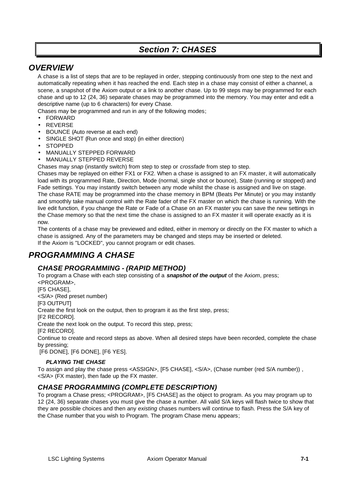# *Section 7: CHASES*

## *OVERVIEW*

A chase is a list of steps that are to be replayed in order, stepping continuously from one step to the next and automatically repeating when it has reached the end. Each step in a chase may consist of either a channel, a scene, a snapshot of the Axi*om* output or a link to another chase. Up to 99 steps may be programmed for each chase and up to 12 (24, 36) separate chases may be programmed into the memory. You may enter and edit a descriptive name (up to 6 characters) for every Chase.

Chases may be programmed and run in any of the following modes;

- FORWARD
- REVERSE
- BOUNCE (Auto reverse at each end)
- SINGLE SHOT (Run once and stop) (in either direction)
- STOPPED
- MANUALLY STEPPED FORWARD
- MANUALLY STEPPED REVERSE

Chases may *snap* (instantly switch) from step to step or *crossfade* from step to step.

Chases may be replayed on either FX1 or FX2. When a chase is assigned to an FX master, it will automatically load with its programmed Rate, Direction, Mode (normal, single shot or bounce), State (running or stopped) and Fade settings. You may instantly switch between any mode whilst the chase is assigned and live on stage. The chase RATE may be programmed into the chase memory in BPM (Beats Per Minute) or you may instantly and smoothly take manual control with the Rate fader of the FX master on which the chase is running. With the live edit function, if you change the Rate or Fade of a Chase on an FX master you can save the new settings in the Chase memory so that the next time the chase is assigned to an FX master it will operate exactly as it is now.

The contents of a chase may be previewed and edited, either in memory or directly on the FX master to which a chase is assigned. Any of the parameters may be changed and steps may be inserted or deleted. If the Axi*om* is "LOCKED", you cannot program or edit chases.

# *PROGRAMMING A CHASE*

## *CHASE PROGRAMMING - (RAPID METHOD)*

To program a Chase with each step consisting of a *snapshot of the output* of the Axi*om*, press; <PROGRAM>, [F5 CHASE], <S/A> (Red preset number) [F3 OUTPUT] Create the first look on the output, then to program it as the first step, press; [F2 RECORD]. Create the next look on the output. To record this step, press; [F2 RECORD]. Continue to create and record steps as above. When all desired steps have been recorded, complete the chase by pressing; [F6 DONE], [F6 DONE], [F6 YES].

#### *PLAYING THE CHASE*

To assign and play the chase press <ASSIGN>, [F5 CHASE], <S/A>, (Chase number (red S/A number)), <S/A> (FX master), then fade up the FX master.

## *CHASE PROGRAMMING (COMPLETE DESCRIPTION)*

To program a Chase press; <PROGRAM>, [F5 CHASE] as the object to program. As you may program up to 12 (24, 36) separate chases you must give the chase a number. All valid S/A keys will flash twice to show that they are possible choices and then any *existing* chases numbers will continue to flash. Press the S/A key of the Chase number that you wish to Program. The program Chase menu appears;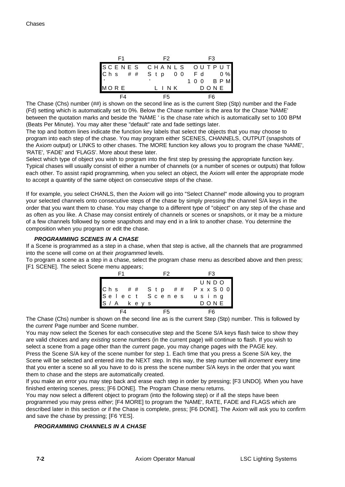| E1                                          | F2.  | F3      |
|---------------------------------------------|------|---------|
|                                             |      |         |
| SCENES CHANLS OUTPUT<br>Chs ## Stp 00 Fd 0% |      |         |
|                                             |      | 100 BPM |
| MORE                                        | LINK | DONE    |
|                                             |      |         |

The Chase (Chs) number (##) is shown on the second line as is the current Step (Stp) number and the Fade (Fd) setting which is automatically set to 0%. Below the Chase number is the area for the Chase 'NAME' between the quotation marks and beside the 'NAME ' is the chase rate which is automatically set to 100 BPM (Beats Per Minute). You may alter these "default" rate and fade settings later.

The top and bottom lines indicate the function key labels that select the objects that you may choose to program into each step of the chase. You may program either SCENES, CHANNELS, OUTPUT (snapshots of the Axi*om* output) or LINKS to other chases. The MORE function key allows you to program the chase 'NAME', 'RATE', 'FADE' and 'FLAGS'. More about these later.

Select which type of object you wish to program into the first step by pressing the appropriate function key. Typical chases will usually consist of either a number of channels (or a number of scenes or outputs) that follow each other. To assist rapid programming, when you select an object, the Axi*om* will enter the appropriate mode to accept a quantity of the same object on consecutive steps of the chase.

If for example, you select CHANLS, then the Axi*om* will go into "Select Channel" mode allowing you to program your selected channels onto consecutive steps of the chase by simply pressing the channel S/A keys in the order that you want them to chase. You may change to a different type of "object" on any step of the chase and as often as you like. A Chase may consist entirely of channels or scenes or snapshots, or it may be a mixture of a few channels followed by some snapshots and may end in a link to another chase. You determine the composition when you program or edit the chase.

#### *PROGRAMMING SCENES IN A CHASE*

If a Scene is programmed as a step in a chase, when that step is active, all the channels that are programmed into the scene will come on at their *programmed* levels.

To program a scene as a step in a chase, select the program chase menu as described above and then press; [F1 SCENE]. The select Scene menu appears;

|                                               | F3   |  |  |  |  |
|-----------------------------------------------|------|--|--|--|--|
|                                               | UNDO |  |  |  |  |
|                                               |      |  |  |  |  |
| Chs # # Stp # # PxxS00<br>Select Scenes using |      |  |  |  |  |
| S/A keys                                      | DONE |  |  |  |  |
|                                               |      |  |  |  |  |

The Chase (Chs) number is shown on the second line as is the current Step (Stp) number. This is followed by the *current* Page number and Scene number.

You may now select the Scenes for each consecutive step and the Scene S/A keys flash twice to show they are valid choices and any *existing* scene numbers (in the current page) will continue to flash. If you wish to select a scene from a page other than the *current* page, you may change pages with the PAGE key. Press the Scene S/A key of the scene number for step 1. Each time that you press a Scene S/A key, the Scene will be selected and entered into the NEXT step. In this way, the step number will *increment* every time that you enter a scene so all you have to do is press the scene number S/A keys in the order that you want them to chase and the steps are automatically created.

If you make an error you may step back and erase each step in order by pressing; [F3 UNDO]. When you have finished entering scenes, press; [F6 DONE]. The Program Chase menu returns.

You may now select a different object to program (into the following step) or if all the steps have been programmed you may press *either*; [F4 MORE] to program the 'NAME', RATE, FADE and FLAGS which are described later in this section *or* if the Chase is complete, press; [F6 DONE]. The Axi*om* will ask you to confirm and save the chase by pressing; [F6 YES].

### *PROGRAMMING CHANNELS IN A CHASE*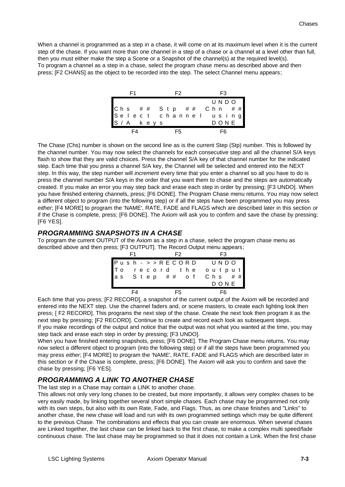When a channel is programmed as a step in a chase, it will come on at its maximum level when it is the current step of the chase. If you want more than one channel in a step of a chase or a channel at a level other than full, then you must either make the step a Scene or a Snapshot of the channel(s) at the required level(s). To program a channel as a step in a chase, select the program chase menu as described above and then press; [F2 CHANS] as the object to be recorded into the step. The select Channel menu appears;

|                                                                  | F3     |  |  |  |  |
|------------------------------------------------------------------|--------|--|--|--|--|
|                                                                  | UNDO I |  |  |  |  |
| Chs # # Stp # # Chn # #<br>Select channel using<br>S/A keys DONE |        |  |  |  |  |
|                                                                  |        |  |  |  |  |
|                                                                  |        |  |  |  |  |
|                                                                  |        |  |  |  |  |

The Chase (Chs) number is shown on the second line as is the current Step (Stp) number. This is followed by the channel number. You may now select the channels for each consecutive step and all the channel S/A keys flash to show that they are valid choices. Press the channel S/A key of that channel number for the indicated step. Each time that you press a channel S/A key, the Channel will be selected and entered into the NEXT step. In this way, the step number will *increment* every time that you enter a channel so all you have to do is press the channel number S/A keys in the order that you want them to chase and the steps are automatically created. If you make an error you may step back and erase each step in order by pressing; [F3 UNDO]. When you have finished entering channels, press; [F6 DONE]. The Program Chase menu returns. You may now select a different object to program (into the following step) or if all the steps have been programmed you may press *either*; [F4 MORE] to program the 'NAME', RATE, FADE and FLAGS which are described later in this section *or* if the Chase is complete, press; [F6 DONE]. The Axi*om* will ask you to confirm and save the chase by pressing; [F6 YES].

## *PROGRAMMING SNAPSHOTS IN A CHASE*

To program the current OUTPUT of the Axi*om* as a step in a chase, select the program chase menu as described above and then press; [F3 OUTPUT]. The Record Output menu appears;

|                        |  |  |  |  | F <sub>2</sub> |  | F3 |  |  |    |      |  |
|------------------------|--|--|--|--|----------------|--|----|--|--|----|------|--|
| Push - > > RECORD UNDO |  |  |  |  |                |  |    |  |  |    |      |  |
| To record the output   |  |  |  |  |                |  |    |  |  |    |      |  |
| as Step ## of Chs ##   |  |  |  |  |                |  |    |  |  |    |      |  |
|                        |  |  |  |  |                |  |    |  |  |    | DONE |  |
|                        |  |  |  |  | F5             |  |    |  |  | F6 |      |  |

Each time that you press; [F2 RECORD], a snapshot of the current output of the Axi*om* will be recorded and entered into the NEXT step. Use the channel faders and, or scene masters, to create each lighting look then press; [ F2 RECORD]. This programs the next step of the chase. Create the next look then program it as the next step by pressing; [F2 RECORD]. Continue to create and record each look as subsequent steps. If you make recordings of the output and notice that the output was not what you wanted at the time, you may step back and erase each step in order by pressing; [F3 UNDO].

When you have finished entering snapshots, press; [F6 DONE]. The Program Chase menu returns. You may now select a different object to program (into the following step) or if all the steps have been programmed you may press *either*; [F4 MORE] to program the 'NAME', RATE, FADE and FLAGS which are described later in this section or if the Chase is complete, press; [F6 DONE]. The Axi*om* will ask you to confirm and save the chase by pressing; [F6 YES].

## *PROGRAMMING A LINK TO ANOTHER CHASE*

The last step in a Chase may contain a LINK to another chase.

This allows not only very long chases to be created, but more importantly, it allows very complex chases to be very easily made, by linking together several short simple chases. Each chase may be programmed not only with its own steps, but also with its own Rate, Fade, and Flags. Thus, as one chase finishes and "Links" to another chase, the new chase will load and run with its own programmed settings which may be quite different to the previous Chase. The combinations and effects that you can create are enormous. When several chases are Linked together, the last chase can be linked back to the first chase, to make a complex multi speed/fade continuous chase. The last chase may be programmed so that it does not contain a Link. When the first chase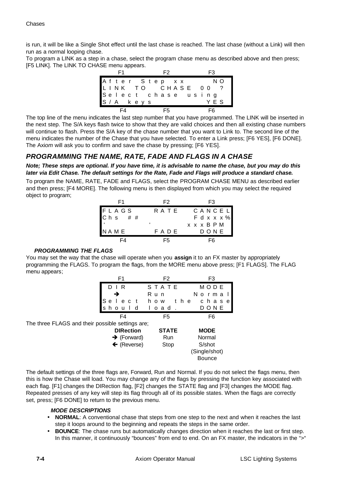is run, it will be like a Single Shot effect until the last chase is reached. The last chase (without a Link) will then run as a normal looping chase.

To program a LINK as a step in a chase, select the program chase menu as described above and then press; [F5 LINK]. The LINK TO CHASE menu appears.

|                    | Ξ3  |
|--------------------|-----|
| After Step xx      | N O |
| LINK TO CHASE 00   |     |
| Select chase using |     |
| S/A <u>keys</u>    | YES |
|                    |     |

The top line of the menu indicates the last step number that you have programmed. The LINK will be inserted in the next step. The S/A keys flash twice to show that they are valid choices and then all existing chase numbers will continue to flash. Press the S/A key of the chase number that you want to Link to. The second line of the menu indicates the number of the Chase that you have selected. To enter a Link press; [F6 YES], [F6 DONE]. The Axi*om* will ask you to confirm and save the chase by pressing; [F6 YES].

## *PROGRAMMING THE NAME, RATE, FADE AND FLAGS IN A CHASE*

*Note; These steps are optional. If you have time, it is advisable to name the chase, but you may do this later via Edit Chase. The default settings for the Rate, Fade and Flags will produce a standard chase.*

To program the NAME, RATE, FADE and FLAGS, select the PROGRAM CHASE MENU as described earlier and then press; [F4 MORE]. The following menu is then displayed from which you may select the required object to program;

|                  | F2          | F3            |
|------------------|-------------|---------------|
|                  | <b>RATE</b> | CANCEL        |
| FLAGS<br>Chs # # |             | $F$ d x x x % |
|                  |             | x x x B P M   |
| NAME             | FADE        | DONE          |
|                  | F5          |               |

#### *PROGRAMMING THE FLAGS*

You may set the way that the chase will operate when you **assign** it to an FX master by appropriately programming the FLAGS. To program the flags, from the MORE menu above press; [F1 FLAGS]. The FLAG menu appears;

|                                                  | F1                      | F <sub>2</sub> | F <sub>3</sub> |
|--------------------------------------------------|-------------------------|----------------|----------------|
|                                                  | IR                      | STATE          | MODE           |
|                                                  |                         | Run            | Norma          |
|                                                  | S<br>lect<br>e          | t h e<br>h o w | chase          |
|                                                  | should load.            |                | DONE           |
|                                                  | F <sub>4</sub>          | F <sub>5</sub> | F <sub>6</sub> |
| The three FLAGS and their possible settings are; |                         |                |                |
|                                                  | <b>DIRection</b>        | <b>STATE</b>   | <b>MODE</b>    |
|                                                  | $\rightarrow$ (Forward) | Run            | Normal         |
|                                                  | $\leftarrow$ (Reverse)  | Stop           | S/shot         |
|                                                  |                         |                | (Single/shot)  |
|                                                  |                         |                | <b>Bounce</b>  |

The default settings of the three flags are, Forward, Run and Normal. If you do not select the flags menu, then this is how the Chase will load. You may change any of the flags by pressing the function key associated with each flag. [F1] changes the DIRection flag, [F2] changes the STATE flag and [F3] changes the MODE flag. Repeated presses of any key will step its flag through all of its possible states. When the flags are correctly set, press; [F6 DONE] to return to the previous menu.

#### *MODE DESCRIPTIONS*

- **NORMAL:** A conventional chase that steps from one step to the next and when it reaches the last step it loops around to the beginning and repeats the steps in the same order.
- **BOUNCE**: The chase runs but automatically changes direction when it reaches the last or first step. In this manner, it continuously "bounces" from end to end. On an FX master, the indicators in the ">"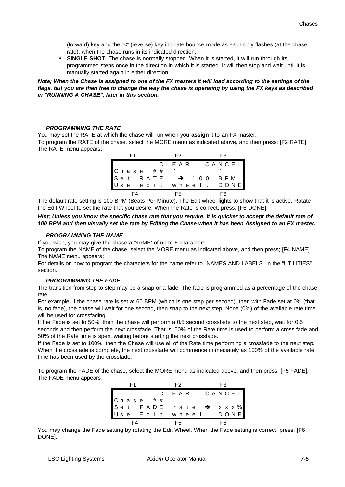(forward) key and the "<" (reverse) key indicate bounce mode as each only flashes (at the chase rate), when the chase runs in its indicated direction.

• **SINGLE SHOT**: The chase is normally stopped. When it is started, it will run through its programmed steps once in the direction in which it is started. It will then stop and wait until it is manually started again in either direction.

*Note; When the Chase is assigned to one of the FX masters it will load according to the settings of the flags, but you are then free to change the way the chase is operating by using the FX keys as described in "RUNNING A CHASE", later in this section.*

#### *PROGRAMMING THE RATE*

You may set the RATE at which the chase will run when you **assign** it to an FX master. To program the RATE of the chase, select the MORE menu as indicated above, and then press; [F2 RATE]. The RATE menu appears;

|                                                                      |  |  |  |              | F2 |  |  | F3 |  |  |
|----------------------------------------------------------------------|--|--|--|--------------|----|--|--|----|--|--|
|                                                                      |  |  |  | CLEAR CANCEL |    |  |  |    |  |  |
|                                                                      |  |  |  |              |    |  |  |    |  |  |
| Chase ## '<br>Set RATE $\rightarrow$ 100 BPM<br>Use edit wheel. DONE |  |  |  |              |    |  |  |    |  |  |
|                                                                      |  |  |  |              |    |  |  |    |  |  |
|                                                                      |  |  |  |              |    |  |  |    |  |  |

The default rate setting is 100 BPM (Beats Per Minute). The Edit wheel lights to show that it is active. Rotate the Edit Wheel to set the rate that you desire. When the Rate is correct, press; [F6 DONE].

#### *Hint; Unless you know the specific chase rate that you require, it is quicker to accept the default rate of 100 BPM and then visually set the rate by Editing the Chase when it has been Assigned to an FX master.*

#### *PROGRAMMING THE NAME*

If you wish, you may give the chase a 'NAME' of up to 6 characters.

To program the NAME of the chase, select the MORE menu as indicated above, and then press; [F4 NAME]. The NAME menu appears;

For details on how to program the characters for the name refer to "NAMES AND LABELS" in the "UTILITIES" section.

#### *PROGRAMMING THE FADE*

The transition from step to step may be a snap or a fade. The fade is programmed as a percentage of the chase rate.

For example, if the chase rate is set at 60 BPM (which is one step per second), then with Fade set at 0% (that is, no fade), the chase will wait for one second, then snap to the next step. None (0%) of the available rate time will be used for crossfading.

If the Fade is set to 50%, then the chase will perform a 0.5 second crossfade to the next step, wait for 0.5 seconds and then perform the next crossfade. That is, 50% of the Rate time is used to perform a cross fade and 50% of the Rate time is spent waiting before starting the next crossfade.

If the Fade is set to 100%, then the Chase will use all of the Rate time performing a crossfade to the next step. When the crossfade is complete, the next crossfade will commence immediately as 100% of the available rate time has been used by the crossfade.

To program the FADE of the chase, select the MORE menu as indicated above, and then press; [F5 FADE]. The FADE menu appears;

| F2.                                                      | F3 |
|----------------------------------------------------------|----|
| CLEAR CANCEL                                             |    |
| Chase ##<br>Set FADE rate → xxx%<br>Use Edit wheel. DONE |    |
|                                                          |    |
|                                                          |    |
|                                                          |    |

You may change the Fade setting by rotating the Edit Wheel. When the Fade setting is correct, press; [F6 DONE].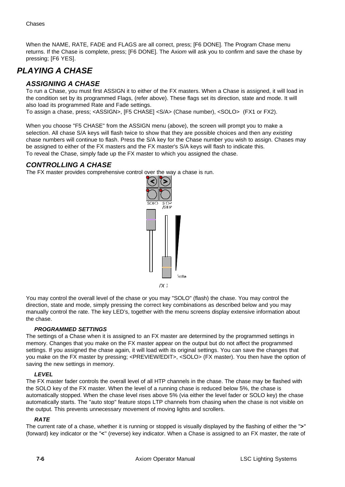When the NAME, RATE, FADE and FLAGS are all correct, press; [F6 DONE]. The Program Chase menu returns. If the Chase is complete, press; [F6 DONE]. The Axi*om* will ask you to confirm and save the chase by pressing; [F6 YES].

# *PLAYING A CHASE*

## *ASSIGNING A CHASE*

To run a Chase, you must first ASSIGN it to either of the FX masters. When a Chase is assigned, it will load in the condition set by its programmed Flags, (refer above). These flags set its direction, state and mode. It will also load its programmed Rate and Fade settings.

To assign a chase, press; <ASSIGN>, [F5 CHASE] <S/A> (Chase number), <SOLO> (FX1 or FX2).

When you choose "F5 CHASE" from the ASSIGN menu (above), the screen will prompt you to make a selection. All chase S/A keys will flash twice to show that they are possible choices and then any *existing* chase numbers will continue to flash. Press the S/A key for the Chase number you wish to assign. Chases may be assigned to either of the FX masters and the FX master's S/A keys will flash to indicate this. To reveal the Chase, simply fade up the FX master to which you assigned the chase.

## *CONTROLLING A CHASE*

The FX master provides comprehensive control over the way a chase is run.



You may control the overall level of the chase or you may "SOLO" (flash) the chase. You may control the direction, state and mode, simply pressing the correct key combinations as described below and you may manually control the rate. The key LED's, together with the menu screens display extensive information about the chase.

### *PROGRAMMED SETTINGS*

The settings of a Chase when it is assigned to an FX master are determined by the programmed settings in memory. Changes that you make on the FX master appear on the output but do not affect the programmed settings. If you assigned the chase again, it will load with its original settings. You can save the changes that you make on the FX master by pressing; <PREVIEW/EDIT>, <SOLO> (FX master). You then have the option of saving the new settings in memory.

#### *LEVEL*

The FX master fader controls the overall level of all HTP channels in the chase. The chase may be flashed with the SOLO key of the FX master. When the level of a running chase is reduced below 5%, the chase is automatically stopped. When the chase level rises above 5% (via either the level fader or SOLO key) the chase automatically starts. The "auto stop" feature stops LTP channels from chasing when the chase is not visible on the output. This prevents unnecessary movement of moving lights and scrollers.

### *RATE*

The current rate of a chase, whether it is running or stopped is visually displayed by the flashing of either the "**>**" (forward) key indicator or the "**<**" (reverse) key indicator. When a Chase is assigned to an FX master, the rate of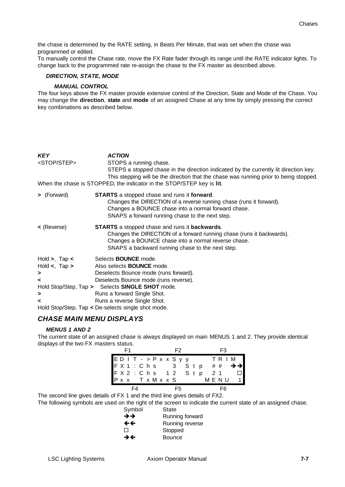the chase is determined by the RATE setting, in Beats Per Minute, that was set when the chase was programmed or edited.

To manually control the Chase rate, move the FX Rate fader through its range until the RATE indicator lights. To change back to the programmed rate re-assign the chase to the FX master as described above.

#### *DIRECTION, STATE, MODE*

#### *MANUAL CONTROL*

The four keys above the FX master provide extensive control of the Direction, State and Mode of the Chase. You may change the **direction**, **state** and **mode** of an assigned Chase at any time by simply pressing the correct key combinations as described below.

| <b>KEY</b><br><stop step=""></stop> | <b>ACTION</b><br>STOPS a running chase.<br>STEPS a <i>stopped</i> chase in the direction indicated by the currently lit direction key.<br>This stepping will be the direction that the chase was running prior to being stopped.<br>When the chase is STOPPED, the indicator in the STOP/STEP key is lit. |
|-------------------------------------|-----------------------------------------------------------------------------------------------------------------------------------------------------------------------------------------------------------------------------------------------------------------------------------------------------------|
|                                     |                                                                                                                                                                                                                                                                                                           |
| > (Forward)                         | <b>STARTS</b> a stopped chase and runs it forward.<br>Changes the DIRECTION of a reverse running chase (runs it forward).<br>Changes a BOUNCE chase into a normal forward chase.<br>SNAPS a forward running chase to the next step.                                                                       |
| $\leq$ (Reverse)                    | <b>STARTS</b> a stopped chase and runs it <b>backwards</b> .<br>Changes the DIRECTION of a forward running chase (runs it backwards).<br>Changes a BOUNCE chase into a normal reverse chase.<br>SNAPS a backward running chase to the next step.                                                          |
| Hold $>$ , Tap $\lt$                | Selects <b>BOUNCE</b> mode.                                                                                                                                                                                                                                                                               |
| Hold $\lt$ , Tap $>$                | Also selects <b>BOUNCE</b> mode.                                                                                                                                                                                                                                                                          |
| >                                   | Deselects Bounce mode (runs forward).                                                                                                                                                                                                                                                                     |
| ≺                                   | Deselects Bounce mode (runs reverse).                                                                                                                                                                                                                                                                     |
|                                     | Hold Stop/Step, Tap > Selects SINGLE SHOT mode.                                                                                                                                                                                                                                                           |
| >                                   | Runs a forward Single Shot.                                                                                                                                                                                                                                                                               |
| $\prec$                             | Runs a reverse Single Shot.                                                                                                                                                                                                                                                                               |
|                                     | Hold Stop/Step, Tap < De-selects single shot mode.                                                                                                                                                                                                                                                        |

## *CHASE MAIN MENU DISPLAYS*

#### *MENUS 1 AND 2*

The current state of an assigned chase is always displayed on main MENUS 1 and 2. They provide identical displays of the two FX masters status.

|                                                                                                                             |  |  |  |  |  |  |    |  |  |  |  |  |  |  | -∺3 - |  |
|-----------------------------------------------------------------------------------------------------------------------------|--|--|--|--|--|--|----|--|--|--|--|--|--|--|-------|--|
| EDIT - > P x x S y y T R I M<br>F X 1 : C h s 3 S t p # # →<br>F X 2 : C h s 1 2 S t p 2 1 0<br>P x x T x M x x S M E N U 1 |  |  |  |  |  |  |    |  |  |  |  |  |  |  |       |  |
|                                                                                                                             |  |  |  |  |  |  |    |  |  |  |  |  |  |  |       |  |
|                                                                                                                             |  |  |  |  |  |  |    |  |  |  |  |  |  |  |       |  |
|                                                                                                                             |  |  |  |  |  |  |    |  |  |  |  |  |  |  |       |  |
|                                                                                                                             |  |  |  |  |  |  | トヘ |  |  |  |  |  |  |  |       |  |

The second line gives details of FX 1 and the third line gives details of FX2.

The following symbols are used on the right of the screen to indicate the current state of an assigned chase.

| Symbol                    | <b>State</b>    |
|---------------------------|-----------------|
| $\rightarrow \rightarrow$ | Running forward |
| $\leftarrow$              | Running reverse |
| П                         | Stopped         |
| $\rightarrow \leftarrow$  | <b>Bounce</b>   |
|                           |                 |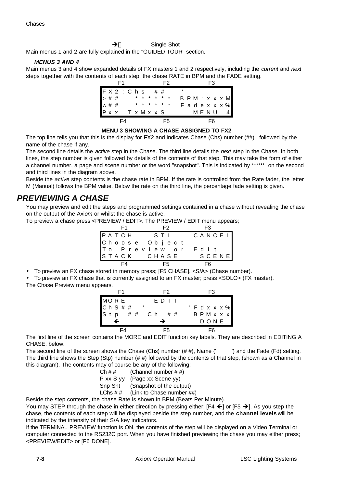**→ c** Single Shot

Main menus 1 and 2 are fully explained in the "GUIDED TOUR" section.

#### *MENUS 3 AND 4*

Main menus 3 and 4 show expanded details of FX masters 1 and 2 respectively, including the *current* and *next* steps together with the contents of each step, the chase RATE in BPM and the FADE setting.

| F X 2 : C h s # # |             |              |
|-------------------|-------------|--------------|
| > # #             | * * * * * * | BPM: x x x M |
| $\wedge$ # #      | * * * * * * | Fadexxx%     |
| Pxx TxMxxS        |             | MENU         |
|                   | F5          | -6           |

#### **MENU 3 SHOWING A CHASE ASSIGNED TO FX2**

The top line tells you that this is the display for FX2 and indicates Chase (Chs) number (##), followed by the name of the chase if any.

The second line details the *active* step in the Chase. The third line details the *next* step in the Chase. In both lines, the step number is given followed by details of the contents of that step. This may take the form of either a channel number, a page and scene number or the word "snapshot". This is indicated by \*\*\*\*\*\* on the second and third lines in the diagram above.

Beside the *active* step contents is the chase rate in BPM. If the rate is controlled from the Rate fader, the letter M (Manual) follows the BPM value. Below the rate on the third line, the percentage fade setting is given.

## *PREVIEWING A CHASE*

You may preview and edit the steps and programmed settings contained in a chase without revealing the chase on the output of the Axi*om* or whilst the chase is active.

To preview a chase press <PREVIEW / EDIT>. The PREVIEW / EDIT menu appears;

|               | F2.                | F3           |
|---------------|--------------------|--------------|
|               | PATCH STL CANCEL   |              |
| Choose Object |                    |              |
|               | To Preview or Edit |              |
| STACK CHASE   |                    | dit<br>SCENE |
|               | F5                 | FR           |

• To preview an FX chase stored in memory press; [F5 CHASE], <S/A> (Chase number).

• To preview an FX chase that is currently assigned to an FX master; press <SOLO> (FX master).

The Chase Preview menu appears.

|                | F2.  |        |
|----------------|------|--------|
| MORE           | EDIT |        |
| C h S # #      |      | Fdxxx% |
| Stp # # Ch # # |      | BPMxxx |
| ←              |      | DONE   |
|                |      |        |

The first line of the screen contains the MORE and EDIT function key labels. They are described in EDITING A CHASE, below.

The second line of the screen shows the Chase (Chs) number  $(\# \#)$ , Name  $'$  ) and the Fade (Fd) setting. The third line shows the Step (Stp) number (# #) followed by the contents of that step, (shown as a Channel in this diagram). The contents may of course be any of the following;

| Ch## | (Channel number $##$ )          |
|------|---------------------------------|
|      | P xx S yy (Page xx Scene yy)    |
|      | Son Sht (Spanshot of the output |

Snp Sht (Snapshot of the output) LChs  $# #$  (Link to Chase number  $##$ )

Beside the step contents, the chase Rate is shown in BPM (Beats Per Minute).

You may STEP through the chase in either direction by pressing either;  $[F4 \leftarrow]$  or  $[F5 \rightarrow]$ . As you step the chase, the contents of each step will be displayed beside the step number, and the **channel levels** will be indicated by the intensity of their S/A key indicators.

If the TERMINAL PREVIEW function is ON, the contents of the step will be displayed on a Video Terminal or computer connected to the RS232C port. When you have finished previewing the chase you may either press; <PREVIEW/EDIT> or [F6 DONE].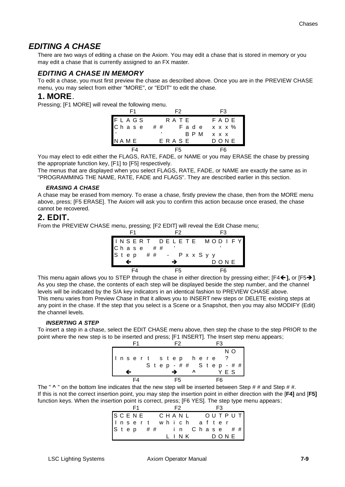## *EDITING A CHASE*

There are two ways of editing a chase on the Axi*om*. You may edit a chase that is stored in memory or you may edit a chase that is currently assigned to an FX master.

## *EDITING A CHASE IN MEMORY*

To edit a chase, you must first preview the chase as described above. Once you are in the PREVIEW CHASE menu, you may select from either "MORE", or "EDIT" to edit the chase.

## **1. MORE**.

Pressing; [F1 MORE] will reveal the following menu.

| F1   | F2.                                   | F3    |  |  |  |  |
|------|---------------------------------------|-------|--|--|--|--|
|      |                                       |       |  |  |  |  |
|      | FLAGS RATE FADE<br>Chase ## Fade xxx% |       |  |  |  |  |
|      | B P M                                 | x x x |  |  |  |  |
| NAME | ERASE                                 | DONE  |  |  |  |  |
|      | -5                                    |       |  |  |  |  |

You may elect to edit either the FLAGS, RATE, FADE, or NAME or you may ERASE the chase by pressing the appropriate function key, [F1] to [F5] respectively.

The menus that are displayed when you select FLAGS, RATE, FADE, or NAME are exactly the same as in "PROGRAMMING THE NAME, RATE, FADE and FLAGS". They are described earlier in this section.

#### *ERASING A CHASE*

A chase may be erased from memory. To erase a chase, firstly preview the chase, then from the MORE menu above, press; [F5 ERASE]. The Axi*om* will ask you to confirm this action because once erased, the chase cannot be recovered.

## **2. EDIT.**

From the PREVIEW CHASE menu, pressing; [F2 EDIT] will reveal the Edit Chase menu;

|  |  |   |  |                             |  |  |  |  |   |  |  |  |  | F3 |  |      |  |  |  |
|--|--|---|--|-----------------------------|--|--|--|--|---|--|--|--|--|----|--|------|--|--|--|
|  |  |   |  | INSERT DELETE MODIFY        |  |  |  |  |   |  |  |  |  |    |  |      |  |  |  |
|  |  |   |  | IChase ##                   |  |  |  |  |   |  |  |  |  |    |  |      |  |  |  |
|  |  |   |  | $Step$ ## - $P$ x x $S$ y y |  |  |  |  |   |  |  |  |  |    |  |      |  |  |  |
|  |  | L |  |                             |  |  |  |  | ▲ |  |  |  |  |    |  | DONE |  |  |  |
|  |  |   |  |                             |  |  |  |  |   |  |  |  |  |    |  |      |  |  |  |

This menu again allows you to STEP through the chase in either direction by pressing either; [F4 **← 1,** or [F5 **→ 1**. As you step the chase, the contents of each step will be displayed beside the step number, and the channel levels will be indicated by the S/A key indicators in an identical fashion to PREVIEW CHASE above. This menu varies from Preview Chase in that it allows you to INSERT new steps or DELETE existing steps at any point in the chase. If the step that you select is a Scene or a Snapshot, then you may also MODIFY (Edit) the channel levels.

### *INSERTING A STEP*

To insert a step in a chase, select the EDIT CHASE menu above, then step the chase to the step PRIOR to the point where the new step is to be inserted and press; [F1 INSERT]. The Insert step menu appears;

|  |  |  |  |                    |  |  |  |  |  |  |   |  |  |  | F3 |     |     |                       |
|--|--|--|--|--------------------|--|--|--|--|--|--|---|--|--|--|----|-----|-----|-----------------------|
|  |  |  |  |                    |  |  |  |  |  |  |   |  |  |  |    |     | N O |                       |
|  |  |  |  | Insert step here ? |  |  |  |  |  |  |   |  |  |  |    |     |     |                       |
|  |  |  |  |                    |  |  |  |  |  |  |   |  |  |  |    |     |     | Step - # # Step - # # |
|  |  |  |  |                    |  |  |  |  |  |  | Λ |  |  |  |    | YES |     |                       |
|  |  |  |  |                    |  |  |  |  |  |  |   |  |  |  |    |     |     |                       |

The "  $\bullet$  " on the bottom line indicates that the new step will be inserted between Step # # and Step # #. If this is not the correct insertion point, you may step the insertion point in either direction with the [**F4]** and [**F5]** function keys. When the insertion point is correct, press; [F6 YES]. The step type menu appears;

|                                                                 |  |  |  |  | F2.       |  |  | F3 |  |  |
|-----------------------------------------------------------------|--|--|--|--|-----------|--|--|----|--|--|
| SCENE CHANL OUTPUT<br>Insert which after<br>Step ## in Chase ## |  |  |  |  |           |  |  |    |  |  |
|                                                                 |  |  |  |  |           |  |  |    |  |  |
|                                                                 |  |  |  |  |           |  |  |    |  |  |
|                                                                 |  |  |  |  | LINK DONE |  |  |    |  |  |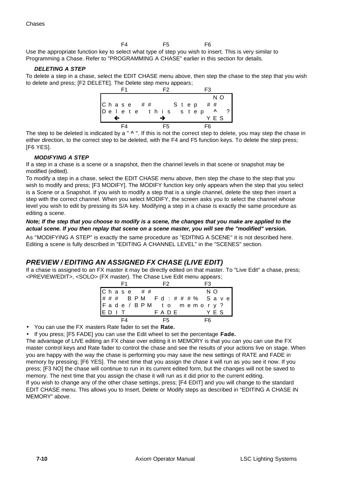F4 F5 F6

Use the appropriate function key to select what type of step you wish to insert. This is very similar to Programming a Chase. Refer to "PROGRAMMING A CHASE" earlier in this section for details.

#### *DELETING A STEP*

To delete a step in a chase, select the EDIT CHASE menu above, then step the chase to the step that you wish to delete and press; [F2 DELETE]. The Delete step menu appears;

|                                   | N O                             |
|-----------------------------------|---------------------------------|
|                                   | $#$ #                           |
| Chase ## Step<br>Delete this step | $\boldsymbol{\mathsf{\Lambda}}$ |
|                                   | YES                             |
|                                   |                                 |

The step to be deleted is indicated by a " **^** ". If this is not the correct step to delete, you may step the chase in either direction, to the correct step to be deleted, with the F4 and F5 function keys. To delete the step press; [F6 YES].

#### *MODIFYING A STEP*

If a step in a chase is a scene or a snapshot, then the channel levels in that scene or snapshot may be modified (edited).

To modify a step in a chase, select the EDIT CHASE menu above, then step the chase to the step that you wish to modify and press; [F3 MODIFY]. The MODIFY function key only appears when the step that you select is a Scene or a Snapshot. If you wish to modify a step that is a single channel, delete the step then insert a step with the correct channel. When you select MODIFY, the screen asks you to select the channel whose level you wish to edit by pressing its S/A key. Modifying a step in a chase is exactly the same procedure as editing a scene.

#### *Note; If the step that you choose to modify is a scene, the changes that you make are applied to the actual scene. If you then replay that scene on a scene master, you will see the "modified" version.*

As "MODIFYING A STEP" is exactly the same procedure as "EDITING A SCENE" it is not described here. Editing a scene is fully described in "EDITING A CHANNEL LEVEL" in the "SCENES" section.

## *PREVIEW / EDITING AN ASSIGNED FX CHASE (LIVE EDIT)*

If a chase is assigned to an FX master it may be directly edited on that master. To "Live Edit" a chase, press; <PREVIEW/EDIT>, <SOLO> (FX master). The Chase Live Edit menu appears;

|                                     |  |  |  |  |      |  |  | F3 |     |  |
|-------------------------------------|--|--|--|--|------|--|--|----|-----|--|
|                                     |  |  |  |  |      |  |  |    |     |  |
| Chase ## NO<br>### BPM Fd:###% Save |  |  |  |  |      |  |  |    |     |  |
| Fade/BPM to memory?                 |  |  |  |  |      |  |  |    |     |  |
| EDIT                                |  |  |  |  | FADE |  |  |    | YES |  |
|                                     |  |  |  |  |      |  |  |    |     |  |

• You can use the FX masters Rate fader to set the **Rate.**

• If you press; [F5 FADE] you can use the Edit wheel to set the percentage **Fade.**

The advantage of LIVE editing an FX chase over editing it in MEMORY is that you can you can use the FX master control keys and Rate fader to control the chase and see the results of your actions live on stage. When you are happy with the way the chase is performing you may save the new settings of RATE and FADE in memory by pressing; [F6 YES]. The next time that you assign the chase it will run as you see it now. If you press; [F3 NO] the chase will continue to run in its current edited form, but the changes will not be saved to memory. The next time that you assign the chase it will run as it did prior to the current editing. If you wish to change any of the other chase settings, press; [F4 EDIT] and you will change to the standard EDIT CHASE menu. This allows you to Insert, Delete or Modify steps as described in "EDITING A CHASE IN MEMORY" above.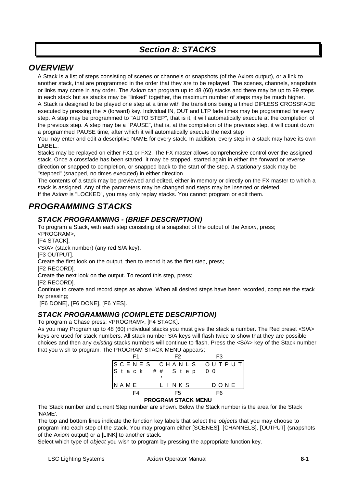# *Section 8: STACKS*

## *OVERVIEW*

A Stack is a list of steps consisting of scenes or channels or snapshots (of the Axi*om* output), or a link to another stack, that are programmed in the order that they are to be replayed. The scenes, channels, snapshots or links may come in any order. The Axi*om* can program up to 48 (60) stacks and there may be up to 99 steps in each stack but as stacks may be "linked" together, the maximum number of steps may be much higher. A Stack is designed to be played one step at a time with the transitions being a timed DIPLESS CROSSFADE executed by pressing the **>** (forward) key. Individual IN, OUT and LTP fade times may be programmed for every step. A step may be programmed to "AUTO STEP", that is it, it will automatically execute at the completion of the previous step. A step may be a "PAUSE", that is, at the completion of the previous step, it will count down a programmed PAUSE time, after which it will automatically execute the next step

You may enter and edit a descriptive NAME for every stack. In addition, every step in a stack may have its own LABEL..

Stacks may be replayed on either FX1 or FX2. The FX master allows comprehensive control over the assigned stack. Once a crossfade has been started, it may be stopped, started again in either the forward or reverse direction or snapped to completion, or snapped back to the start of the step. A stationary stack may be "stepped" (snapped, no times executed) in either direction.

The contents of a stack may be previewed and edited, either in memory or directly on the FX master to which a stack is assigned. Any of the parameters may be changed and steps may be inserted or deleted. If the Axi*om* is "LOCKED", you may only replay stacks. You cannot program or edit them.

# *PROGRAMMING STACKS*

## *STACK PROGRAMMING - (BRIEF DESCRIPTION)*

To program a Stack, with each step consisting of a snapshot of the output of the Axi*om*, press; <PROGRAM>, [F4 STACK], <S/A> (stack number) (any red S/A key). [F3 OUTPUT]. Create the first look on the output, then to record it as the first step, press; [F2 RECORD]. Create the next look on the output. To record this step, press; [F2 RECORD]. Continue to create and record steps as above. When all desired steps have been recorded, complete the stack by pressing; [F6 DONE], [F6 DONE], [F6 YES].

## *STACK PROGRAMMING (COMPLETE DESCRIPTION)*

To program a Chase press; <PROGRAM>, [F4 STACK].

As you may Program up to 48 (60) individual stacks you must give the stack a number. The Red preset <S/A> keys are used for stack numbers. All stack number S/A keys will flash twice to show that they are possible choices and then any *existing* stacks numbers will continue to flash. Press the <S/A> key of the Stack number that you wish to program. The PROGRAM STACK MENU appears;

|                                          |       | F3   |
|------------------------------------------|-------|------|
|                                          |       |      |
| SCENES CHANLS OUTPUT<br>Stack ## Step 00 |       |      |
|                                          |       |      |
| <b>NAME</b>                              | LINKS | DONE |
|                                          | F5.   |      |

#### **PROGRAM STACK MENU**

The Stack number and current Step number are shown. Below the Stack number is the area for the Stack 'NAME'.

The top and bottom lines indicate the function key labels that select the *objects* that you may choose to program into each step of the stack. You may program either [SCENES], [CHANNELS], [OUTPUT] (snapshots of the Axi*om* output) or a [LINK] to another stack.

Select which type of *object* you wish to program by pressing the appropriate function key.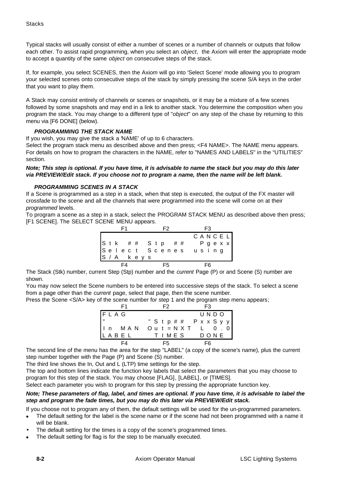Typical stacks will usually consist of either a number of scenes or a number of channels or outputs that follow each other. To assist rapid programming, when you select an *object*, the Axi*om* will enter the appropriate mode to accept a quantity of the same *object* on consecutive steps of the stack.

If, for example, you select SCENES, then the Axi*om* will go into 'Select Scene' mode allowing you to program your selected scenes onto consecutive steps of the stack by simply pressing the scene S/A keys in the order that you want to play them.

A Stack may consist entirely of channels or scenes or snapshots, or it may be a mixture of a few scenes followed by some snapshots and may end in a link to another stack. You determine the composition when you program the stack. You may change to a different type of "*object*" on any step of the chase by returning to this menu via [F6 DONE] (below).

#### *PROGRAMMING THE STACK NAME*

If you wish, you may give the stack a 'NAME' of up to 6 characters.

Select the program stack menu as described above and then press; <F4 NAME>. The NAME menu appears. For details on how to program the characters in the NAME, refer to "NAMES AND LABELS" in the "UTILITIES" section.

#### *Note; This step is optional. If you have time, it is advisable to name the stack but you may do this later via PREVIEW/Edit stack. If you choose not to program a name, then the name will be left blank.*

#### *PROGRAMMING SCENES IN A STACK*

If a Scene is programmed as a step in a stack, when that step is executed, the output of the FX master will crossfade to the scene and all the channels that were programmed into the scene will come on at their *programmed* levels.

To program a scene as a step in a stack, select the PROGRAM STACK MENU as described above then press; [F1 SCENE]. The SELECT SCENE MENU appears.

|                                                        | F3     |
|--------------------------------------------------------|--------|
|                                                        | CANCEL |
|                                                        |        |
|                                                        |        |
| Stk ## Stp ## Pgexx<br>Select Scenes using<br>S/A keys |        |
|                                                        |        |

The Stack (Stk) number, current Step (Stp) number and the *current* Page (P) or and Scene (S) number are shown.

You may now select the Scene numbers to be entered into successive steps of the stack. To select a scene from a page other than the *current* page, select that page, then the scene number.

Press the Scene <S/A> key of the scene number for step 1 and the program step menu appears;

|       |                                                                            | F3   |
|-------|----------------------------------------------------------------------------|------|
| FLAG  |                                                                            | UNDO |
|       | " S t p # # P x x S y y                                                    |      |
|       | $\begin{bmatrix} \ln MAN & 0 \text{ u } t = NXT & L & 0 & 0 \end{bmatrix}$ |      |
| LABEL | TIMES                                                                      | DONE |
|       | ᄄ                                                                          |      |

The second line of the menu has the area for the step "LABEL" (a copy of the scene's name), plus the current step number together with the Page (P) and Scene (S) number.

The third line shows the In, Out and L (LTP) time settings for the step.

The top and bottom lines indicate the function key labels that select the parameters that you may choose to program for this step of the stack. You may choose [FLAG], [LABEL], or [TIMES].

Select each parameter you wish to program for this step by pressing the appropriate function key.

#### *Note; These parameters of flag, label, and times are optional. If you have time, it is advisable to label the step and program the fade times, but you may do this later via PREVIEW/Edit stack.*

If you choose not to program any of them, the default settings will be used for the un-programmed parameters.

- The default setting for the label is the scene name or if the scene had not been programmed with a name it will be blank.
- The default setting for the times is a copy of the scene's programmed times.
- The default setting for flag is for the step to be manually executed.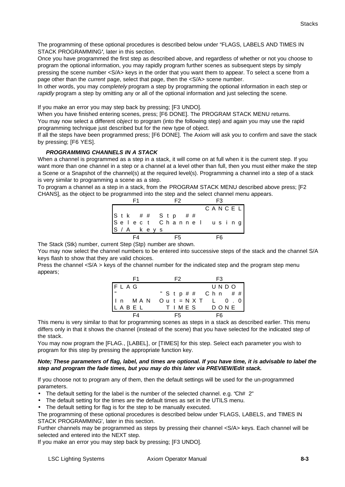The programming of these optional procedures is described below under "FLAGS, LABELS AND TIMES IN STACK PROGRAMMING*'*, later in this section.

Once you have programmed the first step as described above, and regardless of whether or not you choose to program the optional information, you may rapidly program further scenes as subsequent steps by simply pressing the scene number <S/A> keys in the order that you want them to appear. To select a scene from a page other than the *current* page, select that page, then the <S/A> scene number.

In other words, you may *completely* program a step by programming the optional information in each step or *rapidly* program a step by omitting any or all of the optional information and just selecting the scene.

If you make an error you may step back by pressing; [F3 UNDO].

When you have finished entering scenes, press; [F6 DONE]. The PROGRAM STACK MENU returns. You may now select a different *object* to program (into the following step) and again you may use the rapid programming technique just described but for the new type of object.

If all the steps have been programmed press; [F6 DONE]. The Axi*om* will ask you to confirm and save the stack by pressing; [F6 YES].

#### *PROGRAMMING CHANNELS IN A STACK*

When a channel is programmed as a step in a stack, it will come on at full when it is the current step. If you want more than one channel in a step or a channel at a level other than full, then you must either make the step a Scene or a Snapshot of the channel(s) at the required level(s). Programming a channel into a step of a stack is very similar to programming a scene as a step.

To program a channel as a step in a stack, from the PROGRAM STACK MENU described above press; [F2 CHANS], as the object to be programmed into the step and the select channel menu appears.

|  |  |  |  |  |  |  |  |  |  |  |  |  | F3                                                |  |  |  |  |  |  |  |
|--|--|--|--|--|--|--|--|--|--|--|--|--|---------------------------------------------------|--|--|--|--|--|--|--|
|  |  |  |  |  |  |  |  |  |  |  |  |  | CANCEL                                            |  |  |  |  |  |  |  |
|  |  |  |  |  |  |  |  |  |  |  |  |  | Stk ## Stp ##<br>Select Channel using<br>S/A keys |  |  |  |  |  |  |  |
|  |  |  |  |  |  |  |  |  |  |  |  |  |                                                   |  |  |  |  |  |  |  |
|  |  |  |  |  |  |  |  |  |  |  |  |  |                                                   |  |  |  |  |  |  |  |
|  |  |  |  |  |  |  |  |  |  |  |  |  |                                                   |  |  |  |  |  |  |  |

The Stack (Stk) number, current Step (Stp) number are shown.

You may now select the channel numbers to be entered into successive steps of the stack and the channel S/A keys flash to show that they are valid choices.

Press the channel <S/A > keys of the channel number for the indicated step and the program step menu appears;

| ⊢1   |                       | F3   |
|------|-----------------------|------|
| FLAG |                       | UNDO |
|      | " S t p # # C h n # # |      |
|      | THES DONE             |      |
|      |                       |      |
|      |                       |      |

This menu is very similar to that for programming scenes as steps in a stack as described earlier. This menu differs only in that it shows the channel (instead of the scene) that you have selected for the indicated step of the stack.

You may now program the [FLAG., [LABEL], or [TIMES] for this step. Select each parameter you wish to program for this step by pressing the appropriate function key.

#### *Note; These parameters of flag, label, and times are optional. If you have time, it is advisable to label the step and program the fade times, but you may do this later via PREVIEW/Edit stack.*

If you choose not to program any of them, then the default settings will be used for the un-programmed parameters.

- The default setting for the label is the number of the selected channel. e.g. "Ch# 2"
- The default setting for the times are the default times as set in the UTILS menu.
- The default setting for flag is for the step to be manually executed.

The programming of these optional procedures is described below under 'FLAGS, LABELS, and TIMES IN STACK PROGRAMMING', later in this section.

Further channels may be programmed as steps by pressing their channel <S/A> keys. Each channel will be selected and entered into the NEXT step.

If you make an error you may step back by pressing; [F3 UNDO].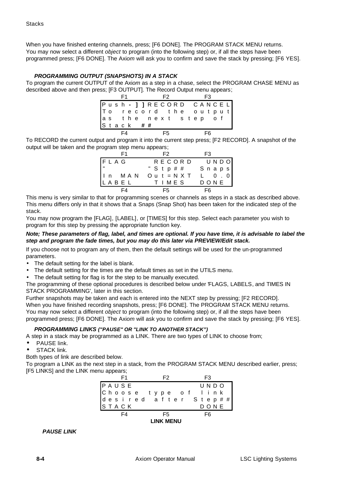When you have finished entering channels, press; [F6 DONE]. The PROGRAM STACK MENU returns. You may now select a different *object* to program (into the following step) or, if all the steps have been programmed press; [F6 DONE]. The Axi*om* will ask you to confirm and save the stack by pressing; [F6 YES].

#### *PROGRAMMING OUTPUT (SNAPSHOTS) IN A STACK*

To program the current OUTPUT of the Axi*om* as a step in a chase, select the PROGRAM CHASE MENU as described above and then press; [F3 OUTPUT]. The Record Output menu appears;

|                                                                                   |  |  |  |  |  |  |    |  |  |  |  |  | F3 |  |  |  |  |  |  |
|-----------------------------------------------------------------------------------|--|--|--|--|--|--|----|--|--|--|--|--|----|--|--|--|--|--|--|
| Push - ]]RECORD CANCEL<br>To record the output<br>as the next step of<br>Stack ## |  |  |  |  |  |  |    |  |  |  |  |  |    |  |  |  |  |  |  |
|                                                                                   |  |  |  |  |  |  |    |  |  |  |  |  |    |  |  |  |  |  |  |
|                                                                                   |  |  |  |  |  |  |    |  |  |  |  |  |    |  |  |  |  |  |  |
|                                                                                   |  |  |  |  |  |  |    |  |  |  |  |  |    |  |  |  |  |  |  |
|                                                                                   |  |  |  |  |  |  | F5 |  |  |  |  |  |    |  |  |  |  |  |  |

To RECORD the current output and program it into the current step press; [F2 RECORD]. A snapshot of the output will be taken and the program step menu appears;

|           | F2                                   | F3                        |
|-----------|--------------------------------------|---------------------------|
| FLAG<br>" | RECORD UNDO                          |                           |
|           | " S t p # #                          | Snaps                     |
|           | In MAN Out = NXT L<br>LABEL TIMES DC | $0$ .<br>$\overline{0}$ 1 |
|           |                                      | DONE                      |
|           | ᇅ                                    |                           |

This menu is very similar to that for programming scenes or channels as steps in a stack as described above. This menu differs only in that it shows that a Snaps (Snap Shot) has been taken for the indicated step of the stack.

You may now program the [FLAG], [LABEL], or [TIMES] for this step. Select each parameter you wish to program for this step by pressing the appropriate function key.

#### *Note; These parameters of flag, label, and times are optional. If you have time, it is advisable to label the step and program the fade times, but you may do this later via PREVIEW/Edit stack.*

If you choose not to program any of them, then the default settings will be used for the un-programmed parameters.

- The default setting for the label is blank.
- The default setting for the times are the default times as set in the UTILS menu.
- The default setting for flag is for the step to be manually executed.

The programming of these optional procedures is described below under 'FLAGS, LABELS, and TIMES IN STACK PROGRAMMING', later in this section.

Further snapshots may be taken and each is entered into the NEXT step by pressing; [F2 RECORD]. When you have finished recording snapshots, press; [F6 DONE]. The PROGRAM STACK MENU returns. You may now select a different *object* to program (into the following step) or, if all the steps have been programmed press; [F6 DONE]. The Axi*om* will ask you to confirm and save the stack by pressing; [F6 YES].

#### *PROGRAMMING LINKS ("PAUSE" OR "LINK TO ANOTHER STACK")*

A step in a stack may be programmed as a LINK. There are two types of LINK to choose from;

- PAUSE link.
- STACK link.

Both types of link are described below.

To program a LINK as the next step in a stack, from the PROGRAM STACK MENU described earlier, press; [F5 LINKS] and the LINK menu appears;

|                                                           |           | F3   |  |  |  |  |  |  |  |  |  |  |  |  |
|-----------------------------------------------------------|-----------|------|--|--|--|--|--|--|--|--|--|--|--|--|
| PAUSE                                                     |           | UNDO |  |  |  |  |  |  |  |  |  |  |  |  |
| Choose type of link<br>desired after Step##<br>STACK DONE |           |      |  |  |  |  |  |  |  |  |  |  |  |  |
|                                                           |           |      |  |  |  |  |  |  |  |  |  |  |  |  |
|                                                           |           |      |  |  |  |  |  |  |  |  |  |  |  |  |
|                                                           | F5        | FR   |  |  |  |  |  |  |  |  |  |  |  |  |
|                                                           | LINK MENU |      |  |  |  |  |  |  |  |  |  |  |  |  |

*PAUSE LINK*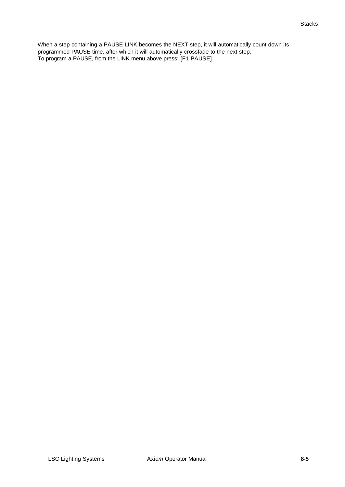When a step containing a PAUSE LINK becomes the NEXT step, it will automatically count down its programmed PAUSE time, after which it will automatically crossfade to the next step. To program a PAUSE, from the LINK menu above press; [F1 PAUSE].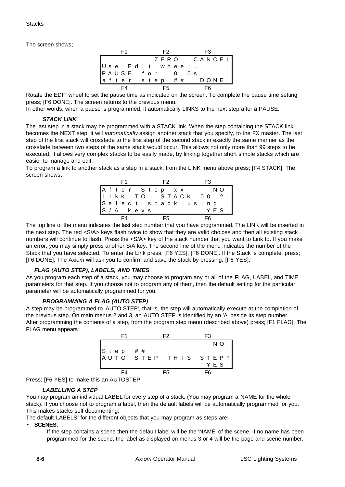The screen shows;

|  |  |  |  |  |  |  |                                                    |  |  | F <sub>2</sub> |             |  | F3 |  |  |      |  |  |  |
|--|--|--|--|--|--|--|----------------------------------------------------|--|--|----------------|-------------|--|----|--|--|------|--|--|--|
|  |  |  |  |  |  |  |                                                    |  |  |                | ZERO CANCEL |  |    |  |  |      |  |  |  |
|  |  |  |  |  |  |  |                                                    |  |  |                |             |  |    |  |  |      |  |  |  |
|  |  |  |  |  |  |  |                                                    |  |  |                |             |  |    |  |  |      |  |  |  |
|  |  |  |  |  |  |  | Use Edit wheel.<br>PAUSE for 0.0s<br>after step ## |  |  |                |             |  |    |  |  | DONE |  |  |  |
|  |  |  |  |  |  |  |                                                    |  |  |                |             |  |    |  |  |      |  |  |  |

Rotate the EDIT wheel to set the pause time as indicated on the screen. To complete the pause time setting press; [F6 DONE]. The screen returns to the previous menu.

In other words, when a pause is programmed, it automatically LINKS to the next step after a PAUSE.

#### *STACK LINK*

The last step in a stack may be programmed with a STACK link. When the step containing the STACK link becomes the NEXT step, it will *automatically* assign another stack that you specify, to the FX master. The last step of the first stack will crossfade to the first step of the second stack in exactly the same manner as the crossfade between two steps of the same stack would occur. This allows not only more than 99 steps to be executed, it allows very complex stacks to be easily made, by linking together short simple stacks which are easier to manage and edit.

To program a link to another stack as a step in a stack, from the LINK menu above press; [F4 STACK]. The screen shows;

|  |                                                                           |  |  |  |  |  |  |  |  | F2 |  |  |  | F3 |  |  |  |  |  |
|--|---------------------------------------------------------------------------|--|--|--|--|--|--|--|--|----|--|--|--|----|--|--|--|--|--|
|  |                                                                           |  |  |  |  |  |  |  |  |    |  |  |  |    |  |  |  |  |  |
|  |                                                                           |  |  |  |  |  |  |  |  |    |  |  |  |    |  |  |  |  |  |
|  |                                                                           |  |  |  |  |  |  |  |  |    |  |  |  |    |  |  |  |  |  |
|  | After Step xx<br>LINK TO STACK 00 ?<br>Select stack using<br>S/A keys YES |  |  |  |  |  |  |  |  |    |  |  |  |    |  |  |  |  |  |
|  |                                                                           |  |  |  |  |  |  |  |  |    |  |  |  |    |  |  |  |  |  |

The top line of the menu indicates the last step number that you have programmed. The LINK will be inserted in the next step. The red <S/A> keys flash twice to show that they are valid choices and then all existing stack numbers will continue to flash. Press the <S/A> key of the stack number that you want to Link to. If you make an error, you may simply press another S/A key. The second line of the menu indicates the number of the Stack that you have selected. To enter the Link press; [F6 YES], [F6 DONE]. If the Stack is complete, press; [F6 DONE]. The Axi*om* will ask you to confirm and save the stack by pressing; [F6 YES].

#### *FLAG (AUTO STEP), LABELS, AND TIMES*

As you program each step of a stack, you may choose to program any or all of the FLAG, LABEL, and TIME parameters for that step. If you choose not to program any of them, then the default setting for the particular parameter will be automatically programmed for you.

#### *PROGRAMMING A FLAG (AUTO STEP)*

A step may be programmed to 'AUTO STEP', that is, the step will automatically execute at the completion of the previous step. On main menus 2 and 3, an AUTO STEP is identified by an 'A' beside its step number. After programming the contents of a step, from the program step menu (described above) press; [F1 FLAG]. The FLAG menu appears;



Press; [F6 YES] to make this an AUTOSTEP.

#### *LABELLING A STEP*

You may program an individual LABEL for every step of a stack. (You may program a NAME for the whole stack). If you choose not to program a label, then the default labels will be automatically programmed for you. This makes stacks self documenting.

The default 'LABELS' for the different objects that you may program as steps are;

• **SCENES**;

If the step contains a scene then the default label will be the 'NAME' of the scene. If no name has been programmed for the scene, the label as displayed on menus 3 or 4 will be the page and scene number.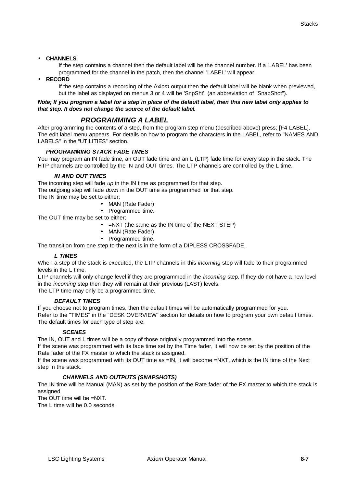#### • **CHANNELS**

If the step contains a channel then the default label will be the channel number. If a 'LABEL' has been programmed for the channel in the patch, then the channel 'LABEL' will appear.

#### • **RECORD**

If the step contains a recording of the Axi*om* output then the default label will be blank when previewed, but the label as displayed on menus 3 or 4 will be 'SnpSht', (an abbreviation of "SnapShot").

#### *Note; If you program a label for a step in place of the default label, then this new label only applies to that step. It does not change the source of the default label.*

#### *PROGRAMMING A LABEL*

After programming the contents of a step, from the program step menu (described above) press; [F4 LABEL]. The edit label menu appears. For details on how to program the characters in the LABEL, refer to "NAMES AND LABELS" in the "UTILITIES" section.

### *PROGRAMMING STACK FADE TIMES*

You may program an IN fade time, an OUT fade time and an L (LTP) fade time for every step in the stack. The HTP channels are controlled by the IN and OUT times. The LTP channels are controlled by the L time.

#### *IN AND OUT TIMES*

The incoming step will fade *up* in the IN time as programmed for that step. The outgoing step will fade *down* in the OUT time as programmed for that step.

The IN time may be set to either;

- MAN (Rate Fader)
- Programmed time.

The OUT time may be set to either;

- =NXT (the same as the IN time of the NEXT STEP)
- MAN (Rate Fader)
- Programmed time.

The transition from one step to the next is in the form of a DIPLESS CROSSFADE.

#### *L TIMES*

When a step of the stack is executed, the LTP channels in this *incoming* step will fade to their programmed levels in the L time.

LTP channels will only change level if they are programmed in the *incoming* step. If they do not have a new level in the *incoming* step then they will remain at their previous (LAST) levels.

The LTP time may only be a programmed time.

#### *DEFAULT TIMES*

If you choose not to program times, then the default times will be automatically programmed for you. Refer to the "TIMES" in the "DESK OVERVIEW" section for details on how to program your own default times. The default times for each type of step are;

#### *SCENES*

The IN, OUT and L times will be a copy of those originally programmed into the scene.

If the scene was programmed with its fade time set by the Time fader, it will now be set by the position of the Rate fader of the FX master to which the stack is assigned.

If the scene was programmed with its OUT time as =IN, it will become =NXT, which is the IN time of the Next step in the stack.

#### *CHANNELS AND OUTPUTS (SNAPSHOTS)*

The IN time will be Manual (MAN) as set by the position of the Rate fader of the FX master to which the stack is assigned

The OUT time will be =NXT.

The L time will be 0.0 seconds.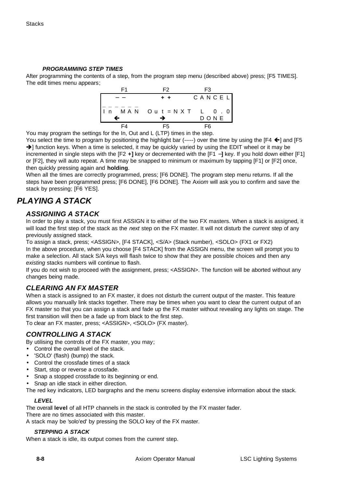#### *PROGRAMMING STEP TIMES*

After programming the contents of a step, from the program step menu (described above) press; [F5 TIMES]. The edit times menu appears;

| F2                                 | F3.    |
|------------------------------------|--------|
| $+$ $+$                            | CANCEL |
| Th MAN Out=NXT L 0.0<br>I ← → DONE |        |
|                                    |        |

You may program the settings for the In, Out and L (LTP) times in the step.

You select the time to program by positioning the highlight bar (-----) over the time by using the  $[F4 \leftarrow]$  and  $[F5$  $\rightarrow$ ] function keys. When a time is selected, it may be quickly varied by using the EDIT wheel or it may be incremented in single steps with the [F2 **+]** key or decremented with the [F1 **-]** key. If you hold down either [F1] or [F2], they will auto repeat. A time may be snapped to minimum or maximum by tapping [F1] or [F2] once, then quickly pressing again and **holding**.

When all the times are correctly programmed, press; [F6 DONE]. The program step menu returns. If all the steps have been programmed press; [F6 DONE], [F6 DONE]. The Axi*om* will ask you to confirm and save the stack by pressing; [F6 YES].

# *PLAYING A STACK*

## *ASSIGNING A STACK*

In order to play a stack, you must first ASSIGN it to either of the two FX masters. When a stack is assigned, it will load the first step of the stack as the *next* step on the FX master. It will not disturb the *current* step of any previously assigned stack.

To assign a stack, press; <ASSIGN>, [F4 STACK], <S/A> (Stack number), <SOLO> (FX1 or FX2) In the above procedure, when you choose [F4 STACK] from the ASSIGN menu, the screen will prompt you to make a selection. All stack S/A keys will flash twice to show that they are possible choices and then any *existing* stacks numbers will continue to flash.

If you do not wish to proceed with the assignment, press; <ASSIGN>. The function will be aborted without any changes being made.

## *CLEARING AN FX MASTER*

When a stack is assigned to an FX master, it does not disturb the current output of the master. This feature allows you manually link stacks together. There may be times when you want to clear the current output of an FX master so that you can assign a stack and fade up the FX master without revealing any lights on stage. The first transition will then be a fade up from black to the first step.

To clear an FX master, press; <ASSIGN>, <SOLO> (FX master).

## *CONTROLLING A STACK*

By utilising the controls of the FX master, you may;

- Control the overall level of the stack.
- 'SOLO' (flash) (bump) the stack.
- Control the crossfade times of a stack
- Start, stop or reverse a crossfade.
- Snap a stopped crossfade to its beginning or end.
- Snap an idle stack in either direction.

The red key indicators, LED bargraphs and the menu screens display extensive information about the stack.

#### *LEVEL*

The overall **level** of all HTP channels in the stack is controlled by the FX master fader.

There are no times associated with this master.

A stack may be 'solo'ed' by pressing the SOLO key of the FX master.

#### *STEPPING A STACK*

When a stack is idle, its output comes from the *current* step.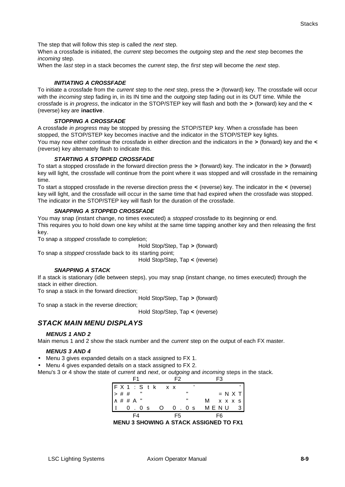The step that will follow this step is called the *next* step.

When a crossfade is initiated, the *current* step becomes the *outgoing* step and the *next* step becomes the *incoming* step.

When the *last* step in a stack becomes the *current* step, the *first* step will become the *next* step.

#### *INITIATING A CROSSFADE*

To initiate a crossfade from the *current* step to the *next* step, press the **>** (forward) key. The crossfade will occur with the *incoming* step fading in, in its IN time and the *outgoing* step fading out in its OUT time. While the crossfade is *in progress*, the indicator in the STOP/STEP key will flash and both the **>** (forward) key and the **<** (reverse) key are **inactive**.

#### *STOPPING A CROSSFADE*

A crossfade *in progress* may be stopped by pressing the STOP/STEP key. When a crossfade has been stopped, the STOP/STEP key becomes inactive and the indicator in the STOP/STEP key lights. You may now either continue the crossfade in either direction and the indicators in the **>** (forward) key and the **<** (reverse) key alternately flash to indicate this.

#### *STARTING A STOPPED CROSSFADE*

To start a stopped crossfade in the forward direction press the **>** (forward) key. The indicator in the **>** (forward) key will light, the crossfade will continue from the point where it was stopped and will crossfade in the remaining time.

To start a stopped crossfade in the reverse direction press the **<** (reverse) key. The indicator in the **<** (reverse) key will light, and the crossfade will occur in the same time that had expired when the crossfade was stopped. The indicator in the STOP/STEP key will flash for the duration of the crossfade.

#### *SNAPPING A STOPPED CROSSFADE*

You may snap (instant change, no times executed) a *stopped* crossfade to its beginning or end. This requires you to hold down one key whilst at the same time tapping another key and then releasing the first key.

To snap a *stopped* crossfade to completion;

Hold Stop/Step, Tap **>** (forward)

To snap a *stopped* crossfade back to its starting point;

Hold Stop/Step, Tap **<** (reverse)

#### *SNAPPING A STACK*

If a stack is stationary (idle between steps), you may snap (instant change, no times executed) through the stack in either direction.

To snap a stack in the forward direction;

Hold Stop/Step, Tap **>** (forward)

To snap a stack in the reverse direction;

Hold Stop/Step, Tap **<** (reverse)

#### *STACK MAIN MENU DISPLAYS*

#### *MENUS 1 AND 2*

Main menus 1 and 2 show the stack number and the *current* step on the output of each FX master.

#### *MENUS 3 AND 4*

- Menu 3 gives expanded details on a stack assigned to FX 1.
- Menu 4 gives expanded details on a stack assigned to FX 2.

Menu's 3 or 4 show the state of *current* and *next*, or *outgoing* and *incoming* steps in the stack.

| $>$ # # $\overline{) \times 1 + 1 + 1}$<br>$\wedge$ # # A " |                | $= N X T$    |  |  |  |  |  |  |
|-------------------------------------------------------------|----------------|--------------|--|--|--|--|--|--|
|                                                             | $\mathbf{H}$   | М<br>x x x s |  |  |  |  |  |  |
| 0.0s                                                        | $0 \quad 0.0s$ | MENU         |  |  |  |  |  |  |
| FΔ                                                          | F5             | FR           |  |  |  |  |  |  |

**MENU 3 SHOWING A STACK ASSIGNED TO FX1**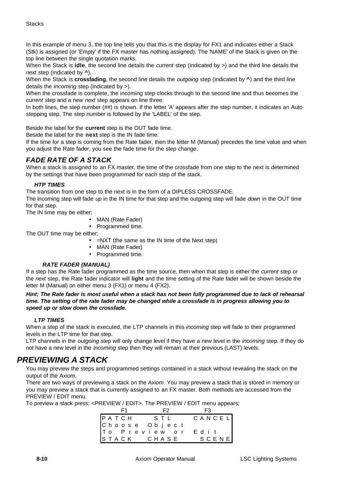In this example of menu 3, the top line tells you that this is the display for FX1 and indicates either a Stack (Stk) is assigned (or 'Empty' if the FX master has nothing assigned). The 'NAME' of the Stack is given on the top line between the single quotation marks.

When the Stack is **idle**, the second line details the *current* step (indicated by >) and the third line details the *next* step (indicated by **^**).

When the Stack is **crossfading**, the second line details the *outgoing* step (indicated by **^**) and the third line details the *incoming* step (indicated by >).

When the crossfade is complete, the incoming step clocks through to the second line and thus becomes the *current* step and a new *next* step appears on line three.

In both lines, the step number (##) is shown. If the letter 'A' appears after the step number, it indicates an Auto stepping step. The step number is followed by the 'LABEL' of the step.

Beside the label for the **current** step is the OUT fade time.

Beside the label for the **next** step is the IN fade time.

If the time for a step is coming from the Rate fader, then the letter M (Manual) precedes the time value and when you adjust the Rate fader, you see the fade time for the step change.

## *FADE RATE OF A STACK*

When a stack is assigned to an FX master, the time of the crossfade from one step to the next is determined by the settings that have been programmed for each step of the stack.

#### *HTP TIMES*

The transition from one step to the next is in the form of a DIPLESS CROSSFADE.

The incoming step will fade *up* in the IN time for that step and the outgoing step will fade *down* in the OUT time for that step.

The IN time may be either;

• MAN (Rate Fader)

• Programmed time.

The OUT time may be either;

• =NXT (the same as the IN time of the Next step)

- MAN (Rate Fader)
- Programmed time.

#### *RATE FADER (MANUAL)*

If a step has the Rate fader programmed as the time source, then when that step is either the *current* step or the *next* step, the Rate fader indicator will **light** and the time setting of the Rate fader will be shown beside the letter M (Manual) on either menu 3 (FX1) or menu 4 (FX2).

*Hint; The Rate fader is most useful when a stack has not been fully programmed due to lack of rehearsal time. The setting of the rate fader may be changed while a crossfade is in progress allowing you to speed up or slow down the crossfade.*

#### *LTP TIMES*

When a step of the stack is executed, the LTP channels in this *incoming* step will fade to their programmed levels in the LTP time for that step.

LTP channels in the *outgoing* step will only change level if they have a new level in the *incoming* step. If they do not have a new level in the *incoming* step then they will remain at their previous (LAST) levels.

## *PREVIEWING A STACK*

You may preview the steps and programmed settings contained in a stack without revealing the stack on the output of the Axi*om*.

There are two ways of previewing a stack on the Axi*om*. You may preview a stack that is stored in memory or you may preview a stack that is currently assigned to an FX master. Both methods are accessed from the PREVIEW / EDIT menu.

To preview a stack press; <PREVIEW / EDIT>. The PREVIEW / EDIT menu appears;

|                                                            | CANCEL |
|------------------------------------------------------------|--------|
|                                                            |        |
|                                                            | Edit   |
| PATCH STL<br>Choose Object<br>To Preview or<br>STACK CHASE | SCENE  |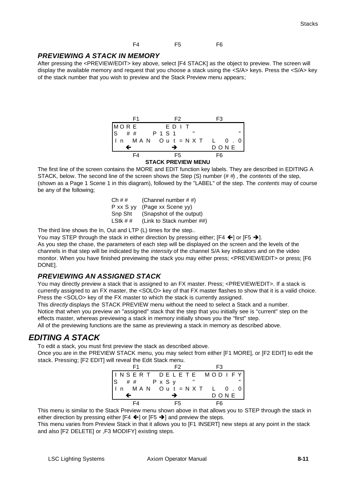### *PREVIEWING A STACK IN MEMORY*

After pressing the <PREVIEW/EDIT> key above, select [F4 STACK] as the object to preview. The screen will display the available memory and request that you choose a stack using the <S/A> keys. Press the <S/A> key of the stack number that you wish to preview and the Stack Preview menu appears;



The first line of the screen contains the MORE and EDIT function key labels. They are described in EDITING A STACK, below. The second line of the screen shows the Step (S) number (# #) , the *contents* of the step, (shown as a Page 1 Scene 1 in this diagram), followed by the "LABEL" of the step. The *contents* may of course be any of the following;

| Ch # #    | (Channel number $##$ )    |
|-----------|---------------------------|
| P xx S yy | (Page xx Scene yy)        |
| Snp Sht   | (Snapshot of the output)  |
| LStk # #  | (Link to Stack number ##) |

The third line shows the In, Out and LTP (L) times for the step..

You may STEP through the stack in either direction by pressing either;  $[F4 \leftarrow]$  or  $[F5 \rightarrow]$ .

As you step the chase, the parameters of each step will be displayed on the screen and the levels of the channels in that step will be indicated by the *intensity* of the channel S/A key indicators and on the video monitor. When you have finished previewing the stack you may either press; <PREVIEW/EDIT> or press; [F6 DONE].

### *PREVIEWING AN ASSIGNED STACK*

You may directly preview a stack that is assigned to an FX master. Press; <PREVIEW/EDIT>. If a stack is currently assigned to an FX master, the <SOLO> key of that FX master flashes to show that it is a valid choice. Press the <SOLO> key of the FX master to which the stack is currently assigned.

This *directly* displays the STACK PREVIEW menu without the need to select a Stack and a number. Notice that when you preview an "assigned" stack that the step that you initially see is "current" step on the effects master, whereas previewing a stack in memory initially shows you the "first" step.

All of the previewing functions are the same as previewing a stack in memory as described above.

## *EDITING A STACK*

To edit a stack, you must first preview the stack as described above.

Once you are in the PREVIEW STACK menu, you may select from either [F1 MORE], or [F2 EDIT] to edit the stack. Pressing; [F2 EDIT] will reveal the Edit Stack menu.

|  |  |  |                      |  |  |  |  |  | F2 |  | F3 |  |  |  |  |      |  |                                                             |
|--|--|--|----------------------|--|--|--|--|--|----|--|----|--|--|--|--|------|--|-------------------------------------------------------------|
|  |  |  |                      |  |  |  |  |  |    |  |    |  |  |  |  |      |  | INSERT DELETE MODIFY<br>S ## PxSy "<br>In MAN Out=NXT L 0.0 |
|  |  |  |                      |  |  |  |  |  |    |  |    |  |  |  |  |      |  |                                                             |
|  |  |  | n MAN Out = NXT L 0. |  |  |  |  |  |    |  |    |  |  |  |  |      |  |                                                             |
|  |  |  |                      |  |  |  |  |  |    |  |    |  |  |  |  | DONE |  |                                                             |
|  |  |  |                      |  |  |  |  |  |    |  |    |  |  |  |  |      |  |                                                             |

This menu is similar to the Stack Preview menu shown above in that allows you to STEP through the stack in either direction by pressing either  $[F4 \leftarrow]$  or  $[F5 \rightarrow]$  and preview the steps.

This menu varies from Preview Stack in that it allows you to [F1 INSERT] new steps at any point in the stack and also [F2 DELETE] or ,F3 MODIFY] existing steps.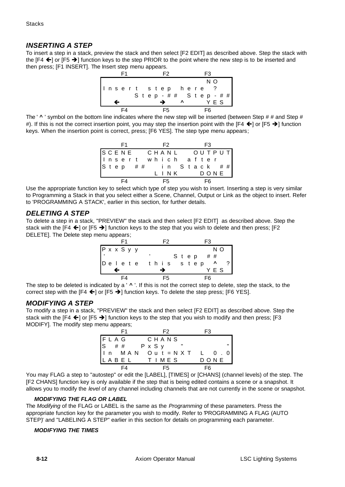### *INSERTING A STEP*

To insert a step in a stack, preview the stack and then select [F2 EDIT] as described above. Step the stack with the  $[F4 \leftarrow]$  or  $[F5 \rightarrow]$  function keys to the step PRIOR to the point where the new step is to be inserted and then press; [F1 INSERT]. The Insert step menu appears.



The '  $\bullet$  ' symbol on the bottom line indicates where the new step will be inserted (between Step # # and Step # #). If this is not the correct insertion point, you may step the insertion point with the  $[F4 \leftarrow]$  or  $[F5 \rightarrow]$  function keys. When the insertion point is correct, press; [F6 YES]. The step type menu appears;

|  |  |  |  |  |  |  |    |  | F2. |  |  |  |  |  | F3 |  |  |                                                                 |
|--|--|--|--|--|--|--|----|--|-----|--|--|--|--|--|----|--|--|-----------------------------------------------------------------|
|  |  |  |  |  |  |  |    |  |     |  |  |  |  |  |    |  |  | SCENE CHANL OUTPUT<br>Insert which after<br>Step ## in Stack ## |
|  |  |  |  |  |  |  |    |  |     |  |  |  |  |  |    |  |  |                                                                 |
|  |  |  |  |  |  |  |    |  |     |  |  |  |  |  |    |  |  |                                                                 |
|  |  |  |  |  |  |  |    |  |     |  |  |  |  |  |    |  |  | LINK DONE                                                       |
|  |  |  |  |  |  |  | F5 |  |     |  |  |  |  |  |    |  |  |                                                                 |

Use the appropriate function key to select which type of step you wish to insert. Inserting a step is very similar to Programming a Stack in that you select either a Scene, Channel, Output or Link as the object to insert. Refer to 'PROGRAMMING A STACK', earlier in this section, for further details.

### *DELETING A STEP*

To delete a step in a stack, "PREVIEW" the stack and then select [F2 EDIT] as described above. Step the stack with the [F4  $\bigoplus$ ] or [F5  $\bigoplus$ ] function keys to the step that you wish to delete and then press; [F2 DELETE]. The Delete step menu appears;

| F1                 | F2 | F3 |   |
|--------------------|----|----|---|
| $P \times X S y y$ | NO |    |   |
| 0                  | S  | 0  | 0 |
| 1                  | S  | 0  | 0 |
| 2                  | S  | 0  | 0 |
| 5                  | S  | 0  | 0 |
| 6                  | S  | 0  | 0 |
| 7                  | S  | 0  | 0 |
| 7                  | S  | 0  | 0 |
| 7                  | S  | 0  | 0 |

The step to be deleted is indicated by a ' **^** '. If this is not the correct step to delete, step the stack, to the correct step with the  $[FA \leftarrow]$  or  $[FB \rightarrow]$  function keys. To delete the step press; [F6 YES].

### *MODIFYING A STEP*

To modify a step in a stack, "PREVIEW" the stack and then select [F2 EDIT] as described above. Step the stack with the [F4  $\bigoplus$ ] or [F5  $\bigoplus$ ] function keys to the step that you wish to modify and then press; [F3 MODIFY]. The modify step menu appears;

|                        | F2                 |      |
|------------------------|--------------------|------|
|                        | CHANS              |      |
| FLAG CHA<br>S # # PxSy |                    |      |
|                        | In MAN Out = NXT L | 0.0  |
| LABEL TIMES            |                    | DONE |
|                        | F5                 | F6   |

You may FLAG a step to "autostep" or edit the [LABEL], [TIMES] or [CHANS] (channel levels) of the step. The [F2 CHANS] function key is only available if the step that is being edited contains a scene or a snapshot. It allows you to modify the *level* of any channel including channels that are not currently in the scene or snapshot.

#### *MODIFYING THE FLAG OR LABEL*

The *Modifying* of the FLAG or LABEL is the same as the *Programming* of these parameters. Press the appropriate function key for the parameter you wish to modify. Refer to 'PROGRAMMING A FLAG (AUTO STEP)' and "LABELING A STEP" earlier in this section for details on programming each parameter.

#### *MODIFYING THE TIMES*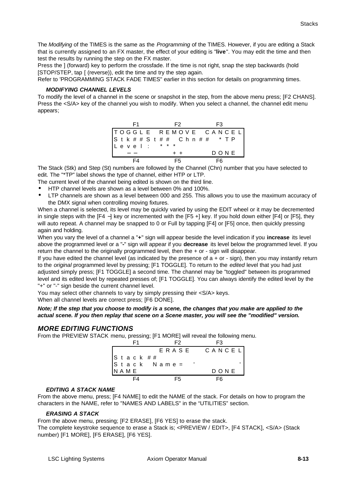The *Modifying* of the TIMES is the same as the *Programming* of the TIMES. However, if you are editing a Stack that is currently assigned to an FX master, the effect of your editing is "**live**". You may edit the time and then test the results by running the step on the FX master.

Press the ] (forward) key to perform the crossfade. If the time is not right, snap the step backwards (hold [STOP/STEP, tap [ (reverse)), edit the time and try the step again.

Refer to 'PROGRAMMING STACK FADE TIMES" earlier in this section for details on programming times.

#### *MODIFYING CHANNEL LEVELS*

To modify the level of a channel in the scene or snapshot in the step, from the above menu press; [F2 CHANS]. Press the <S/A> key of the channel you wish to modify. When you select a channel, the channel edit menu appears;



The Stack (Stk) and Step (St) numbers are followed by the Channel (Chn) number that you have selected to edit. The "\*TP" label shows the type of channel, either HTP or LTP.

- The current level of the channel being edited is shown on the third line.
- HTP channel levels are shown as a level between 0% and 100%.
- LTP channels are shown as a level between 000 and 255. This allows you to use the maximum accuracy of the DMX signal when controlling moving fixtures.

When a channel is selected, its level may be quickly varied by using the EDIT wheel or it may be decremented in single steps with the [F4 −] key or incremented with the [F5 +] key. If you hold down either [F4] or [F5], they will auto repeat. A channel may be snapped to 0 or Full by tapping [F4] or [F5] once, then quickly pressing again and holding.

When you vary the level of a channel a "**+**" sign will appear beside the level indication if you **increase** its level above the programmed level or a "**-**" sign will appear if you **decrease** its level below the programmed level. If you return the channel to the originally programmed level, then the + or - sign will disappear.

If you have edited the channel level (as indicated by the presence of a + or - sign), then you may instantly return to the *original* programmed level by pressing; [F1 TOGGLE]. To return to the *edited* level that you had just adjusted simply press; [F1 TOGGLE] a second time. The channel may be "toggled" between its programmed level and its edited level by repeated presses of; [F1 TOGGLE]. You can always identify the edited level by the "+" or "-" sign beside the current channel level.

You may select other channels to vary by simply pressing their <S/A> keys.

When all channel levels are correct press; [F6 DONE].

#### *Note; If the step that you choose to modify is a scene, the changes that you make are applied to the actual scene. If you then replay that scene on a Scene master, you will see the "modified" version.*

## *MORE EDITING FUNCTIONS*

From the PREVIEW STACK menu, pressing; [F1 MORE] will reveal the following menu.

|             | F2          | F3     |
|-------------|-------------|--------|
|             | ERASE       | CANCEL |
| Stack $##$  |             |        |
|             | Stack Name= |        |
| <b>NAME</b> |             | DONE   |
|             |             |        |

#### *EDITING A STACK NAME*

From the above menu, press; [F4 NAME] to edit the NAME of the stack. For details on how to program the characters in the NAME, refer to "NAMES AND LABELS" in the "UTILITIES" section.

#### *ERASING A STACK*

From the above menu, pressing; [F2 ERASE], [F6 YES] to erase the stack. The complete keystroke sequence to erase a Stack is; <PREVIEW / EDIT>, [F4 STACK], <S/A> (Stack number) [F1 MORE], [F5 ERASE], [F6 YES].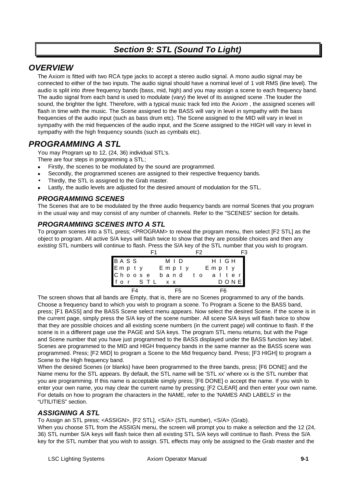# *Section 9: STL (Sound To Light)*

# *OVERVIEW*

The Axi*om* is fitted with two RCA type jacks to accept a stereo audio signal. A mono audio signal may be connected to either of the two inputs. The audio signal should have a nominal level of 1 volt RMS (line level). The audio is split into *three* frequency bands (bass, mid, high) and you may assign a scene to each frequency band. The audio signal from each band is used to modulate (vary) the level of its assigned scene .The louder the sound, the brighter the light. Therefore, with a typical music track fed into the Axi*om* , the assigned scenes will flash in time with the music. The Scene assigned to the BASS will vary in level in sympathy with the bass frequencies of the audio input (such as bass drum etc). The Scene assigned to the MID will vary in level in sympathy with the mid frequencies of the audio input, and the Scene assigned to the HIGH will vary in level in sympathy with the high frequency sounds (such as cymbals etc).

# *PROGRAMMING A STL*

You may Program up to 12, (24, 36) individual STL's.

There are four steps in programming a STL;

- Firstly, the scenes to be modulated by the sound are programmed.
- Secondly, the programmed scenes are assigned to their respective frequency bands.
- Thirdly, the STL is assigned to the Grab master.
- Lastly, the audio levels are adjusted for the desired amount of modulation for the STL.

## *PROGRAMMING SCENES*

The Scenes that are to be modulated by the three audio frequency bands are normal Scenes that you program in the usual way and may consist of any number of channels. Refer to the "SCENES" section for details.

## *PROGRAMMING SCENES INTO A STL*

To program scenes into a STL press; <PROGRAM> to reveal the program menu, then select [F2 STL] as the object to program. All active S/A keys will flash twice to show that they are possible choices and then any *existing* STL numbers will continue to flash. Press the S/A key of the STL number that you wish to program.

|                                           |  |  |  |  |  |            |  |  |  |  | F2. |  |      |  |  |      |  |
|-------------------------------------------|--|--|--|--|--|------------|--|--|--|--|-----|--|------|--|--|------|--|
| <b>BASS</b>                               |  |  |  |  |  | MID        |  |  |  |  |     |  | HIGH |  |  |      |  |
| Empty Empty Empty<br>Choose band to alter |  |  |  |  |  |            |  |  |  |  |     |  |      |  |  |      |  |
|                                           |  |  |  |  |  |            |  |  |  |  |     |  |      |  |  |      |  |
| for STL                                   |  |  |  |  |  | $\times$ X |  |  |  |  |     |  |      |  |  | DONE |  |
|                                           |  |  |  |  |  |            |  |  |  |  |     |  |      |  |  |      |  |

The screen shows that all bands are Empty, that is, there are no Scenes programmed to any of the bands. Choose a frequency band to which you wish to program a scene. To Program a Scene to the BASS band, press; [F1 BASS] and the BASS Scene select menu appears. Now select the desired Scene. If the scene is in the current page, simply press the S/A key of the scene number. All scene S/A keys will flash twice to show that they are possible choices and all existing scene numbers (in the current page) will continue to flash. If the scene is in a different page use the PAGE and S/A keys. The program STL menu returns, but with the Page and Scene number that you have just programmed to the BASS displayed under the BASS function key label. Scenes are programmed to the MID and HIGH frequency bands in the same manner as the BASS scene was programmed. Press; [F2 MID] to program a Scene to the Mid frequency band. Press; [F3 HIGH] to program a Scene to the High frequency band.

When the desired Scenes (or blanks) have been programmed to the three bands, press; [F6 DONE] and the Name menu for the STL appears. By default, the STL name will be 'STL xx' where xx is the STL number that you are programming. If this name is acceptable simply press; [F6 DONE] o accept the name. If you wish to enter your own name, you may clear the current name by pressing; [F2 CLEAR] and then enter your own name. For details on how to program the characters in the NAME, refer to the 'NAMES AND LABELS' in the "UTILITIES" section.

## *ASSIGNING A STL*

To Assign an STL press; <ASSIGN>, [F2 STL], <S/A> (STL number), <S/A> (Grab).

When you choose STL from the ASSIGN menu, the screen will prompt you to make a selection and the 12 (24, 36) STL number S/A keys will flash twice then all existing STL S/A keys will continue to flash. Press the S/A key for the STL number that you wish to assign. STL effects may only be assigned to the Grab master and the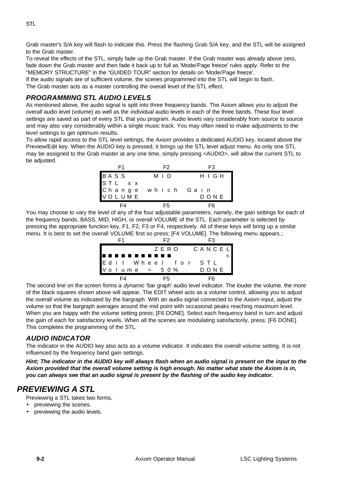Grab master's S/A key will flash to indicate this. Press the flashing Grab S/A key, and the STL will be assigned to the Grab master.

To reveal the effects of the STL, simply fade up the Grab master. If the Grab master was already above zero, fade down the Grab master and then fade it back up to full as 'Mode/Page freeze' rules apply. Refer to the "MEMORY STRUCTURE" in the "GUIDED TOUR" section for details on 'Mode/Page freeze'.

If the audio signals are of sufficient volume, the scenes programmed into the STL will begin to flash.

The Grab master acts as a master controlling the overall level of the STL effect.

## *PROGRAMMING STL AUDIO LEVELS*

As mentioned above, the audio signal is split into three frequency bands. The Axi*om* allows you to adjust the *overall* audio level (volume) as well as the *individual* audio levels in each of the three bands. These four level settings are saved as part of every STL that you program. Audio levels vary considerably from source to source and may also vary considerably within a single music track. You may often need to make adjustments to the level settings to get optimum results.

To allow rapid access to the STL level settings, the Axi*om* provides a dedicated AUDIO key, located above the Preview/Edit key. When the AUDIO key is pressed, it brings up the STL level adjust menu. As only one STL may be assigned to the Grab master at any one time, simply pressing <AUDIO>, will allow the current STL to be adjusted.

|                                                          | F2 | F3            |
|----------------------------------------------------------|----|---------------|
|                                                          |    | $H \perp G H$ |
| BASS MID HI<br>STL x x<br>Change which Gain<br>VOLUME DO |    |               |
|                                                          |    |               |
|                                                          |    | DONE          |
| F4.                                                      | F5 |               |

You may choose to vary the level of any of the four adjustable parameters, namely, the gain settings for each of the frequency bands, BASS, MID, HIGH, or overall VOLUME of the STL. Each parameter is selected by pressing the appropriate function key, F1, F2, F3 or F4, respectively. All of these keys will bring up a similar menu. It is best to set the overall VOLUME first so press; [F4 VOLUME]. The following menu appears.;

|                    | F2. | F3          |  |  |  |  |  |
|--------------------|-----|-------------|--|--|--|--|--|
|                    |     | ZERO CANCEL |  |  |  |  |  |
| -----------        |     |             |  |  |  |  |  |
| Edit Wheel for STL |     |             |  |  |  |  |  |
| Volume = $50\%$    |     | DONE        |  |  |  |  |  |
|                    |     |             |  |  |  |  |  |

The second line on the screen forms a *dynamic* 'bar graph' audio level indicator. The louder the volume, the more of the black squares shown above will appear. The EDIT wheel acts as a volume control, allowing you to adjust the overall volume as indicated by the bargraph. With an audio signal connected to the Axi*om* input, adjust the volume so that the bargraph averages around the mid point with occasional peaks reaching maximum level. When you are happy with the volume setting press; [F6 DONE]. Select each frequency band in turn and adjust the gain of each for satisfactory levels. When all the scenes are modulating satisfactorily, press; [F6 DONE]. This completes the programming of the STL.

## *AUDIO INDICATOR*

The indicator in the AUDIO key also acts as a volume indicator. It indicates the overall volume setting. It is not influenced by the frequency band gain settings.

*Hint; The indicator in the AUDIO key will always flash when an audio signal is present on the input to the Axiom provided that the overall volume setting is high enough. No matter what state the Axiom is in, you can always see that an audio signal is present by the flashing of the audio key indicator.*

## *PREVIEWING A STL*

Previewing a STL takes two forms,

- previewing the scenes.
- previewing the audio levels.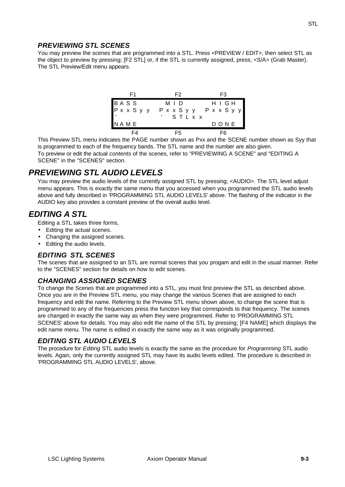### *PREVIEWING STL SCENES*

You may preview the scenes that are programmed into a STL. Press <PREVIEW / EDIT>, then select STL as the object to preview by pressing; [F2 STL] or, if the STL is currently assigned, press; <S/A> (Grab Master). The STL Preview/Edit menu appears.

| F1          | F2.                  | F3            |
|-------------|----------------------|---------------|
| <b>BASS</b> | MID                  | $H \perp G H$ |
|             | PxxSyy PxxSyy PxxSyy |               |
|             | STLxx                |               |
| NAME        |                      | DONE          |
|             |                      |               |

This Preview STL menu indicates the PAGE number shown as Pxx and the SCENE number shown as Syy that is programmed to each of the frequency bands. The STL name and the number are also given.

To preview or edit the actual *contents* of the scenes, refer to "PREVIEWING A SCENE" and "EDITING A SCENE" in the "SCENES" section.

# *PREVIEWING STL AUDIO LEVELS*

You may preview the audio levels of the currently assigned STL by pressing; <AUDIO>. The STL level adjust menu appears. This is exactly the same menu that you accessed when you programmed the STL audio levels above and fully described in 'PROGRAMMING STL AUDIO LEVELS' above. The flashing of the indicator in the AUDIO key also provides a constant preview of the overall audio level.

## *EDITING A STL*

Editing a STL takes three forms,

- Editing the actual scenes.
- Changing the assigned scenes.
- Editing the audio levels.

## *EDITING STL SCENES*

The scenes that are assigned to an STL are normal scenes that you progam and edit in the usual manner. Refer to the "SCENES" section for details on how to edit scenes.

## *CHANGING ASSIGNED SCENES*

To change the Scenes that are programmed into a STL, you must first preview the STL as described above. Once you are in the Preview STL menu, you may change the various Scenes that are assigned to each frequency and edit the name. Referring to the Preview STL menu shown above, to change the scene that is programmed to any of the frequencies press the function key that corresponds to that frequency. The scenes are changed in exactly the same way as when they were programmed. Refer to 'PROGRAMMING STL SCENES' above for details. You may also edit the name of the STL by pressing; [F4 NAME] which displays the edit name menu. The name is edited in exactly the same way as it was originally programmed.

## *EDITING STL AUDIO LEVELS*

The procedure for *Editing* STL audio levels is exactly the same as the procedure for *Programming* STL audio levels. Again, only the currently assigned STL may have its audio levels edited. The procedure is described in 'PROGRAMMING STL AUDIO LEVELS', above.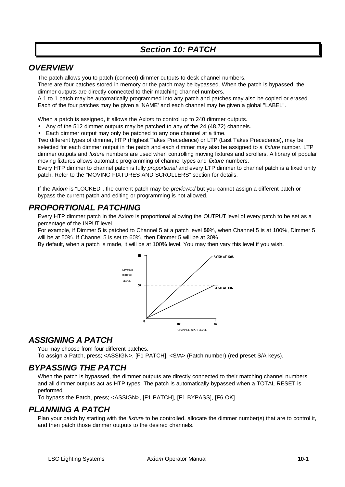# *Section 10: PATCH*

## *OVERVIEW*

The patch allows you to patch (connect) dimmer outputs to desk channel numbers.

There are four patches stored in memory or the patch may be bypassed. When the patch is bypassed, the dimmer outputs are directly connected to their matching channel numbers.

A 1 to 1 patch may be automatically programmed into any patch and patches may also be copied or erased. Each of the four patches may be given a 'NAME' and each channel may be given a global "LABEL".

When a patch is assigned, it allows the Axi*om* to control up to 240 dimmer outputs.

- Any of the 512 dimmer outputs may be patched to any of the 24 (48,72) channels.
- Each dimmer output may only be patched to any one channel at a time.

Two different types of dimmer, HTP (Highest Takes Precedence) or LTP (Last Takes Precedence), may be selected for each dimmer output in the patch and each dimmer may also be assigned to a *fixture* number. LTP dimmer outputs and *fixture* numbers are used when controlling moving fixtures and scrollers. A library of popular moving fixtures allows automatic programming of channel types and *fixture* numbers.

Every HTP dimmer to channel patch is fully *proportional* and every LTP dimmer to channel patch is a fixed unity patch. Refer to the "MOVING FIXTURES AND SCROLLERS" section for details.

If the Axi*om* is "LOCKED", the current patch may be *previewed* but you cannot assign a different patch or bypass the current patch and editing or programming is not allowed.

## *PROPORTIONAL PATCHING*

Every HTP dimmer patch in the Axi*om* is proportional allowing the OUTPUT level of every patch to be set as a percentage of the INPUT level.

For example, if Dimmer 5 is patched to Channel 5 at a patch level **50**%, when Channel 5 is at 100%, Dimmer 5 will be at 50%. If Channel 5 is set to 60%, then Dimmer 5 will be at 30%

By default, when a patch is made, it will be at 100% level. You may then vary this level if you wish.



# *ASSIGNING A PATCH*

You may choose from four different patches. To assign a Patch, press; <ASSIGN>, [F1 PATCH], <S/A> (Patch number) (red preset S/A keys).

# *BYPASSING THE PATCH*

When the patch is bypassed, the dimmer outputs are directly connected to their matching channel numbers and all dimmer outputs act as HTP types. The patch is automatically bypassed when a TOTAL RESET is performed.

To bypass the Patch, press; <ASSIGN>, [F1 PATCH], [F1 BYPASS], [F6 OK].

# *PLANNING A PATCH*

Plan your patch by starting with the *fixture* to be controlled, allocate the dimmer number(s) that are to control it, and then patch those dimmer outputs to the desired channels.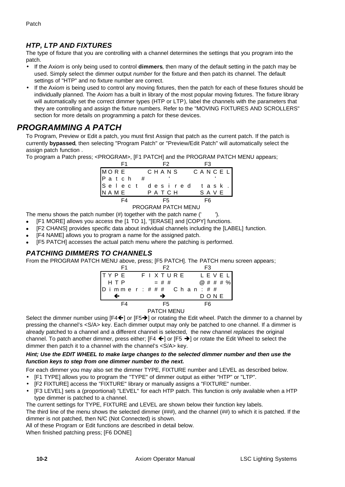## *HTP, LTP AND FIXTURES*

The type of fixture that you are controlling with a channel determines the settings that you program into the patch.

- If the Axi*om* is only being used to control **dimmers**, then many of the default setting in the patch may be used. Simply select the dimmer output *number* for the fixture and then patch its channel. The default settings of "HTP" and no fixture number are correct.
- If the Axi*om* is being used to control any moving fixtures, then the patch for each of these fixtures should be individually planned. The Axi*om* has a built in library of the most popular moving fixtures. The fixture library will automatically set the correct dimmer types (HTP or LTP), label the channels with the parameters that they are controlling and assign the fixture numbers. Refer to the "MOVING FIXTURES AND SCROLLERS" section for more details on programming a patch for these devices.

# *PROGRAMMING A PATCH*

To Program, Preview or Edit a patch, you must first Assign that patch as the current patch. If the patch is currently **bypassed**, then selecting "Program Patch" or "Preview/Edit Patch" will automatically select the assign patch function .

To program a Patch press; <PROGRAM>, [F1 PATCH] and the PROGRAM PATCH MENU appears;

|                                                                         | F2 | F3     |
|-------------------------------------------------------------------------|----|--------|
|                                                                         |    | CANCEL |
|                                                                         |    |        |
|                                                                         |    |        |
| MORE CHANS CANCEL<br>Patch #<br>Select desired task.<br>NAME PATCH SAVE |    |        |
|                                                                         | F5 |        |

PROGRAM PATCH MENU

The menu shows the patch number  $(\#)$  together with the patch name  $($ "

- [F1 MORE] allows you access the [1 TO 1], "[ERASE] and [COPY] functions.
- <sup>l</sup> [F2 CHANS] provides specific data about individual channels including the [LABEL] function.
- <sup>l</sup> [F4 NAME] allows you to program a name for the assigned patch.
- [F5 PATCH] accesses the actual patch menu where the patching is performed.

### *PATCHING DIMMERS TO CHANNELS*

From the PROGRAM PATCH MENU above, press; [F5 PATCH]. The PATCH menu screen appears;

|             | F2                 | F3        |
|-------------|--------------------|-----------|
| TYPE<br>HTP | FIXTURE            | LEVEL     |
|             | $=$ # #            | @ # # # % |
|             | Dimmer:### Chan:## |           |
| ←           | →                  | DONE      |
| FΔ          | F5                 | FR        |
|             | <b>PATCH MENU</b>  |           |

Select the dimmer number using  $[F4 \leftarrow]$  or  $[F5 \rightarrow]$  or rotating the Edit wheel. Patch the dimmer to a channel by pressing the channel's <S/A> key. Each dimmer output may only be patched to one channel. If a dimmer is already patched to a channel and a different channel is selected, the new channel *replaces* the original channel. To patch another dimmer, press either;  $[FA \leftarrow]$  or  $[FS \rightarrow]$  or rotate the Edit Wheel to select the dimmer then patch it to a channel with the channel's <S/A> key.

#### *Hint; Use the EDIT WHEEL to make large changes to the selected dimmer number and then use the function keys to step from one dimmer number to the next.*

For each dimmer you may also set the dimmer TYPE, FIXTURE number and LEVEL as described below.

- [F1 TYPE] allows you to program the "TYPE" of dimmer output as either "HTP" or "LTP".
- [F2 FIXTURE] access the "FIXTURE" library or manually assigns a "FIXTURE" number.
- [F3 LEVEL] sets a (proportional) "LEVEL" for each HTP patch. This function is only available when a HTP type dimmer is patched to a channel.

The current settings for TYPE, FIXTURE and LEVEL are shown below their function key labels.

The third line of the menu shows the selected dimmer (###), and the channel (##) to which it is patched. If the dimmer is not patched, then N/C (Not Connected) is shown.

All of these Program or Edit functions are described in detail below.

When finished patching press; [F6 DONE]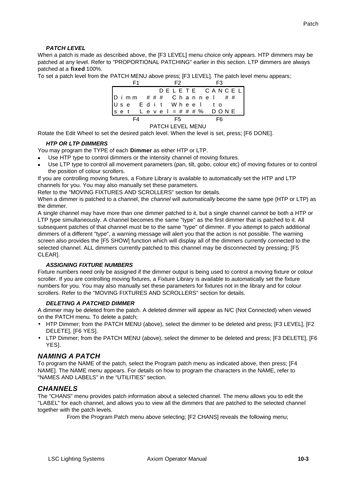#### *PATCH LEVEL*

When a patch is made as described above, the [F3 LEVEL] menu choice only appears. HTP dimmers may be patched at any level. Refer to "PROPORTIONAL PATCHING" earlier in this section. LTP dimmers are always patched at a **fixed** 100%.

To set a patch level from the PATCH MENU above press; [F3 LEVEL]. The patch level menu appears;

|                                          |  |  |    |  |  |  |  |  |                             |    |  |  |      | F3 |  |  |  |  |               |
|------------------------------------------|--|--|----|--|--|--|--|--|-----------------------------|----|--|--|------|----|--|--|--|--|---------------|
|                                          |  |  |    |  |  |  |  |  |                             |    |  |  |      |    |  |  |  |  | DELETE CANCEL |
|                                          |  |  |    |  |  |  |  |  |                             |    |  |  |      |    |  |  |  |  |               |
| Dimm ### Channel ##<br>Use Edit Wheel to |  |  |    |  |  |  |  |  |                             |    |  |  |      |    |  |  |  |  |               |
|                                          |  |  |    |  |  |  |  |  | set Level = $# # # \%$ DONE |    |  |  |      |    |  |  |  |  |               |
|                                          |  |  | FΔ |  |  |  |  |  |                             | F5 |  |  | - F6 |    |  |  |  |  |               |
|                                          |  |  |    |  |  |  |  |  | PATCH LEVEL MENU            |    |  |  |      |    |  |  |  |  |               |

Rotate the Edit Wheel to set the desired patch level. When the level is set, press; [F6 DONE].

#### *HTP OR LTP DIMMERS*

You may program the TYPE of each **Dimmer** as either HTP or LTP.

- Use HTP type to control dimmers or the intensity channel of moving fixtures.
- Use LTP type to control all movement parameters (pan, tilt, gobo, colour etc) of moving fixtures or to control the position of colour scrollers.

If you are controlling moving fixtures, a Fixture Library is available to automatically set the HTP and LTP channels for you. You may also manually set these parameters.

Refer to the "MOVING FIXTURES AND SCROLLERS" section for details.

When a dimmer is patched to a channel, the *channel* will *automatically* become the same type (HTP or LTP) as the dimmer.

A single channel may have more than one dimmer patched to it, but a single channel cannot be both a HTP or LTP type simultaneously. A channel becomes the same "type" as the first dimmer that is patched to it. All subsequent patches of that channel must be to the same "type" of dimmer. If you attempt to patch additional dimmers of a different "type", a warning message will alert you that the action is not possible. The warning screen also provides the [F5 SHOW] function which will display all of the dimmers currently connected to the selected channel. ALL dimmers currently patched to this channel may be disconnected by pressing; [F5 CLEAR].

#### *ASSIGNING FIXTURE NUMBERS*

Fixture numbers need only be assigned if the dimmer output is being used to control a moving fixture or colour scroller. If you are controlling moving fixtures, a Fixture Library is available to automatically set the fixture numbers for you. You may also manually set these parameters for fixtures not in the library and for colour scrollers. Refer to the "MOVING FIXTURES AND SCROLLERS" section for details.

#### *DELETING A PATCHED DIMMER*

A dimmer may be deleted from the patch. A deleted dimmer will appear as N/C (Not Connected) when viewed on the PATCH menu. To delete a patch;

- HTP Dimmer; from the PATCH MENU (above), select the dimmer to be deleted and press; [F3 LEVEL], [F2 DELETE], [F6 YES].
- LTP Dimmer; from the PATCH MENU (above), select the dimmer to be deleted and press; [F3 DELETE], [F6 YES].

#### *NAMING A PATCH*

To program the NAME of the patch, select the Program patch menu as indicated above, then press; [F4 NAME]. The NAME menu appears. For details on how to program the characters in the NAME, refer to "NAMES AND LABELS" in the "UTILITIES" section.

### *CHANNELS*

The "CHANS" menu provides patch information about a selected channel. The menu allows you to edit the "LABEL" for each channel, and allows you to view all the dimmers that are patched to the selected channel together with the patch levels.

From the Program Patch menu above selecting; [F2 CHANS] reveals the following menu;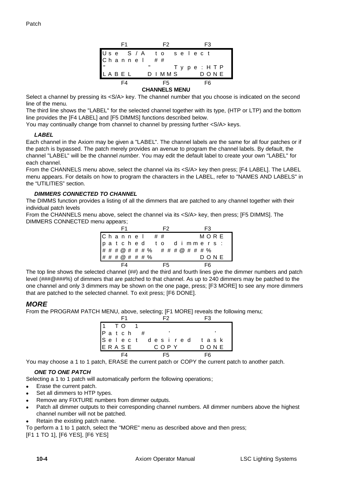|                      |    |              | F2          | F3                              |  |  |  |  |  |  |  |  |
|----------------------|----|--------------|-------------|---------------------------------|--|--|--|--|--|--|--|--|
|                      |    |              |             | Use S/A to select<br>Channel ## |  |  |  |  |  |  |  |  |
|                      |    |              |             |                                 |  |  |  |  |  |  |  |  |
|                      |    | $\mathbf{u}$ |             | Туре : НТР                      |  |  |  |  |  |  |  |  |
|                      |    |              | LABEL DIMMS | DONE                            |  |  |  |  |  |  |  |  |
|                      | F4 |              | F5          | F6                              |  |  |  |  |  |  |  |  |
| <b>CHANNELS MENU</b> |    |              |             |                                 |  |  |  |  |  |  |  |  |

Select a channel by pressing its <S/A> key. The channel number that you choose is indicated on the second line of the menu.

The third line shows the "LABEL" for the selected channel together with its type, (HTP or LTP) and the bottom line provides the [F4 LABEL] and [F5 DIMMS] functions described below.

You may continually change from channel to channel by pressing further <S/A> keys.

#### *LABEL*

Each channel in the Axi*om* may be given a "LABEL". The channel labels are the same for all four patches or if the patch is bypassed. The patch merely provides an avenue to program the channel labels. By default, the channel "LABEL" will be the channel *number*. You may edit the default label to create your own "LABEL" for each channel.

From the CHANNELS menu above, select the channel via its <S/A> key then press; [F4 LABEL]. The LABEL menu appears. For details on how to program the characters in the LABEL, refer to "NAMES AND LABELS" in the "UTILITIES" section.

#### *DIMMERS CONNECTED TO CHANNEL*

The DIMMS function provides a listing of all the dimmers that are patched to any channel together with their individual patch levels

From the CHANNELS menu above, select the channel via its <S/A> key, then press; [F5 DIMMS]. The DIMMERS CONNECTED menu appears;

|  |  |  |  |  |  |  |                                                                                                                                                                                                                        |  |  |  |  |  | F3 |  |  |      |  |  |  |
|--|--|--|--|--|--|--|------------------------------------------------------------------------------------------------------------------------------------------------------------------------------------------------------------------------|--|--|--|--|--|----|--|--|------|--|--|--|
|  |  |  |  |  |  |  | Channel ##                                                                                                                                                                                                             |  |  |  |  |  |    |  |  | MORE |  |  |  |
|  |  |  |  |  |  |  | $\left[ \begin{matrix} p & a & t & c & h & e & d & t & o & d & i & m & m & e & r & s \\ \# & \# & \# & \mathbb{Q} & \# & \# & \# & \% & & \# & \# & \mathbb{H} & \mathbb{Q} & \# & \# & \# & \% \end{matrix} \right].$ |  |  |  |  |  |    |  |  |      |  |  |  |
|  |  |  |  |  |  |  |                                                                                                                                                                                                                        |  |  |  |  |  |    |  |  |      |  |  |  |
|  |  |  |  |  |  |  | # # # @ # # # %                                                                                                                                                                                                        |  |  |  |  |  |    |  |  | DONE |  |  |  |
|  |  |  |  |  |  |  |                                                                                                                                                                                                                        |  |  |  |  |  |    |  |  |      |  |  |  |

The top line shows the selected channel (##) and the third and fourth lines give the dimmer numbers and patch level (###@###%) of dimmers that are patched to that channel. As up to 240 dimmers may be patched to the one channel and only 3 dimmers may be shown on the one page, press; [F3 MORE] to see any more dimmers that are patched to the selected channel. To exit press; [F6 DONE].

#### *MORE*

From the PROGRAM PATCH MENU, above, selecting; [F1 MORE] reveals the following menu;

| 1 TO 1<br>Patch #<br>Select desired task<br>ERASE COPY DONE |  |
|-------------------------------------------------------------|--|
|                                                             |  |

You may choose a 1 to 1 patch, ERASE the current patch or COPY the current patch to another patch.

#### *ONE TO ONE PATCH*

Selecting a 1 to 1 patch will automatically perform the following operations;

- $\bullet$  Erase the current patch.
- Set all dimmers to HTP types.
- Remove any FIXTURE numbers from dimmer outputs.
- Patch all dimmer outputs to their corresponding channel numbers. All dimmer numbers above the highest channel number will not be patched.
- Retain the existing patch name.

To perform a 1 to 1 patch, select the "MORE" menu as described above and then press;

[F1 1 TO 1], [F6 YES], [F6 YES]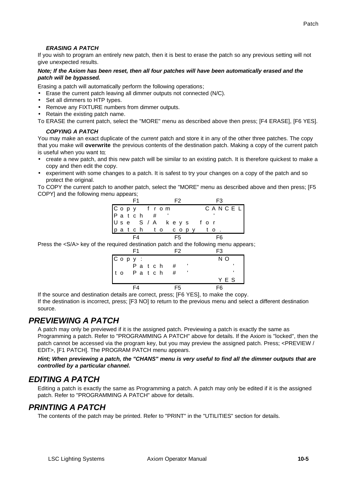#### *ERASING A PATCH*

If you wish to program an entirely new patch, then it is best to erase the patch so any previous setting will not give unexpected results.

#### *Note; If the Axiom has been reset, then all four patches will have been automatically erased and the patch will be bypassed.*

Erasing a patch will automatically perform the following operations;

- Erase the current patch leaving all dimmer outputs not connected (N/C).
- Set all dimmers to HTP types.
- Remove any FIXTURE numbers from dimmer outputs.
- Retain the existing patch name.
- To ERASE the current patch, select the "MORE" menu as described above then press; [F4 ERASE], [F6 YES].

#### *COPYING A PATCH*

You may make an exact duplicate of the *current* patch and store it in any of the other three patches. The copy that you make will **overwrite** the previous contents of the destination patch. Making a copy of the current patch is useful when you want to;

- create a new patch, and this new patch will be similar to an existing patch. It is therefore quickest to make a copy and then edit the copy.
- experiment with some changes to a patch. It is safest to try your changes on a copy of the patch and so protect the original.

To COPY the current patch to another patch, select the "MORE" menu as described above and then press; [F5 COPY] and the following menu appears;

|                        |                   | F3      |
|------------------------|-------------------|---------|
|                        |                   | CANCELI |
| Copy from<br>Patch # ' |                   |         |
|                        | Use S/A keys for  |         |
|                        | patch to copy to. |         |
|                        |                   |         |

Press the <S/A> key of the required destination patch and the following menu appears;

| $C$ o $p$ $y$ : |   | N O   |
|-----------------|---|-------|
| Patch           | # |       |
| Patch<br>lt o   | # |       |
|                 |   | Y F S |
|                 |   |       |

If the source and destination details are correct, press; [F6 YES], to make the copy.

If the destination is incorrect, press; [F3 NO] to return to the previous menu and select a different destination source.

## *PREVIEWING A PATCH*

A patch may only be previewed if it is the assigned patch. Previewing a patch is exactly the same as Programming a patch. Refer to "PROGRAMMING A PATCH" above for details. If the Axi*om* is "locked", then the patch cannot be accessed via the program key, but you may preview the assigned patch. Press; <PREVIEW / EDIT>, [F1 PATCH]. The PROGRAM PATCH menu appears.

*Hint; When previewing a patch, the "CHANS" menu is very useful to find all the dimmer outputs that are controlled by a particular channel.*

## *EDITING A PATCH*

Editing a patch is exactly the same as Programming a patch. A patch may only be edited if it is the assigned patch. Refer to "PROGRAMMING A PATCH" above for details.

## *PRINTING A PATCH*

The contents of the patch may be printed. Refer to "PRINT" in the "UTILITIES" section for details.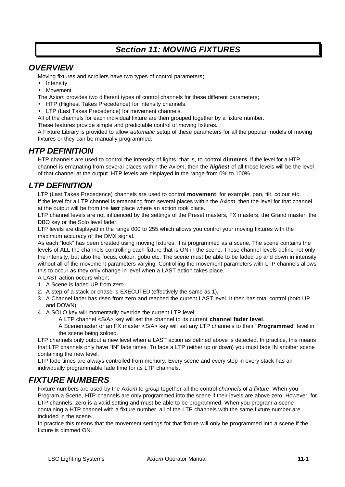# *Section 11: MOVING FIXTURES*

# *OVERVIEW*

Moving fixtures and scrollers have two types of control parameters;

- Intensity
- Movement

The Axi*om* provides two different types of control channels for these different parameters;

- HTP (Highest Takes Precedence) for intensity channels.
- LTP (Last Takes Precedence) for movement channels.

All of the channels for each individual fixture are then grouped together by a fixture number.

These features provide simple and predictable control of moving fixtures.

A Fixture Library is provided to allow *automatic* setup of these parameters for all the popular models of moving fixtures or they can be manually programmed.

## *HTP DEFINITION*

HTP channels are used to control the intensity of lights, that is, to control **dimmers**. If the level for a HTP channel is emanating from several places within the Axi*om*, then the *highest* of all those levels will be the level of that channel at the output. HTP levels are displayed in the range from 0% to 100%.

# *LTP DEFINITION*

LTP (Last Takes Precedence) channels are used to control **movement**, for example, pan, tilt, colour etc. If the level for a LTP channel is emanating from several places within the Axi*om*, then the level for that channel at the output will be from the *last* place where an action took place.

LTP channel levels are not influenced by the settings of the Preset masters, FX masters, the Grand master, the DBO key or the Solo level fader.

LTP levels are displayed in the range 000 to 255 which allows you control your moving fixtures with the maximum accuracy of the DMX signal.

As each "look" has been created using moving fixtures, it is programmed as a scene. The scene contains the levels of ALL the channels controlling each fixture that is ON in the scene. These channel levels define not only the intensity, but also the focus, colour, gobo etc. The scene must be able to be faded up and down in intensity without all of the movement parameters varying. Controlling the movement parameters with LTP channels allows this to occur as they only change in level when a LAST action takes place.

- A LAST action occurs when;
- 1. A Scene is faded UP from *zero*.
- 2. A step of a stack or chase is EXECUTED (effectively the same as 1).
- 3. A Channel fader has risen from zero and reached the current LAST level. It then has total control (both UP and DOWN).
- 4. A SOLO key will momentarily override the current LTP level;

A LTP channel <S/A> key will set the channel to its current **channel fader level**.

A Scenemaster or an FX master <S/A> key will set any LTP channels to their "**Programmed**" level in the scene being soloed.

LTP channels only output a new level when a LAST action as defined above is detected. In practice, this means that LTP channels only have "IN" fade times. To fade a LTP (either up or down) you must fade IN another scene containing the new level.

LTP fade times are always controlled from memory. Every scene and every step in every stack has an individually programmable fade time for its LTP channels.

# *FIXTURE NUMBERS*

Fixture numbers are used by the Axi*om* to *group* together all the control *channels* of a *fixture*. When you Program a Scene, HTP channels are only programmed into the scene if their levels are above zero. However, for LTP channels, zero is a valid setting and must be able to be programmed. When you program a scene containing a HTP channel with a fixture number, all of the LTP channels with the same fixture number are included in the scene.

In practice this means that the movement settings for that fixture will only be programmed into a scene if the fixture is dimmed ON.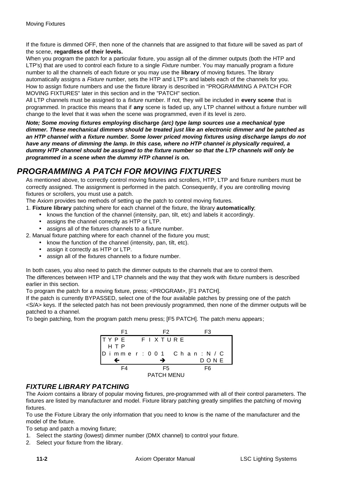If the fixture is dimmed OFF, then none of the channels that are assigned to that fixture will be saved as part of the scene, **regardless of their levels.**

When you program the patch for a particular fixture, you assign all of the dimmer outputs (both the HTP and LTP's) that are used to control each fixture to a single *Fixture* number. You may manually program a fixture number to all the channels of each fixture or you may use the **library** of moving fixtures. The library automatically assigns a *Fixture* number, sets the HTP and LTP's and labels each of the channels for you. How to assign fixture numbers and use the fixture library is described in "PROGRAMMING A PATCH FOR MOVING FIXTURES" later in this section and in the "PATCH" section.

All LTP channels must be assigned to a *fixture* number. If not, they will be included in **every scene** that is programmed. In practice this means that if **any** scene is faded up, any LTP channel without a fixture number will change to the level that it was when the scene was programmed, even if its level is zero.

*Note; Some moving fixtures employing* **discharge** *(arc) type lamp sources use a mechanical type dimmer. These mechanical dimmers should be treated just like an electronic dimmer and be patched as an HTP channel with a fixture number. Some lower priced moving fixtures using discharge lamps do not have any means of dimming the lamp. In this case, where no HTP channel is physically required, a dummy HTP channel should be assigned to the fixture number so that the LTP channels will only be programmed in a scene when the dummy HTP channel is on.*

# *PROGRAMMING A PATCH FOR MOVING FIXTURES*

As mentioned above, to correctly control moving fixtures and scrollers, HTP, LTP and fixture numbers must be correctly assigned. The assignment is performed in the patch. Consequently, if you are controlling moving fixtures or scrollers, you must use a patch.

The Axi*om* provides two methods of setting up the patch to control moving fixtures.

1. **Fixture library** patching where for each channel of the fixture, the library **automatically**;

- knows the function of the channel (intensity, pan, tilt, etc) and labels it accordingly.
- assigns the channel correctly as HTP or LTP.
- assigns all of the fixtures channels to a fixture number.

2. Manual fixture patching where for each channel of the fixture you must;

- know the function of the channel (intensity, pan, tilt, etc).
- assign it correctly as HTP or LTP.
- assign all of the fixtures channels to a fixture number.

In both cases, you also need to patch the dimmer outputs to the channels that are to control them.

The differences between HTP and LTP channels and the way that they work with *fixture* numbers is described earlier in this section.

To program the patch for a moving fixture, press; <PROGRAM>, [F1 PATCH].

If the patch is currently BYPASSED, select one of the four available patches by pressing one of the patch <S/A> keys. If the selected patch has not been previously programmed, then none of the dimmer outputs will be patched to a channel.

To begin patching, from the program patch menu press; [F5 PATCH]. The patch menu appears;



## *FIXTURE LIBRARY PATCHING*

The Axi*om* contains a library of popular moving fixtures, pre-programmed with all of their control parameters. The fixtures are listed by manufacturer and model. Fixture library patching greatly simplifies the patching of moving fixtures.

To use the Fixture Library the only information that you need to know is the name of the manufacturer and the model of the fixture.

To setup and patch a moving fixture;

- 1. Select the *starting* (lowest) dimmer number (DMX channel) to control your fixture.
- 2. Select your fixture from the library.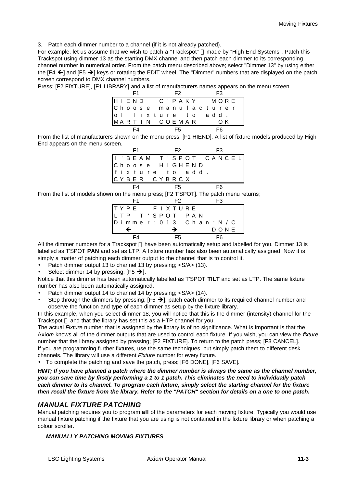3. Patch each dimmer number to a channel (if it is not already patched).

For example, let us assume that we wish to patch a "Trackspot"  $\odot$  made by "High End Systems". Patch this Trackspot using dimmer 13 as the starting DMX channel and then patch each dimmer to its corresponding channel number in numerical order. From the patch menu described above; select "Dimmer 13" by using either the  $[F4 \leftarrow]$  and  $[F5 \rightarrow]$  keys or rotating the EDIT wheel. The "Dimmer" numbers that are displayed on the patch screen correspond to DMX channel numbers.

Press; [F2 FIXTURE], [F1 LIBRARY] and a list of manufacturers names appears on the menu screen.

| F1 | F2.                                            | F3 |
|----|------------------------------------------------|----|
|    | HIEND C'PAKY MORE                              |    |
|    | Choose manufacturer                            |    |
|    |                                                |    |
|    | of fixture to add.<br>MART <u>IN COEMAR OK</u> |    |
|    |                                                |    |

From the list of manufacturers shown on the menu press; [F1 HIEND]. A list of fixture models produced by High End appears on the menu screen.

|  | F1 |                                                  |  |  | F <sub>2</sub> |  |  | F3 |  |  |
|--|----|--------------------------------------------------|--|--|----------------|--|--|----|--|--|
|  |    | I 'BEAM T'SPOT CANCEL                            |  |  |                |  |  |    |  |  |
|  |    |                                                  |  |  |                |  |  |    |  |  |
|  |    |                                                  |  |  |                |  |  |    |  |  |
|  |    | Choose HIGHEND<br>fixture to add<br>CYBER CYBRCX |  |  |                |  |  |    |  |  |
|  | FΔ |                                                  |  |  | F5.            |  |  |    |  |  |

From the list of models shown on the menu press; [F2 T'SPOT]. The patch menu returns;

|   | F2.                            | F3   |
|---|--------------------------------|------|
|   |                                |      |
|   | TYPE FIXTURE<br>LTP T'SPOT PAN |      |
|   | Dimmer: 013 Chan: N/C          |      |
| ← | $\rightarrow$                  | DONE |
|   | F5                             | FR   |

All the dimmer numbers for a Trackspot © have been automatically setup and labelled for you. Dimmer 13 is labelled as T'SPOT **PAN** and set as LTP. A fixture number has also been automatically assigned. Now it is simply a matter of patching each dimmer output to the channel that is to control it.

Patch dimmer output 13 to channel 13 by pressing; <S/A> (13).

Select dimmer 14 by pressing;  $[F5 \rightarrow]$ .

Notice that this dimmer has been automatically labelled as T'SPOT **TILT** and set as LTP. The same fixture number has also been automatically assigned.

- Patch dimmer output 14 to channel 14 by pressing; <S/A> (14).
- Step through the dimmers by pressing;  $[F5 \rightarrow]$ , patch each dimmer to its required channel number and observe the function and type of each dimmer as setup by the fixture library.

In this example, when you select dimmer 18, you will notice that this is the dimmer (intensity) channel for the Trackspot  $\circledcirc$  and that the library has set this as a HTP channel for you.

The actual *Fixture* number that is assigned by the library is of no significance. What is important is that the Axi*om* knows all of the dimmer outputs that are used to control each fixture. If you wish, you can view the *fixture* number that the library assigned by pressing; [F2 FIXTURE]. To return to the patch press; [F3 CANCEL]. If you are programming further fixtures, use the same techniques, but simply patch them to different desk channels. The library will use a different *Fixture* number for every fixture.

• To complete the patching and save the patch, press; [F6 DONE], [F6 SAVE].

*HINT; If you have planned a patch where the dimmer number is always the same as the channel number, you can save time by firstly performing a 1 to 1 patch. This eliminates the need to individually patch each dimmer to its channel. To program each fixture, simply select the starting channel for the fixture then recall the fixture from the library. Refer to the "PATCH" section for details on a one to one patch.*

### *MANUAL FIXTURE PATCHING*

Manual patching requires you to program **all** of the parameters for each moving fixture. Typically you would use manual fixture patching if the fixture that you are using is not contained in the fixture library or when patching a colour scroller.

#### *MANUALLY PATCHING MOVING FIXTURES*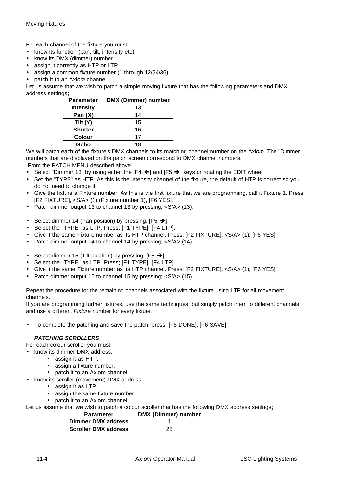For each channel of the fixture you must;

- know its function (pan, tilt, intensity etc).
- know its DMX (dimmer) number.
- assign it correctly as HTP or LTP.
- assign a common fixture number (1 through 12/24/36).
- patch it to an Axi*om* channel.

Let us assume that we wish to patch a simple moving fixture that has the following parameters and DMX address settings;

| <b>Parameter</b> | <b>DMX (Dimmer) number</b> |
|------------------|----------------------------|
| <b>Intensity</b> | 13                         |
| Pan $(X)$        | 14                         |
| Tilt (Y)         | 15                         |
| <b>Shutter</b>   | 16                         |
| <b>Colour</b>    | 17                         |
| Gobo             | 18                         |

We will patch each of the fixture's DMX channels to its matching channel number on the Axi*om*. The "Dimmer" numbers that are displayed on the patch screen correspond to DMX channel numbers.

From the PATCH MENU described above;

- Select "Dimmer 13" by using either the  $[FA \leftarrow]$  and  $[FB \rightarrow]$  keys or rotating the EDIT wheel.
- Set the "TYPE" as HTP. As this is the intensity channel of the fixture, the default of HTP is correct so you do not need to change it.
- Give the fixture a Fixture number. As this is the first fixture that we are programming, call it Fixture 1. Press; [F2 FIXTURE], <S/A> (1) (Fixture number 1), [F6 YES].
- Patch dimmer output 13 to channel 13 by pressing; <S/A> (13).
- Select dimmer 14 (Pan position) by pressing;  $[F5 \rightarrow]$ .
- Select the "TYPE" as LTP. Press; [F1 TYPE], [F4 LTP].
- Give it the same Fixture number as its HTP channel. Press; [F2 FIXTURE], <S/A> (1), [F6 YES].
- Patch dimmer output 14 to channel 14 by pressing:  $\langle S/A \rangle$  (14).
- Select dimmer 15 (Tilt position) by pressing;  $[F5 \rightarrow]$ .
- Select the "TYPE" as LTP. Press; [F1 TYPE], [F4 LTP].
- Give it the same Fixture number as its HTP channel. Press; [F2 FIXTURE], <S/A> (1), [F6 YES].
- Patch dimmer output 15 to channel 15 by pressing; <S/A> (15).

Repeat the procedure for the remaining channels associated with the fixture using LTP for all movement channels.

If you are programming further fixtures, use the same techniques, but simply patch them to different channels and use a different *Fixture* number for every fixture.

• To complete the patching and save the patch, press; [F6 DONE], [F6 SAVE].

#### *PATCHING SCROLLERS*

For each colour scroller you must;

- know its dimmer DMX address.
	- assign it as HTP.
	- assign a fixture number.
	- patch it to an Axiom channel.
- know its scroller (movement) DMX address.
	- assign it as LTP.
	- assign the same fixture number.
	- patch it to an Axiom channel.

Let us assume that we wish to patch a colour scroller that has the following DMX address settings;

| <b>Parameter</b>   | <b>DMX (Dimmer) number</b> |  |  |
|--------------------|----------------------------|--|--|
| Dimmer DMX address |                            |  |  |

| <b>Dimmer DMA address</b>   |  |
|-----------------------------|--|
| <b>Scroller DMX address</b> |  |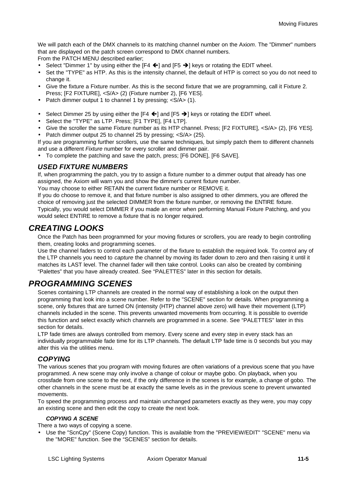We will patch each of the DMX channels to its matching channel number on the Axi*om*. The "Dimmer" numbers that are displayed on the patch screen correspond to DMX channel numbers. From the PATCH MENU described earlier;

• Select "Dimmer 1" by using either the  $[FA \leftarrow]$  and  $[FS \rightarrow]$  keys or rotating the EDIT wheel.

- Set the "TYPE" as HTP. As this is the intensity channel, the default of HTP is correct so you do not need to change it.
- Give the fixture a Fixture number. As this is the second fixture that we are programming, call it Fixture 2. Press; [F2 FIXTURE], <S/A> (2) (Fixture number 2), [F6 YES].
- Patch dimmer output 1 to channel 1 by pressing; <S/A> (1).
- Select Dimmer 25 by using either the  $[F4 \leftarrow]$  and  $[F5 \rightarrow]$  keys or rotating the EDIT wheel.
- Select the "TYPE" as LTP. Press; [F1 TYPE], [F4 LTP].
- Give the scroller the same Fixture number as its HTP channel. Press; [F2 FIXTURE], <S/A> (2), [F6 YES].
- Patch dimmer output 25 to channel 25 by pressing; <S/A> (25).

If you are programming further scrollers, use the same techniques, but simply patch them to different channels and use a different *Fixture* number for every scroller and dimmer pair.

• To complete the patching and save the patch, press; [F6 DONE], [F6 SAVE].

## *USED FIXTURE NUMBERS*

If, when programming the patch, you try to assign a fixture number to a dimmer output that already has one assigned, the Axi*om* will warn you and show the dimmer's current fixture number.

You may choose to either RETAIN the current fixture number or REMOVE it.

If you do choose to remove it, and that fixture number is also assigned to other dimmers, you are offered the choice of removing just the selected DIMMER from the fixture number, or removing the ENTIRE fixture. Typically, you would select DIMMER if you made an error when performing Manual Fixture Patching, and you would select ENTIRE to remove a fixture that is no longer required.

# *CREATING LOOKS*

Once the Patch has been programmed for your moving fixtures or scrollers, you are ready to begin controlling them, creating looks and programming scenes.

Use the channel faders to control each parameter of the fixture to establish the required look. To control any of the LTP channels you need to *capture* the channel by moving its fader down to zero and then raising it until it matches its LAST level. The channel fader will then take control. Looks can also be created by combining "Palettes" that you have already created. See "PALETTES" later in this section for details.

# *PROGRAMMING SCENES*

Scenes containing LTP channels are created in the normal way of establishing a look on the output then programming that look into a scene number. Refer to the "SCENE" section for details. When programming a scene, only fixtures that are turned ON (intensity (HTP) channel above zero) will have their movement (LTP) channels included in the scene. This prevents unwanted movements from occurring. It is possible to override this function and select exactly which channels are programmed in a scene. See "PALETTES" later in this section for details.

LTP fade times are always controlled from memory. Every scene and every step in every stack has an individually programmable fade time for its LTP channels. The default LTP fade time is 0 seconds but you may alter this via the utilities menu.

## *COPYING*

The various scenes that you program with moving fixtures are often variations of a previous scene that you have programmed. A new scene may only involve a change of colour or maybe gobo. On playback, when you crossfade from one scene to the next, if the only difference in the scenes is for example, a change of gobo. The other channels in the scene must be at exactly the same levels as in the previous scene to prevent unwanted movements.

To speed the programming process and maintain unchanged parameters exactly as they were, you may copy an existing scene and then edit the copy to create the next look.

#### *COPYING A SCENE*

There a two ways of copying a scene.

• Use the "ScnCpy" (Scene Copy) function. This is available from the "PREVIEW/EDIT" "SCENE" menu via the "MORE" function. See the "SCENES" section for details.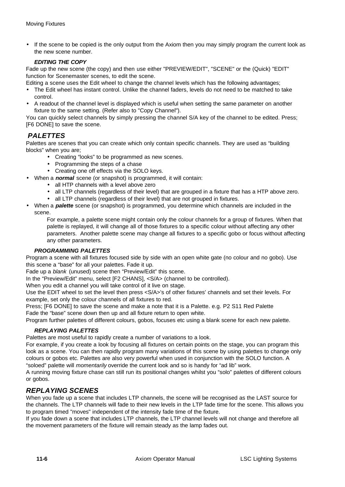• If the scene to be copied is the only output from the Axiom then you may simply program the current look as the new scene number.

#### *EDITING THE COPY*

Fade up the new scene (the copy) and then use either "PREVIEW/EDIT", "SCENE" or the (Quick) "EDIT" function for Scenemaster scenes, to edit the scene.

Editing a scene uses the Edit wheel to change the channel levels which has the following advantages;

- The Edit wheel has instant control. Unlike the channel faders, levels do not need to be matched to take control.
- A readout of the channel level is displayed which is useful when setting the same parameter on another fixture to the same setting. (Refer also to "Copy Channel").

You can quickly select channels by simply pressing the channel S/A key of the channel to be edited. Press; [F6 DONE] to save the scene.

### *PALETTES*

Palettes are scenes that you can create which only contain specific channels. They are used as "building blocks" when you are;

- Creating "looks" to be programmed as new scenes.
- Programming the steps of a chase
- Creating one off effects via the SOLO keys.
- When a *normal* scene (or snapshot) is programmed, it will contain:
	- all HTP channels with a level above zero
	- all LTP channels (regardless of their level) that are grouped in a fixture that has a HTP above zero.
	- all LTP channels (regardless of their level) that are not grouped in fixtures.
- When a *palette* scene (or snapshot) is programmed, you determine which channels are included in the scene.

For example, a palette scene might contain only the colour channels for a group of fixtures. When that palette is replayed, it will change all of those fixtures to a specific colour without affecting any other parameters. Another palette scene may change all fixtures to a specific gobo or focus without affecting any other parameters.

#### *PROGRAMMING PALETTES*

Program a scene with all fixtures focused side by side with an open white gate (no colour and no gobo). Use this scene a "base" for all your palettes. Fade it up.

Fade up a *blank* (unused) scene then "Preview/Edit" this scene.

In the "Preview/Edit" menu, select [F2 CHANS], <S/A> (channel to be controlled).

When you edit a channel you will take control of it live on stage.

Use the EDIT wheel to set the level then press <S/A>'s of other fixtures' channels and set their levels. For example, set only the colour channels of all fixtures to red.

Press; [F6 DONE] to save the scene and make a note that it is a Palette. e.g. P2 S11 Red Palette Fade the "base" scene down then up and all fixture return to open white.

Program further palettes of different colours, gobos, focuses etc using a blank scene for each new palette.

#### *REPLAYING PALETTES*

Palettes are most useful to rapidly create a number of variations to a look.

For example, if you create a look by focusing all fixtures on certain points on the stage, you can program this look as a scene. You can then rapidly program many variations of this scene by using palettes to change only colours or gobos etc. Palettes are also very powerful when used in conjunction with the SOLO function. A "soloed" palette will *momentarily* override the current look and so is handy for "ad lib" work.

A running moving fixture chase can still run its positional changes whilst you "solo" palettes of different colours or gobos.

## *REPLAYING SCENES*

When you fade up a scene that includes LTP channels, the scene will be recognised as the LAST source for the channels. The LTP channels will fade to their new levels in the LTP fade time for the scene. This allows you to program timed "moves" independent of the intensity fade time of the fixture.

If you fade down a scene that includes LTP channels, the LTP channel levels will not change and therefore all the movement parameters of the fixture will remain steady as the lamp fades out.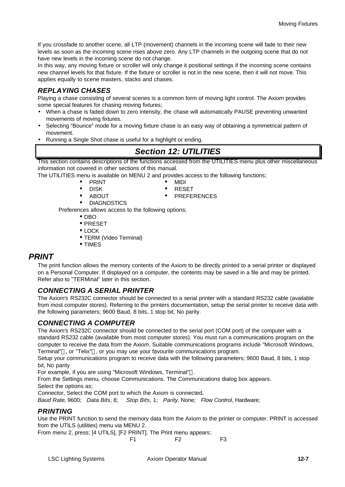If you crossfade to another scene, all LTP (movement) channels in the incoming scene will fade to their new levels as soon as the incoming scene rises above zero. Any LTP channels in the outgoing scene that do not have new levels in the incoming scene do not change.

In this way, any moving fixture or scroller will only change it positional settings if the incoming scene contains new channel levels for that fixture. If the fixture or scroller is not in the new scene, then it will not move. This applies equally to scene masters, stacks and chases.

## *REPLAYING CHASES*

Playing a chase consisting of several scenes is a common form of moving light control. The Axi*om* provides some special features for chasing moving fixtures;

- When a chase is faded down to zero intensity, the chase will automatically PAUSE preventing unwanted movements of moving fixtures.
- Selecting "Bounce" mode for a moving fixture chase is an easy way of obtaining a symmetrical pattern of movement.
- Running a Single Shot chase is useful for a highlight or ending.

# *Section 12: UTILITIES*

This section contains descriptions of the functions accessed from the UTILITIES menu plus other miscellaneous information not covered in other sections of this manual.

The UTILITIES menu is available on MENU 2 and provides access to the following functions;

- PRINT MIDI
	-
- DISK RESET
- ABOUT PREFERENCES
	-
- **DIAGNOSTICS**

Preferences allows access to the following options;

- $\bullet$  DRO
- PRESET
- LOCK
- TERM (Video Terminal)
- TIMES

## *PRINT*

The print function allows the memory contents of the Axi*om* to be directly printed to a serial printer or displayed on a Personal Computer. If displayed on a computer, the contents may be saved in a file and may be printed. Refer also to "TERMinal" later in this section.

## *CONNECTING A SERIAL PRINTER*

The Axi*om's* RS232C connector should be connected to a serial printer with a standard RS232 cable (available from most computer stores). Referring to the printers documentation, setup the serial printer to receive data with the following parameters; 9600 Baud, 8 bits, 1 stop bit, No parity.

## *CONNECTING A COMPUTER*

The Axi*om's* RS232C connector should be connected to the serial port (COM port) of the computer with a standard RS232 cable (available from most computer stores). You must run a communications program on the computer to receive the data from the Axi*om*. Suitable communications programs include "Microsoft Windows, Terminal"©, or "Telix"©, or you may use your favourite communications program.

Setup your communications program to receive data with the following parameters; 9600 Baud, 8 bits, 1 stop bit. No parity.

For example, if you are using "Microsoft Windows, Terminal"<sup>©</sup>.

From the Settings menu, choose Communications. The Communications dialog box appears. Select the options as;

*Connector*, Select the COM port to which the Axi*om* is connected**.**

*Baud Rate*, 9600; *Data Bits*, 8; *Stop Bits*, 1; *Parity*, None; *Flow Control*, Hardware;

## *PRINTING*

Use the PRINT function to send the memory data from the Axi*om* to the printer or computer. PRINT is accessed from the UTILS (utilities) menu via MENU 2.

From menu 2, press; [4 UTILS], [F2 PRINT]. The Print menu appears;

$$
F1 \hspace{1.5cm} F2 \hspace{1.5cm} F3
$$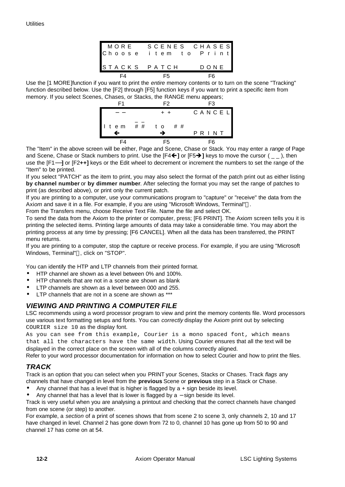|    | MORE SCENES CHASES   |     |
|----|----------------------|-----|
|    | Choose item to Print |     |
|    | STACKS PATCH DONE    |     |
| FΔ | F5.                  | -F6 |

Use the [1 MORE]function if you want to print the *entire* memory contents or to turn on the scene "Tracking" function described below. Use the [F2] through [F5] function keys if you want to print a specific item from memory. If you select Scenes, Chases, or Stacks, the RANGE menu appears;

| F1              | F2       | F3     |
|-----------------|----------|--------|
|                 | $+$ $+$  | CANCEL |
| Item ## to<br>← | # #<br>▲ | PRINT  |
|                 | -5       |        |

The "Item" in the above screen will be either, Page and Scene, Chase or Stack. You may enter a *range* of Page and Scene, Chase or Stack numbers to print. Use the [F4 ← ] or [F5 → ] keys to move the cursor (
i.g.), then use the [F1**--]** or [F2**++]** keys or the Edit wheel to decrement or increment the numbers to set the range of the "Item" to be printed.

If you select "PATCH" as the item to print, you may also select the format of the patch print out as either listing **by channel number** or **by dimmer number**. After selecting the format you may set the range of patches to print (as described above), or print only the current patch.

If you are printing to a computer, use your communications program to "capture" or "receive" the data from the Axiom and save it in a file. For example, if you are using "Microsoft Windows, Terminal"<sup>©</sup>.

From the Transfers menu, choose Receive Text File. Name the file and select OK.

To send the data from the Axi*om* to the printer or computer, press; [F6 PRINT]. The Axi*om* screen tells you it is printing the selected items. Printing large amounts of data may take a considerable time. You may abort the printing process at any time by pressing; [F6 CANCEL]. When all the data has been transferred, the PRINT menu returns.

If you are printing to a computer, stop the capture or receive process. For example, if you are using "Microsoft Windows, Terminal"©, click on "STOP".

You can identify the HTP and LTP channels from their printed format.

- HTP channel are shown as a level between 0% and 100%.
- HTP channels that are not in a scene are shown as blank
- LTP channels are shown as a level between 000 and 255.
- LTP channels that are not in a scene are shown as \*\*\*

## *VIEWING AND PRINTING A COMPUTER FILE*

LSC recommends using a word processor program to view and print the memory contents file. Word processors use various text formatting setups and fonts. You can *correctly* display the Axi*om* print out by selecting COURIER size 10 as the display font.

As you can see from this example, Courier is a mono spaced font, which means that all the characters have the same width. Using Courier ensures that all the text will be displayed in the correct place on the screen with all of the columns correctly aligned.

Refer to your word processor documentation for information on how to select Courier and how to print the files.

## *TRACK*

Track is an option that you can select when you PRINT your Scenes, Stacks or Chases. Track *flags* any channels that have changed in level from the **previous** Scene or **previous** step in a Stack or Chase.

Any channel that has a level that is higher is flagged by  $a +$  sign beside its level.

• Any channel that has a level that is lower is flagged by a − sign beside its level.

Track is very useful when you are analysing a printout and checking that the correct channels have changed from one scene (or step) to another.

For example, a *section* of a print of scenes shows that from scene 2 to scene 3, only channels 2, 10 and 17 have changed in level. Channel 2 has gone down from 72 to 0, channel 10 has gone up from 50 to 90 and channel 17 has come on at 54.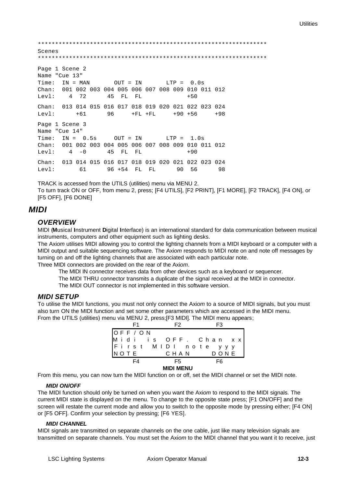\*\*\*\*\*\*\*\*\*\*\*\*\*\*\*\*\*\*\*\*\*\*\*\*\*\*\*\*\*\*\*\*\*\*\*\*\*\*\*\*\*\*\*\*\*\*\*\*\*\*\*\*\*\*\*\*\*\*\*\*\*\*\*\*\*\* Scenes \*\*\*\*\*\*\*\*\*\*\*\*\*\*\*\*\*\*\*\*\*\*\*\*\*\*\*\*\*\*\*\*\*\*\*\*\*\*\*\*\*\*\*\*\*\*\*\*\*\*\*\*\*\*\*\*\*\*\*\*\*\*\*\*\*\* Page 1 Scene 2 Name "Cue 13" Time: IN = MAN OUT = IN LTP = 0.0s Chan: 001 002 003 004 005 006 007 008 009 010 011 012 Levl: 4 72 45 FL FL +50 Chan: 013 014 015 016 017 018 019 020 021 022 023 024 Levl: +61 96 +FL +FL +90 +56 +98 Page 1 Scene 3 Name "Cue 14" Time:  $IN = 0.5s$   $OUT = IN$   $LTP = 1.0s$ Chan: 001 002 003 004 005 006 007 008 009 010 011 012 Levl: 4 -0 45 FL FL +90 Chan: 013 014 015 016 017 018 019 020 021 022 023 024 Levl: 61 96 +54 FL FL 90 56 98

TRACK is accessed from the UTILS (utilities) menu via MENU 2. To turn track ON or OFF, from menu 2, press; [F4 UTILS], [F2 PRINT], [F1 MORE], [F2 TRACK], [F4 ON], or [F5 OFF], [F6 DONE]

## *MIDI*

### *OVERVIEW*

MIDI (**M**usical **I**nstrument **D**igital **I**nterface) is an international standard for data communication between musical instruments, computers and other equipment such as lighting desks.

The Axi*om* utilises MIDI allowing you to control the lighting channels from a MIDI keyboard or a computer with a MIDI output and suitable sequencing software. The Axi*om* responds to MIDI note on and note off messages by turning on and off the lighting channels that are associated with each particular note.

Three MIDI connectors are provided on the rear of the Axi*om*.

The MIDI IN connector receives data from other devices such as a keyboard or sequencer.

The MIDI THRU connector transmits a duplicate of the signal received at the MIDI in connector.

The MIDI OUT connector is not implemented in this software version.

### *MIDI SETUP*

To utilise the MIDI functions, you must not only connect the Axi*om* to a source of MIDI signals, but you must also turn ON the MIDI function and set some other parameters which are accessed in the MIDI menu. From the UTILS (utilities) menu via MENU 2, press;[F3 MIDI]. The MIDI menu appears;

| OFF/ON |                  |                                              |
|--------|------------------|----------------------------------------------|
|        |                  | Midi is OFF. Chan x x<br>First MIDI note yyy |
|        |                  |                                              |
| NOTE   | C H A N          | DONE                                         |
| FΔ     | F5               | -F6                                          |
|        | <b>MIDI MENU</b> |                                              |

From this menu, you can now turn the MIDI function on or off, set the MIDI channel or set the MIDI note.

#### *MIDI ON/OFF*

The MIDI function should only be turned on when you want the Axi*om* to respond to the MIDI signals. The current MIDI state is displayed on the menu. To change to the opposite state press; [F1 ON/OFF] and the screen will restate the current mode and allow you to switch to the opposite mode by pressing either; [F4 ON] or [F5 OFF]. Confirm your selection by pressing; [F6 YES].

#### *MIDI CHANNEL*

MIDI signals are transmitted on separate channels on the one cable, just like many television signals are transmitted on separate channels. You must set the Axi*om* to the MIDI channel that you want it to receive, just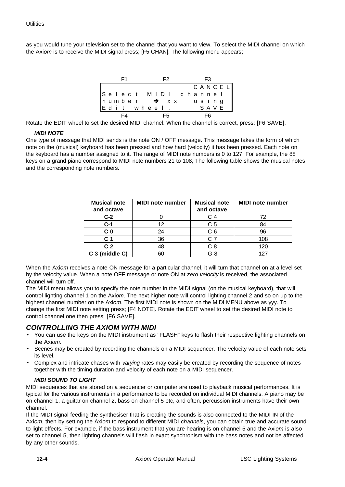as you would tune your television set to the channel that you want to view. To select the MIDI channel on which the Axi*om* is to receive the MIDI signal press; [F5 CHAN]. The following menu appears;

|                                          | F2. | F3      |
|------------------------------------------|-----|---------|
|                                          |     | CANCELI |
| Select MIDI channel<br>number → xx using |     |         |
|                                          |     |         |
| Edit wheel.                              |     | SAVE    |
|                                          |     |         |

Rotate the EDIT wheel to set the desired MIDI channel. When the channel is correct, press; [F6 SAVE].

#### *MIDI NOTE*

One type of message that MIDI sends is the note ON / OFF message. This message takes the form of which note on the (musical) keyboard has been pressed and how hard (velocity) it has been pressed. Each note on the keyboard has a number assigned to it. The range of MIDI note numbers is 0 to 127. For example, the 88 keys on a grand piano correspond to MIDI note numbers 21 to 108, The following table shows the musical notes and the corresponding note numbers.

| <b>Musical note</b> | <b>MIDI</b> note number | <b>Musical note</b> | <b>MIDI</b> note number |
|---------------------|-------------------------|---------------------|-------------------------|
| and octave          |                         | and octave          |                         |
| $C-2$               |                         | C 4                 | 72                      |
| $C-1$               | 12                      | C <sub>5</sub>      | 84                      |
| C <sub>0</sub>      | 24                      | C <sub>6</sub>      | 96                      |
| C <sub>1</sub>      | 36                      | C 7                 | 108                     |
| C <sub>2</sub>      | 48                      | C <sub>8</sub>      | 120                     |
| $C_3$ (middle $C$ ) | 60                      | G 8                 | 127                     |

When the Axi*om* receives a note ON message for a particular channel, it will turn that channel on at a level set by the velocity value. When a note OFF message or note ON at *zero velocity* is received, the associated channel will turn off.

The MIDI menu allows you to specify the note number in the MIDI signal (on the musical keyboard), that will control lighting channel 1 on the Axi*om*. The next higher note will control lighting channel 2 and so on up to the highest channel number on the Axi*om*. The first MIDI note is shown on the MIDI MENU above as yyy. To change the first MIDI note setting press; [F4 NOTE]. Rotate the EDIT wheel to set the desired MIDI note to control channel one then press; [F6 SAVE].

## *CONTROLLING THE AXIOM WITH MIDI*

- You can use the keys on the MIDI instrument as "FLASH" keys to flash their respective lighting channels on the Axi*om*.
- Scenes may be created by recording the channels on a MIDI sequencer. The velocity value of each note sets its level.
- Complex and intricate chases with *varying* rates may easily be created by recording the sequence of notes together with the timing duration and velocity of each note on a MIDI sequencer.

#### *MIDI SOUND TO LIGHT*

MIDI sequences that are stored on a sequencer or computer are used to playback musical performances. It is typical for the various instruments in a performance to be recorded on individual MIDI channels. A piano may be on channel 1, a guitar on channel 2, bass on channel 5 etc, and often, percussion instruments have their own channel.

If the MIDI signal feeding the synthesiser that is creating the sounds is also connected to the MIDI IN of the Axi*om*, then by setting the Axi*om* to respond to different MIDI *channels*, you can obtain true and accurate sound to light effects. For example, if the bass instrument that you are hearing is on channel 5 and the Axi*om* is also set to channel 5, then lighting channels will flash in exact synchronism with the bass notes and not be affected by any other sounds.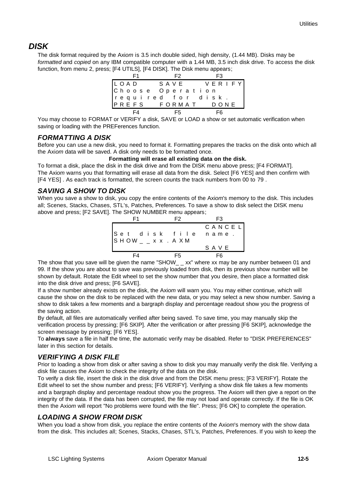# *DISK*

The disk format required by the Axi*om* is 3.5 inch double sided, high density, (1.44 MB). Disks may be *formatted* and *copied* on any IBM compatible computer with a 1.44 MB, 3.5 inch disk drive. To access the disk function, from menu 2, press; [F4 UTILS], [F4 DISK]. The Disk menu appears;

|  | F1 |                    |  |  | F <sub>2</sub> |  |  | F <sub>3</sub> |  |  |
|--|----|--------------------|--|--|----------------|--|--|----------------|--|--|
|  |    | LOAD SAVE VERIFY   |  |  |                |  |  |                |  |  |
|  |    | Choose Operation   |  |  |                |  |  |                |  |  |
|  |    | required for disk. |  |  |                |  |  |                |  |  |
|  |    | PREFS FORMAT DONE  |  |  |                |  |  |                |  |  |
|  | F4 |                    |  |  | F5.            |  |  | F6.            |  |  |

You may choose to FORMAT or VERIFY a disk, SAVE or LOAD a show or set automatic verification when saving or loading with the PREFerences function.

## *FORMATTING A DISK*

Before you can use a new disk, you need to format it. Formatting prepares the tracks on the disk onto which all the Axi*om* data will be saved. A disk only needs to be formatted once.

#### **Formatting will erase all existing data on the disk.**

To format a disk, place the disk in the disk drive and from the DISK menu above press; [F4 FORMAT]. The Axi*om* warns you that formatting will erase all data from the disk. Select [F6 YES] and then confirm with [F4 YES] . As each track is formatted, the screen counts the track numbers from 00 to 79 .

## *SAVING A SHOW TO DISK*

When you save a show to disk, you copy the entire contents of the Axi*om*'s memory to the disk. This includes all; Scenes, Stacks, Chases, STL's, Patches, Preferences. To save a show to disk select the DISK menu above and press; [F2 SAVE]. The SHOW NUMBER menu appears;

|                                     | F2 | F3      |
|-------------------------------------|----|---------|
|                                     |    | CANCELI |
| Set disk file name.<br>SHOW__xx.AXM |    |         |
|                                     |    |         |
|                                     |    | SAVE    |
|                                     | -5 | FR      |
|                                     |    |         |

The show that you save will be given the name "SHOW\_ \_ xx" where xx may be any number between 01 and 99. If the show you are about to save was previously loaded from disk, then its previous show number will be shown by default. Rotate the Edit wheel to set the show number that you desire, then place a formatted disk into the disk drive and press; [F6 SAVE].

If a show number already exists on the disk, the Axi*om* will warn you. You may either continue, which will cause the show on the disk to be replaced with the new data, or you may select a new show number. Saving a show to disk takes a few moments and a bargraph display and percentage readout show you the progress of the saving action.

By default, all files are automatically verified after being saved. To save time, you may manually skip the verification process by pressing; [F6 SKIP]. After the verification or after pressing [F6 SKIP], acknowledge the screen message by pressing; [F6 YES].

To **always** save a file in half the time, the automatic verify may be disabled. Refer to "DISK PREFERENCES" later in this section for details.

## *VERIFYING A DISK FILE*

Prior to loading a show from disk or after saving a show to disk you may manually verify the disk file. Verifying a disk file causes the Axi*om* to check the integrity of the data on the disk.

To verify a disk file, insert the disk in the disk drive and from the DISK menu press; [F3 VERIFY]. Rotate the Edit wheel to set the show number and press; [F6 VERIFY]. Verifying a show disk file takes a few moments and a bargraph display and percentage readout show you the progress. The Axi*om* will then give a report on the integrity of the data. If the data has been corrupted, the file may not load and operate correctly. If the file is OK then the Axi*om* will report "No problems were found with the file". Press; [F6 OK] to complete the operation.

## *LOADING A SHOW FROM DISK*

When you load a show from disk, you replace the entire contents of the Axi*om*'s memory with the show data from the disk. This includes all; Scenes, Stacks, Chases, STL's, Patches, Preferences. If you wish to keep the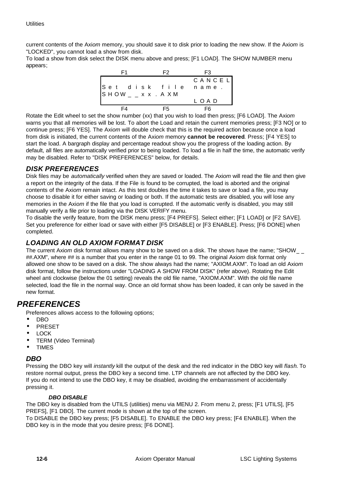current contents of the Axi*om* memory, you should save it to disk prior to loading the new show. If the Axi*om* is "LOCKED", you cannot load a show from disk.

To load a show from disk select the DISK menu above and press; [F1 LOAD]. The SHOW NUMBER menu appears;

|                                     | F2 | F3     |
|-------------------------------------|----|--------|
|                                     |    | CANCEL |
| Set disk file name.<br>SHOW__xx.AXM |    |        |
|                                     |    |        |
|                                     |    | LOAD   |
|                                     |    |        |

Rotate the Edit wheel to set the show number (xx) that you wish to load then press; [F6 LOAD]. The Axi*om* warns you that all memories will be lost. To abort the Load and retain the current memories press; [F3 NO] or to continue press; [F6 YES]. The Axi*om* will double check that this is the required action because once a load from disk is initiated, the current contents of the Axi*om* memory **cannot be recovered**. Press; [F4 YES] to start the load. A bargraph display and percentage readout show you the progress of the loading action. By default, all files are automatically verified prior to being loaded. To load a file in half the time, the automatic verify may be disabled. Refer to "DISK PREFERENCES" below, for details.

### *DISK PREFERENCES*

Disk files may be *automatically* verified when they are saved or loaded. The Axi*om* will read the file and then give a report on the integrity of the data. If the File is found to be corrupted, the load is aborted and the original contents of the Axi*om* remain intact. As this test doubles the time it takes to save or load a file, you may choose to disable it for either saving or loading or both. If the automatic tests are disabled, you will lose any memories in the Axi*om* if the file that you load is corrupted. If the automatic verify is disabled, you may still manually verify a file prior to loading via the DISK VERIFY menu.

To disable the verify feature, from the DISK menu press; [F4 PREFS]. Select either; [F1 LOAD] or [F2 SAVE]. Set you preference for either load or save with either [F5 DISABLE] or [F3 ENABLE]. Press; [F6 DONE] when completed.

## *LOADING AN OLD AXIOM FORMAT DISK*

The current Axi*om* disk format allows many show to be saved on a disk. The shows have the name; "SHOW\_ \_ ##.AXM", where ## is a number that you enter in the range 01 to 99. The original Axi*om* disk format only allowed one show to be saved on a disk. The show always had the name; "AXIOM.AXM". To load an old Axi*om* disk format, follow the instructions under "LOADING A SHOW FROM DISK" (refer above). Rotating the Edit wheel anti clockwise (below the 01 setting) reveals the old file name, "AXIOM.AXM". With the old file name selected, load the file in the normal way. Once an old format show has been loaded, it can only be saved in the new format.

## *PREFERENCES*

Preferences allows access to the following options;

- DBO
- **PRESET**
- LOCK
- TERM (Video Terminal)
- TIMES

## *DBO*

Pressing the DBO key will *instantly* kill the output of the desk and the red indicator in the DBO key will *flash*. To restore normal output, press the DBO key a second time. LTP channels are not affected by the DBO key. If you do not intend to use the DBO key, it may be disabled, avoiding the embarrassment of accidentally pressing it.

### *DBO DISABLE*

The DBO key is disabled from the UTILS (utilities) menu via MENU 2. From menu 2, press; [F1 UTILS], [F5 PREFS], [F1 DBO]. The current mode is shown at the top of the screen.

To DISABLE the DBO key press; [F5 DISABLE]. To ENABLE the DBO key press; [F4 ENABLE]. When the DBO key is in the mode that you desire press; [F6 DONE].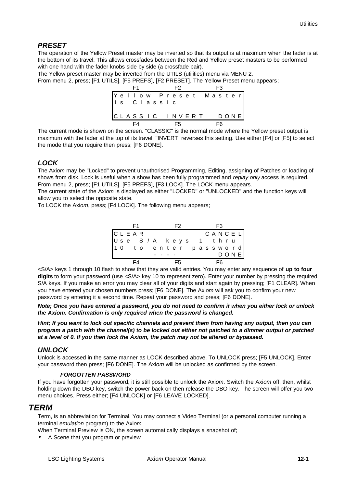## *PRESET*

The operation of the Yellow Preset master may be inverted so that its output is at maximum when the fader is at the bottom of its travel. This allows crossfades between the Red and Yellow preset masters to be performed with one hand with the fader knobs side by side (a crossfade pair).

The Yellow preset master may be inverted from the UTILS (utilities) menu via MENU 2.

From menu 2, press; [F1 UTILS], [F5 PREFS], [F2 PRESET]. The Yellow Preset menu appears;

|  |  |  |  |  |    |  |  |    |  | Yellow Preset Master<br>is Classic |
|--|--|--|--|--|----|--|--|----|--|------------------------------------|
|  |  |  |  |  |    |  |  |    |  |                                    |
|  |  |  |  |  |    |  |  |    |  | CLASSIC INVERT DONE                |
|  |  |  |  |  | F5 |  |  | F6 |  |                                    |
|  |  |  |  |  |    |  |  |    |  |                                    |

The current mode is shown on the screen. "CLASSIC" is the normal mode where the Yellow preset output is maximum with the fader at the top of its travel. "INVERT" reverses this setting. Use either [F4] or [F5] to select the mode that you require then press; [F6 DONE].

### *LOCK*

The Axi*om* may be "Locked" to prevent unauthorised Programming, Editing, assigning of Patches or loading of shows from disk. Lock is useful when a show has been fully programmed and *replay only* access is required. From menu 2, press; [F1 UTILS], [F5 PREFS], [F3 LOCK]. The LOCK menu appears.

The current state of the Axi*om* is displayed as either "LOCKED" or "UNLOCKED" and the function keys will allow you to select the opposite state.

To LOCK the Axi*om*, press; [F4 LOCK]. The following menu appears;

| F2. | F3                                                          |
|-----|-------------------------------------------------------------|
|     | CLEAR CANCEL<br>Use S/A keys 1 thru<br>10 to enter password |
|     |                                                             |
|     |                                                             |
|     | DONE                                                        |
|     |                                                             |

<S/A> keys 1 through 10 flash to show that they are valid entries. You may enter any sequence of **up to four digits** to form your password (use <S/A> key 10 to represent zero). Enter your number by pressing the required S/A keys. If you make an error you may clear all of your digits and start again by pressing; [F1 CLEAR]. When you have entered your chosen numbers press; [F6 DONE]. The Axi*om* will ask you to confirm your new password by entering it a second time. Repeat your password and press; [F6 DONE].

*Note; Once you have entered a password, you do not need to confirm it when you either lock or unlock the Axiom. Confirmation is only required when the password is changed.*

*Hint; If you want to lock out specific channels and prevent them from having any output, then you can program a patch with the channel(s) to be locked out either not patched to a dimmer output or patched at a level of 0. If you then lock the Axiom, the patch may not be altered or bypassed.*

## *UNLOCK*

Unlock is accessed in the same manner as LOCK described above. To UNLOCK press; [F5 UNLOCK]. Enter your password then press; [F6 DONE]. The Axi*om* will be unlocked as confirmed by the screen.

#### *FORGOTTEN PASSWORD*

If you have forgotten your password, it is still possible to unlock the Axi*om*. Switch the Axi*om* off, then, whilst holding down the DBO key, switch the power back on then release the DBO key. The screen will offer you two menu choices. Press either; [F4 UNLOCK] or [F6 LEAVE LOCKED].

## *TERM*

Term, is an abbreviation for Terminal. You may connect a Video Terminal (or a personal computer running a terminal *emulation* program) to the Axi*om.*

When Terminal Preview is ON, the screen automatically displays a snapshot of;

• A Scene that you program or preview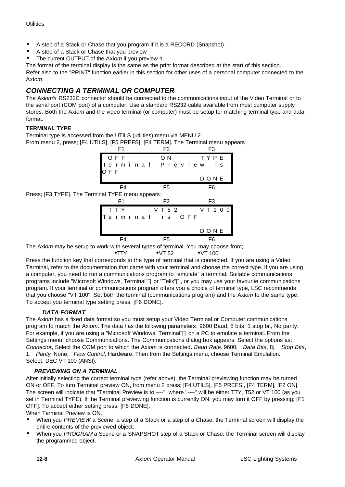- A step of a Stack or Chase that you program if it is a RECORD (Snapshot)*.*
- A step of a Stack or Chase that you preview
- The current OUTPUT of the Axi*om* if you preview it.

The format of the terminal display is the same as the print format described at the start of this section. Refer also to the "PRINT" function earlier in this section for other uses of a personal computer connected to the Axi*om*.

## *CONNECTING A TERMINAL OR COMPUTER*

The Axi*om's* RS232C connector should be connected to the communications input of the Video Terminal or to the serial port (COM port) of a computer. Use a standard RS232 cable available from most computer supply stores. Both the Axi*om* and the video terminal (or computer) must be setup for matching terminal type and data format.

### **TERMINAL TYPE**

Terminal type is accessed from the UTILS (utilities) menu via MENU 2. From menu 2, press; [F4 UTILS], [F5 PREFS], [F4 TERM]. The Terminal menu appears;

| F2                  | F3   |
|---------------------|------|
| O N                 | TYPE |
| Terminal Preview is |      |
|                     | DONE |
| F5                  | F6   |
|                     |      |

Press; [F3 TYPE]. The Terminal TYPE menu appears:

| F1                       | F2                  | F3   |
|--------------------------|---------------------|------|
| T T Y<br>Terminal is OFF | $VT 5 2$ $VT 1 0 0$ |      |
|                          |                     | DONE |
|                          |                     |      |

The Axi*om* may be setup to work with several types of terminal. You may choose from;

$$
\bullet
$$
TTY 
$$
\bullet
$$
VT 52 
$$
\bullet
$$
VT 100

Press the function key that corresponds to the type of terminal that is connected. If you are using a Video Terminal, refer to the documentation that came with your terminal and choose the correct type. If you are using a computer, you need to run a communications program to "emulate" a terminal. Suitable communications programs include "Microsoft Windows, Terminal"<sup>©</sup> or "Telix"©, or you may use your favourite communications program. If your terminal or communications program offers you a choice of terminal type, LSC recommends that you choose "VT 100". Set both the terminal (communications program) and the Axi*om* to the same type. To accept you terminal type setting press; [F6 DONE].

### *DATA FORMAT*

The Axi*om* has a fixed data format so you must setup your Video Terminal or Computer communications program to match the Axi*om*. The data has the following parameters; 9600 Baud, 8 bits, 1 stop bit, No parity. For example, if you are using a "Microsoft Windows, Terminal"© on a PC to emulate a terminal. From the Settings menu, choose Communications. The Communications dialog box appears. Select the options as; *Connector*, Select the COM port to which the Axi*om* is connected**.** *Baud Rate*, 9600; *Data Bits*, 8; *Stop Bits*, 1; *Parity*, None; *Flow Control*, Hardware. Then from the Settings menu, choose Terminal Emulation. Select; DEC VT 100 (ANSI).

### *PREVIEWING ON A TERMINAL*

After initially selecting the correct terminal type (refer above), the Terminal previewing function may be turned ON or OFF. To turn Terminal preview ON, from menu 2 press; [F4 UTILS], [F5 PREFS], [F4 TERM], [F2 ON]. The screen will indicate that "Terminal Preview is to ----", where "----" will be either TTY, T52 or VT 100 (as you set in Terminal TYPE). If the Terminal previewing function is currently ON, you may turn it OFF by pressing; [F1 OFF]. To accept either setting press; [F6 DONE].

When Terminal Preview is ON,

- When you *PREVIEW* a Scene, a step of a Stack or a step of a Chase, the Terminal screen will display the entire contents of the previewed object.
- When you *PROGRAM* a Scene or a SNAPSHOT step of a Stack or Chase, the Terminal screen will display the programmed object.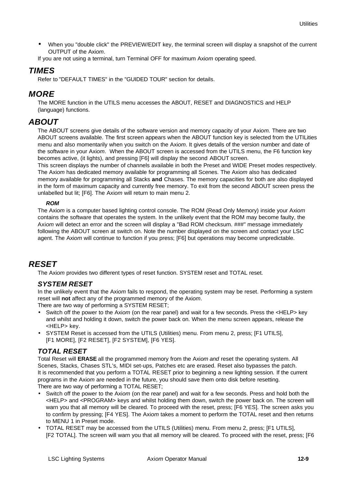• When you "double click" the PREVIEW/EDIT key, the terminal screen will display a snapshot of the current OUTPUT of the Axi*om*.

If you are not using a terminal, turn Terminal OFF for maximum Axi*om* operating speed.

## *TIMES*

Refer to "DEFAULT TIMES" in the "GUIDED TOUR" section for details.

## *MORE*

The MORE function in the UTILS menu accesses the ABOUT, RESET and DIAGNOSTICS and HELP (language) functions.

## *ABOUT*

The ABOUT screens give details of the software version and memory capacity of your Axi*om.* There are two ABOUT screens available. The first screen appears when the ABOUT function key is selected from the UTILities menu and also momentarily when you switch on the Axi*om*. It gives details of the version number and date of the software in your Axi*om*. When the ABOUT screen is accessed from the UTILS menu, the F6 function key becomes active, (it lights), and pressing [F6] will display the second ABOUT screen.

This screen displays the number of channels available in both the Preset and WIDE Preset modes respectively. The Axi*om* has dedicated memory available for programming all Scenes. The Axi*om* also has dedicated memory available for programming all Stacks **and** Chases. The memory capacities for both are also displayed in the form of maximum capacity and currently free memory. To exit from the second ABOUT screen press the unlabelled but lit; [F6]. The Axi*om* will return to main menu 2.

#### *ROM*

The Axi*om* is a computer based lighting control console. The ROM (Read Only Memory) inside your Axi*om* contains the software that operates the system. In the unlikely event that the ROM may become faulty, the Axi*om* will detect an error and the screen will display a "Bad ROM checksum. ###" message immediately following the ABOUT screen at switch on. Note the number displayed on the screen and contact your LSC agent. The Axi*om* will continue to function if you press; [F6] but operations may become unpredictable.

## *RESET*

The Axi*om* provides two different types of reset function. SYSTEM reset and TOTAL reset.

#### *SYSTEM RESET*

In the unlikely event that the Axi*om* fails to respond, the operating system may be reset. Performing a system reset will **not** affect any of the programmed memory of the Axi*om*.

There are two way of performing a SYSTEM RESET;

- Switch off the power to the Axi*om* (on the rear panel) and wait for a few seconds. Press the <HELP> key and whilst and holding it down, switch the power back on. When the menu screen appears, release the <HELP> key.
- SYSTEM Reset is accessed from the UTILS (Utilities) menu. From menu 2, press; [F1 UTILS], [F1 MORE], [F2 RESET], [F2 SYSTEM], [F6 YES].

## *TOTAL RESET*

Total Reset will **ERASE** all the programmed memory from the Axi*om and* reset the operating system. All Scenes, Stacks, Chases STL's, MIDI set-ups, Patches etc are erased. Reset also bypasses the patch. It is recommended that you perform a TOTAL RESET prior to beginning a new lighting session*.* If the current programs in the Axi*om* are needed in the future, you should save them onto disk before resetting. There are two way of performing a TOTAL RESET;

- Switch off the power to the Axi*om* (on the rear panel) and wait for a few seconds. Press and hold both the <HELP> and <PROGRAM> keys and whilst holding them down, switch the power back on. The screen will warn you that all memory will be cleared. To proceed with the reset, press; [F6 YES]. The screen asks you to confirm by pressing; [F4 YES]. The Axi*om* takes a moment to perform the TOTAL reset and then returns to MENU 1 in Preset mode.
- TOTAL RESET may be accessed from the UTILS (Utilities) menu. From menu 2, press; [F1 UTILS], [F2 TOTAL]. The screen will warn you that all memory will be cleared. To proceed with the reset, press; [F6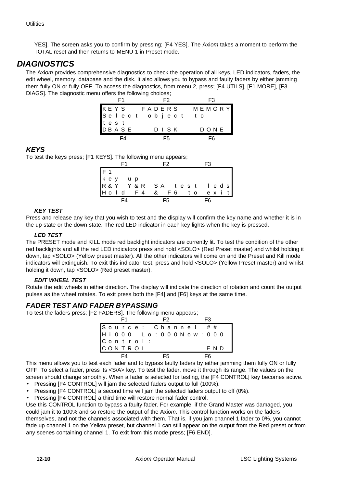YES]. The screen asks you to confirm by pressing; [F4 YES]. The Axi*om* takes a moment to perform the TOTAL reset and then returns to MENU 1 in Preset mode.

## *DIAGNOSTICS*

The Axi*om* provides comprehensive diagnostics to check the operation of all keys, LED indicators, faders, the edit wheel, memory, database and the disk. It also allows you to bypass and faulty faders by either jamming them fully ON or fully OFF. To access the diagnostics, from menu 2, press; [F4 UTILS], [F1 MORE], [F3 DIAGS]. The diagnostic menu offers the following choices;

| F1           | F2            | F3     |
|--------------|---------------|--------|
|              | KEYS FADERS   | MEMORY |
|              | Select object | t o    |
| t e s t      |               |        |
| <b>DBASE</b> | DISK          | DONE   |
|              | -5.           | FR     |

## *KEYS*

To test the keys press; [F1 KEYS]. The following menu appears;

| F1<br>key up<br>R&Y Y&R SA test leds<br>Hold F4 & F6 to exit |    |    |
|--------------------------------------------------------------|----|----|
|                                                              | F5 | FR |

#### *KEY TEST*

Press and release any key that you wish to test and the display will confirm the key name and whether it is in the up state or the down state. The red LED indicator in each key lights when the key is pressed.

#### *LED TEST*

The PRESET mode and KILL mode red backlight indicators are currently lit. To test the condition of the other red backlights and all the red LED indicators press and hold <SOLO> (Red Preset master) and whilst holding it down, tap <SOLO> (Yellow preset master). All the other indicators will come on and the Preset and Kill mode indicators will extinguish. To exit this indicator test, press and hold <SOLO> (Yellow Preset master) and whilst holding it down, tap <SOLO> (Red preset master).

#### *EDIT WHEEL TEST*

Rotate the edit wheels in either direction. The display will indicate the direction of rotation and count the output pulses as the wheel rotates. To exit press both the [F4] and [F6] keys at the same time.

## *FADER TEST AND FADER BYPASSING*

To test the faders press; [F2 FADERS]. The following menu appears;

|                                                                      | F2. | F3 |
|----------------------------------------------------------------------|-----|----|
| Source: Channel ##<br>Hi000 Lo:000Now:000<br>Control:<br>CONTROL END |     |    |
|                                                                      |     |    |
|                                                                      |     |    |
|                                                                      |     |    |
|                                                                      |     |    |

This menu allows you to test each fader and to bypass faulty faders by either jamming them fully ON or fully OFF. To select a fader, press its <S/A> key. To test the fader, move it through its range. The values on the screen should change smoothly. When a fader is selected for testing, the [F4 CONTROL] key becomes active.

- Pressing [F4 CONTROL] will jam the selected faders output to full (100%).
- Pressing [F4 CONTROL] a second time will jam the selected faders output to off (0%).
- Pressing [F4 CONTROL] a third time will restore normal fader control.

Use this CONTROL function to bypass a faulty fader. For example, if the Grand Master was damaged, you could jam it to 100% and so restore the output of the Axi*om*. This control function works on the faders themselves, and not the channels associated with them. That is, if you jam channel 1 fader to 0%, you cannot fade up channel 1 on the Yellow preset, but channel 1 can still appear on the output from the Red preset or from any scenes containing channel 1. To exit from this mode press; [F6 END].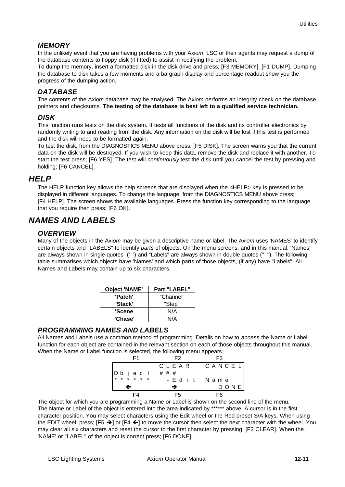### *MEMORY*

In the unlikely event that you are having problems with your Axi*om*, LSC or their agents may request a dump of the database contents to floppy disk (if fitted) to assist in rectifying the problem.

To dump the memory, insert a formatted disk in the disk drive and press; [F3 MEMORY], [F1 DUMP]. Dumping the database to disk takes a few moments and a bargraph display and percentage readout show you the progress of the dumping action.

#### *DATABASE*

The contents of the Axi*om* database may be analysed. The Axi*om* performs an integrity check on the database pointers and checksums. **The testing of the database is best left to a qualified service technician.**

#### *DISK*

This function runs tests on the disk system. It tests all functions of the disk and its controller electronics by randomly writing to and reading from the disk. Any information on the disk will be lost if this test is performed and the disk will need to be formatted again.

To test the disk, from the DIAGNOSTICS MENU above press; [F5 DISK]. The screen warns you that the current data on the disk will be destroyed. If you wish to keep this data, remove the disk and replace it with another. To start the test press; [F6 YES]. The test will *continuously* test the disk until you cancel the test by pressing and holding; [F6 CANCEL].

## *HELP*

The HELP function key allows the help screens that are displayed when the <HELP> key is pressed to be displayed in different languages. To change the language, from the DIAGNOSTICS MENU above press; [F4 HELP]. The screen shows the available languages. Press the function key corresponding to the language that you require then press; [F6 OK].

## *NAMES AND LABELS*

#### *OVERVIEW*

Many of the objects in the Axi*om* may be given a descriptive name or label. The Axi*om* uses 'NAMES' to identify certain objects and "LABELS" to identify *parts* of objects. On the menu screens, and in this manual, 'Names' are always shown in single quotes (' ') and "Labels" are always shown in double quotes (" "). The following table summarises which objects have 'Names' and which parts of those objects, (if any) have "Labels". All Names and Labels may contain up to six characters.

| <b>Object 'NAME'</b> | <b>Part "LABEL"</b> |
|----------------------|---------------------|
| 'Patch'              | "Channel"           |
| 'Stack'              | "Step"              |
| 'Scene               | N/A                 |
| 'Chase'              | N/A                 |

#### *PROGRAMMING NAMES AND LABELS*

All Names and Labels use a common method of programming. Details on how to *access* the Name or Label function for each object are contained in the relevant section on each of those objects throughout this manual. When the Name or Label function is selected, the following menu appears;

|            | F2          | F3           |
|------------|-------------|--------------|
|            |             | CLEAR CANCEL |
| Object ### |             |              |
|            | - Edit Name |              |
|            |             | DONE         |
|            | F5          | FR           |

The object for which you are programming a Name or Label is shown on the second line of the menu. The Name or Label of the object is entered into the area indicated by \*\*\*\*\*\* above. A cursor is in the first character position. You may select characters using the Edit wheel or the Red preset S/A keys. When using the EDIT wheel, press;  $[F5 \rightarrow]$  or  $[F4 \leftarrow]$  to move the cursor then select the next character with the wheel. You may clear all six characters and reset the cursor to the first character by pressing; [F2 CLEAR]. When the 'NAME' or "LABEL" of the object is correct press; [F6 DONE].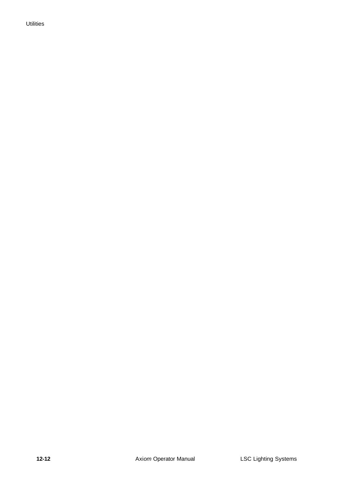**Utilities**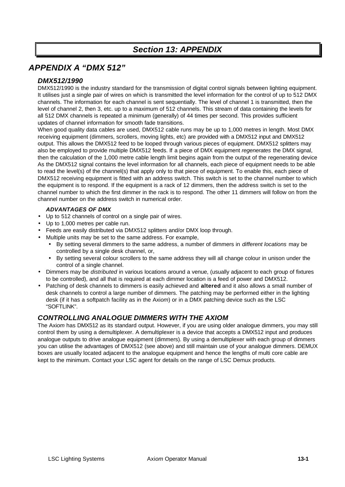# *Section 13: APPENDIX*

## *APPENDIX A "DMX 512"*

#### *DMX512/1990*

DMX512/1990 is the industry standard for the transmission of digital control signals between lighting equipment. It utilises just a single pair of wires on which is transmitted the level information for the control of up to 512 DMX channels. The information for each channel is sent sequentially. The level of channel 1 is transmitted, then the level of channel 2, then 3, etc. up to a maximum of 512 channels. This stream of data containing the levels for all 512 DMX channels is repeated a minimum (generally) of 44 times per second. This provides sufficient updates of channel information for smooth fade transitions.

When good quality data cables are used, DMX512 cable runs may be up to 1,000 metres in length. Most DMX receiving equipment (dimmers, scrollers, moving lights, etc) are provided with a DMX512 input and DMX512 output. This allows the DMX512 feed to be looped through various pieces of equipment. DMX512 splitters may also be employed to provide multiple DMX512 feeds. If a piece of DMX equipment *regenerates* the DMX signal, then the calculation of the 1,000 metre cable length limit begins again from the output of the regenerating device As the DMX512 signal contains the level information for all channels, each piece of equipment needs to be able to read the level(s) of the channel(s) that apply only to that piece of equipment. To enable this, each piece of DMX512 receiving equipment is fitted with an address switch. This switch is set to the channel number to which the equipment is to respond. If the equipment is a rack of 12 dimmers, then the address switch is set to the channel number to which the first dimmer in the rack is to respond. The other 11 dimmers will follow on from the channel number on the address switch in numerical order.

#### *ADVANTAGES OF DMX*

- Up to 512 channels of control on a single pair of wires.
- Up to 1,000 metres per cable run.
- Feeds are easily distributed via DMX512 splitters and/or DMX loop through.
- Multiple units may be set to the same address. For example,
	- By setting several dimmers to the same address, a number of dimmers in *different locations* may be controlled by a single desk channel, or,
	- By setting several colour scrollers to the same address they will all change colour in unison under the control of a single channel.
- Dimmers may be *distributed* in various locations around a venue, (usually adjacent to each group of fixtures to be controlled), and all that is required at each dimmer location is a feed of power and DMX512.
- Patching of desk channels to dimmers is easily achieved and **altered** and it also allows a small number of desk channels to control a large number of dimmers. The patching may be performed either in the lighting desk (if it has a softpatch facility as in the Axi*om*) or in a DMX patching device such as the LSC "SOFTLINK".

## *CONTROLLING ANALOGUE DIMMERS WITH THE AXIOM*

The Axi*om* has DMX512 as its standard output. However, if you are using older analogue dimmers, you may still control them by using a demultiplexer. A demultiplexer is a device that accepts a DMX512 input and produces analogue outputs to drive analogue equipment (dimmers). By using a demultiplexer with each group of dimmers you can utilise the advantages of DMX512 (see above) and still maintain use of your analogue dimmers. DEMUX boxes are usually located adjacent to the analogue equipment and hence the lengths of multi core cable are kept to the minimum. Contact your LSC agent for details on the range of LSC Demux products.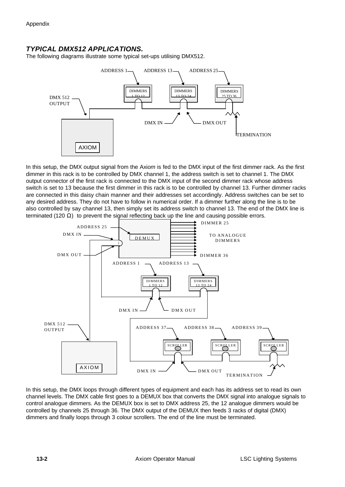### *TYPICAL DMX512 APPLICATIONS.*

The following diagrams illustrate some typical set-ups utilising DMX512.



In this setup, the DMX output signal from the Axi*om* is fed to the DMX input of the first dimmer rack. As the first dimmer in this rack is to be controlled by DMX channel 1, the address switch is set to channel 1. The DMX output connector of the first rack is connected to the DMX input of the second dimmer rack whose address switch is set to 13 because the first dimmer in this rack is to be controlled by channel 13. Further dimmer racks are connected in this daisy chain manner and their addresses set accordingly. Address switches can be set to any desired address. They do not have to follow in numerical order. If a dimmer further along the line is to be also controlled by say channel 13, then simply set its address switch to channel 13. The end of the DMX line is terminated (120 Ω) to prevent the signal reflecting back up the line and causing possible errors.



In this setup, the DMX loops through different types of equipment and each has its address set to read its own channel levels. The DMX cable first goes to a DEMUX box that converts the DMX signal into analogue signals to control analogue dimmers. As the DEMUX box is set to DMX address 25, the 12 analogue dimmers would be controlled by channels 25 through 36. The DMX output of the DEMUX then feeds 3 racks of digital (DMX) dimmers and finally loops through 3 colour scrollers. The end of the line must be terminated.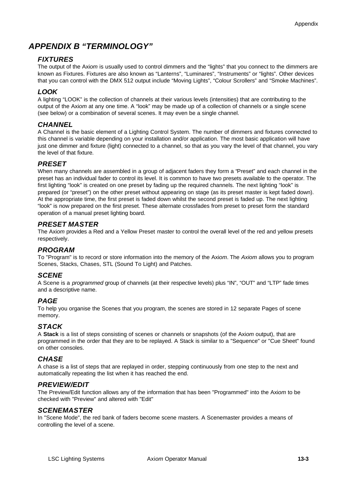# *APPENDIX B "TERMINOLOGY"*

## *FIXTURES*

The output of the Axi*om* is usually used to control dimmers and the "lights" that you connect to the dimmers are known as Fixtures. Fixtures are also known as "Lanterns", "Luminares", "Instruments" or "lights". Other devices that you can control with the DMX 512 output include "Moving Lights", "Colour Scrollers" and "Smoke Machines".

## *LOOK*

A lighting "LOOK" is the collection of channels at their various levels (intensities) that are contributing to the output of the Axi*om* at any one time. A "look" may be made up of a collection of channels or a single scene (see below) or a combination of several scenes. It may even be a single channel.

## *CHANNEL*

A Channel is the basic element of a Lighting Control System. The number of dimmers and fixtures connected to this channel is variable depending on your installation and/or application. The most basic application will have just one dimmer and fixture (light) connected to a channel, so that as you vary the level of that channel, you vary the level of that fixture.

## *PRESET*

When many channels are assembled in a group of adjacent faders they form a "Preset" and each channel in the preset has an individual fader to control its level. It is common to have two presets available to the operator. The first lighting "look" is created on one preset by fading up the required channels. The next lighting "look" is prepared (or "preset") on the other preset without appearing on stage (as its preset master is kept faded down). At the appropriate time, the first preset is faded down whilst the second preset is faded up. The next lighting "look" is now prepared on the first preset. These alternate crossfades from preset to preset form the standard operation of a manual preset lighting board.

## *PRESET MASTER*

The Axi*om* provides a Red and a Yellow Preset master to control the overall level of the red and yellow presets respectively.

## *PROGRAM*

To "Program" is to record or store information into the memory of the Axi*om*. The *Axiom* allows you to program Scenes, Stacks, Chases, STL (Sound To Light) and Patches.

## *SCENE*

A Scene is a *programmed* group of channels (at their respective levels) plus "IN", "OUT" and "LTP" fade times and a descriptive name.

## *PAGE*

To help you organise the Scenes that you program, the scenes are stored in 12 separate Pages of scene memory.

## *STACK*

A **Stack** is a list of steps consisting of scenes or channels or snapshots (of the Axi*om* output), that are programmed in the order that they are to be replayed. A Stack is similar to a "Sequence" or "Cue Sheet" found on other consoles.

## *CHASE*

A chase is a list of steps that are replayed in order, stepping continuously from one step to the next and automatically repeating the list when it has reached the end.

#### *PREVIEW/EDIT*

The Preview/Edit function allows any of the information that has been "Programmed" into the Axi*om* to be checked with "Preview" and altered with "Edit"

#### *SCENEMASTER*

In "Scene Mode", the red bank of faders become scene masters. A Scenemaster provides a means of controlling the level of a scene.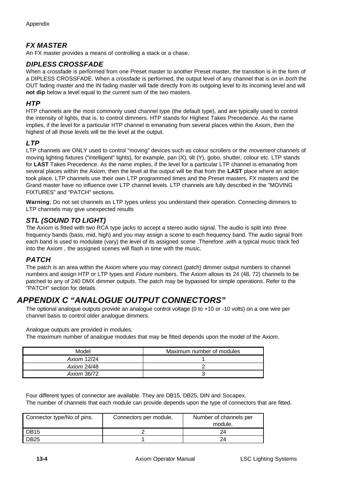## *FX MASTER*

An FX master provides a means of controlling a stack or a chase.

## *DIPLESS CROSSFADE*

When a crossfade is performed from one Preset master to another Preset master, the transition is in the form of a DIPLESS CROSSFADE. When a crossfade is performed, the output level of any channel that is on in *both* the OUT fading master and the IN fading master will fade directly from its outgoing level to its incoming level and will **not dip** below a level equal to the current sum of the two masters.

### *HTP*

HTP channels are the most commonly used channel type (the default type), and are typically used to control the intensity of lights, that is, to control dimmers. HTP stands for Highest Takes Precedence. As the name implies, if the level for a particular HTP channel is emanating from several places within the Axi*om*, then the highest of all those levels will be the level at the output.

## *LTP*

LTP channels are ONLY used to control "moving" devices such as colour scrollers or the *movement channels* of moving lighting fixtures ("intelligent" lights), for example, pan (X), tilt (Y), gobo, shutter, colour etc. LTP stands for **LAST** Takes Precedence. As the name implies, if the level for a particular LTP channel is emanating from several places within the Axi*om*, then the level at the output will be that from the **LAST** place where an action took place. LTP channels use their own LTP programmed times and the Preset masters, FX masters and the Grand master have no influence over LTP channel levels. LTP channels are fully described in the "MOVING FIXTURES" and "PATCH" sections.

**Warning**; Do not set channels as LTP types unless you understand their operation. Connecting dimmers to LTP channels may give unexpected results

#### *STL (SOUND TO LIGHT)*

The Axi*om* is fitted with two RCA type jacks to accept a stereo audio signal. The audio is split into *three* frequency bands (bass, mid, high) and you may assign a scene to each frequency band. The audio signal from each band is used to modulate (vary) the level of its assigned scene .Therefore ,with a typical music track fed into the Axi*om* , the assigned scenes will flash in time with the music.

#### *PATCH*

The patch is an area within the Axi*om* where you may connect (patch) dimmer output numbers to channel numbers and assign HTP or LTP types and *Fixture* numbers. The Axi*om* allows its 24 (48, 72) channels to be patched to any of 240 DMX dimmer outputs. The patch may be bypassed for simple operations. Refer to the "PATCH" section for details.

## *APPENDIX C "ANALOGUE OUTPUT CONNECTORS"*

The optional analogue outputs provide an analogue control voltage (0 to +10 or -10 volts) on a one wire per channel basis to control older analogue dimmers.

Analogue outputs are provided in modules.

The maximum number of analogue modules that may be fitted depends upon the model of the Axi*om*.

| Model              | Maximum number of modules |
|--------------------|---------------------------|
| <b>Axiom 12/24</b> |                           |
| Axiom 24/48        |                           |
| <b>Axiom 36/72</b> |                           |

Four different types of connector are available. They are DB15, DB25, DIN and Socapex. The number of channels that each module can provide depends upon the type of connectors that are fitted.

| Connector type/No of pins. | Connectors per module. | Number of channels per<br>module. |
|----------------------------|------------------------|-----------------------------------|
| DB <sub>15</sub>           |                        |                                   |
| <b>DB25</b>                |                        | 14                                |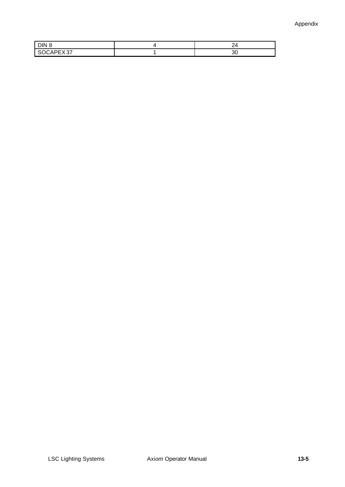| DIN <sub>8</sub> |    |
|------------------|----|
| CAPEX37          | u. |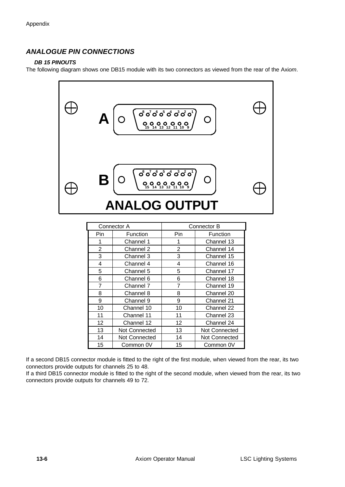## *ANALOGUE PIN CONNECTIONS*

#### *DB 15 PINOUTS*

The following diagram shows one DB15 module with its two connectors as viewed from the rear of the Axi*om*.



If a second DB15 connector module is fitted to the right of the first module, when viewed from the rear, its two connectors provide outputs for channels 25 to 48.

15 Common 0V 15 Common 0V

If a third DB15 connector module is fitted to the right of the second module, when viewed from the rear, its two connectors provide outputs for channels 49 to 72.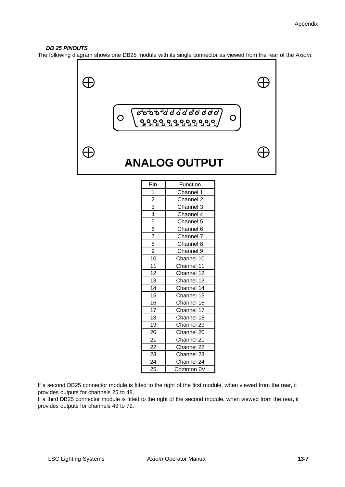#### *DB 25 PINOUTS*

The following diagram shows one DB25 module with its single connector as viewed from the rear of the Axi*om*.



| Pin            | Function   |
|----------------|------------|
| 1              | Channel 1  |
| $\overline{2}$ | Channel 2  |
| $\frac{3}{4}$  | Channel 3  |
|                | Channel 4  |
| 5              | Channel 5  |
| 6              | Channel 6  |
| 7              | Channel 7  |
| 8              | Channel 8  |
| 9              | Channel 9  |
| 10             | Channel 10 |
| 11             | Channel 11 |
| 12             | Channel 12 |
| 13             | Channel 13 |
| 14             | Channel 14 |
| 15             | Channel 15 |
| 16             | Channel 16 |
| 17             | Channel 17 |
| 18             | Channel 18 |
| 19             | Channel 29 |
| $\frac{20}{2}$ | Channel 20 |
| 21             | Channel 21 |
| 22             | Channel 22 |
| 23             | Channel 23 |
| 24             | Channel 24 |
| 25             | Common 0V  |

If a second DB25 connector module is fitted to the right of the first module, when viewed from the rear, it provides outputs for channels 25 to 48.

If a third DB25 connector module is fitted to the right of the second module, when viewed from the rear, it provides outputs for channels 49 to 72.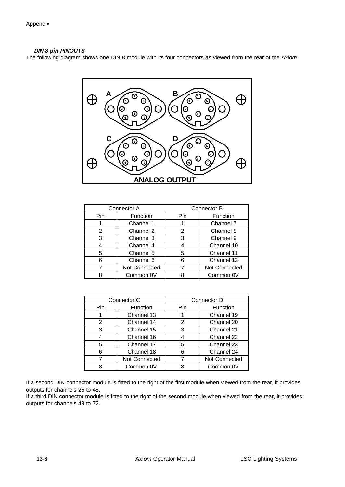#### *DIN 8 pin PINOUTS*

The following diagram shows one DIN 8 module with its four connectors as viewed from the rear of the Axi*om*.



| Connector A |               | Connector B |               |
|-------------|---------------|-------------|---------------|
| Pin         | Function      | Pin         | Function      |
|             | Channel 1     |             | Channel 7     |
| 2           | Channel 2     | 2           | Channel 8     |
| 3           | Channel 3     | 3           | Channel 9     |
|             | Channel 4     |             | Channel 10    |
| 5           | Channel 5     | 5           | Channel 11    |
| 6           | Channel 6     | 6           | Channel 12    |
|             | Not Connected |             | Not Connected |
|             | Common 0V     |             | Common 0V     |

| Connector C |               | Connector D |               |
|-------------|---------------|-------------|---------------|
| Pin         | Function      | Pin         | Function      |
|             | Channel 13    |             | Channel 19    |
| 2           | Channel 14    | 2           | Channel 20    |
| 3           | Channel 15    | 3           | Channel 21    |
|             | Channel 16    |             | Channel 22    |
| 5           | Channel 17    | 5           | Channel 23    |
| ิค          | Channel 18    | 6           | Channel 24    |
|             | Not Connected |             | Not Connected |
|             | Common 0V     |             | Common 0V     |

If a second DIN connector module is fitted to the right of the first module when viewed from the rear, it provides outputs for channels 25 to 48.

If a third DIN connector module is fitted to the right of the second module when viewed from the rear, it provides outputs for channels 49 to 72.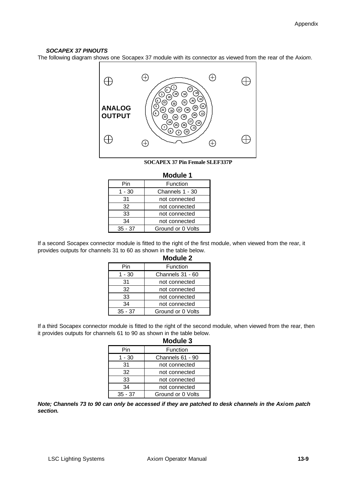#### *SOCAPEX 37 PINOUTS*

The following diagram shows one Socapex 37 module with its connector as viewed from the rear of the Axi*om*.



**SOCAPEX 37 Pin Female SLEF337P**

|           | Module 1          |
|-----------|-------------------|
| Pin       | Function          |
| $1 - 30$  | Channels 1 - 30   |
| 31        | not connected     |
| 32        | not connected     |
| 33        | not connected     |
| 34        | not connected     |
| $35 - 37$ | Ground or 0 Volts |

If a second Socapex connector module is fitted to the right of the first module, when viewed from the rear, it provides outputs for channels 31 to 60 as shown in the table below.

| Module 2  |                         |
|-----------|-------------------------|
| Pin       | Function                |
| $1 - 30$  | <b>Channels 31 - 60</b> |
| 31        | not connected           |
| 32        | not connected           |
| 33        | not connected           |
| 34        | not connected           |
| $35 - 37$ | Ground or 0 Volts       |

If a third Socapex connector module is fitted to the right of the second module, when viewed from the rear, then it provides outputs for channels 61 to 90 as shown in the table below.

|           | Module 3          |
|-----------|-------------------|
| Pin       | Function          |
| $1 - 30$  | Channels 61 - 90  |
| 31        | not connected     |
| 32        | not connected     |
| 33        | not connected     |
| 34        | not connected     |
| $35 - 37$ | Ground or 0 Volts |

*Note; Channels 73 to 90 can only be accessed if they are patched to desk channels in the Axi***om** *patch section.*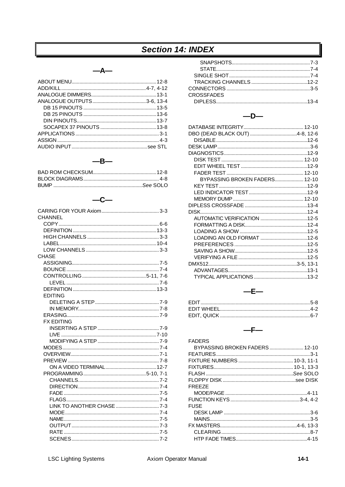# Section 14: INDEX

## $-A-$

#### $-B-$

#### $-c-$

| <b>CHANNEL</b>    |  |
|-------------------|--|
|                   |  |
|                   |  |
|                   |  |
|                   |  |
|                   |  |
| CHASE             |  |
|                   |  |
|                   |  |
|                   |  |
|                   |  |
|                   |  |
| <b>FDITING</b>    |  |
|                   |  |
|                   |  |
|                   |  |
| <b>FX EDITING</b> |  |
|                   |  |
|                   |  |
|                   |  |
|                   |  |
|                   |  |
|                   |  |
|                   |  |
|                   |  |
|                   |  |
|                   |  |
|                   |  |
|                   |  |
|                   |  |
|                   |  |
|                   |  |
|                   |  |
|                   |  |
|                   |  |
|                   |  |

| <b>CROSSFADES</b> |  |
|-------------------|--|
|                   |  |
|                   |  |

#### $-D-$

| BYPASSING BROKEN FADERS 12-10 |  |
|-------------------------------|--|
|                               |  |
|                               |  |
|                               |  |
|                               |  |
|                               |  |
|                               |  |
|                               |  |
|                               |  |
|                               |  |
|                               |  |
|                               |  |
|                               |  |
|                               |  |
|                               |  |
|                               |  |
|                               |  |

#### $-E-$

## $-F-$

| <b>FADERS</b>                  |  |
|--------------------------------|--|
| BYPASSING BROKEN FADERS  12-10 |  |
|                                |  |
|                                |  |
|                                |  |
|                                |  |
|                                |  |
| <b>FRFF7F</b>                  |  |
|                                |  |
|                                |  |
| <b>FUSE</b>                    |  |
|                                |  |
|                                |  |
|                                |  |
|                                |  |
|                                |  |
|                                |  |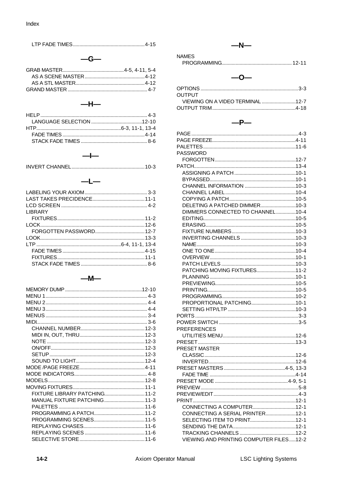|--|

#### $-G-$

#### $-H-$

 $\frac{1}{1}$ 

$$
-\mathsf{L}-
$$

| LIBRARY |  |
|---------|--|
|         |  |
|         |  |
|         |  |
|         |  |
|         |  |
|         |  |
|         |  |
|         |  |
|         |  |

#### $-M-$

| FIXTURE LIBRARY PATCHING 11-2 |  |
|-------------------------------|--|
| MANUAL FIXTURE PATCHING 11-3  |  |
|                               |  |
|                               |  |
|                               |  |
|                               |  |
|                               |  |
|                               |  |
|                               |  |

#### $-N-$

| NAMES |
|-------|
|       |
|       |

#### $-0-$

| <b>OUTPUT</b> |  |
|---------------|--|
|               |  |
|               |  |
|               |  |

#### $-P-$

| <b>PASSWORD</b>                                |  |
|------------------------------------------------|--|
|                                                |  |
|                                                |  |
|                                                |  |
|                                                |  |
|                                                |  |
|                                                |  |
|                                                |  |
| DELETING A PATCHED DIMMER10-3                  |  |
| DIMMERS CONNECTED TO CHANNEL10-4               |  |
|                                                |  |
|                                                |  |
|                                                |  |
|                                                |  |
|                                                |  |
|                                                |  |
|                                                |  |
|                                                |  |
| PATCHING MOVING FIXTURES11-2                   |  |
|                                                |  |
|                                                |  |
|                                                |  |
|                                                |  |
|                                                |  |
| PROPORTIONAL PATCHING10-1                      |  |
|                                                |  |
|                                                |  |
|                                                |  |
| <b>PREFERENCES</b>                             |  |
|                                                |  |
|                                                |  |
| PRESET MASTER                                  |  |
|                                                |  |
|                                                |  |
|                                                |  |
|                                                |  |
|                                                |  |
|                                                |  |
|                                                |  |
|                                                |  |
| CONNECTING A COMPUTER12-1                      |  |
| CONNECTING A SERIAL PRINTER12-1                |  |
|                                                |  |
|                                                |  |
|                                                |  |
| <b>VIEWING AND PRINTING COMPUTER FILES12-2</b> |  |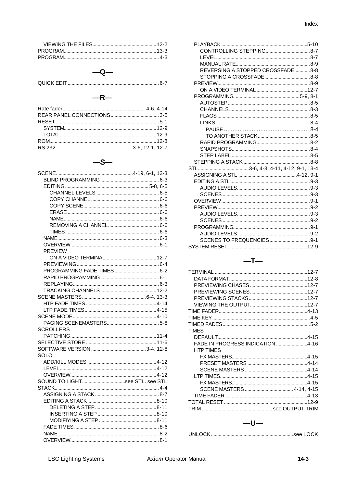#### $-Q-$

 $-R-$ 

#### $-S-$

| <b>PREVIEW</b>                 |  |
|--------------------------------|--|
|                                |  |
|                                |  |
|                                |  |
|                                |  |
|                                |  |
|                                |  |
|                                |  |
|                                |  |
|                                |  |
|                                |  |
|                                |  |
| <b>SCROLLERS</b>               |  |
|                                |  |
|                                |  |
|                                |  |
| SOLO                           |  |
|                                |  |
|                                |  |
|                                |  |
| SOUND TO LIGHTsee STL. see STL |  |
|                                |  |
|                                |  |
|                                |  |
|                                |  |
|                                |  |
|                                |  |
|                                |  |
|                                |  |
|                                |  |

| REVERSING A STOPPED CROSSFADE8-8 |
|----------------------------------|
|                                  |
|                                  |
|                                  |
|                                  |
|                                  |
|                                  |
|                                  |
|                                  |
|                                  |
|                                  |
|                                  |
|                                  |
|                                  |
|                                  |
|                                  |
|                                  |
|                                  |
|                                  |
|                                  |
|                                  |
|                                  |
|                                  |
|                                  |
|                                  |
|                                  |
| SCENES TO FREQUENCIES9-1         |
|                                  |
|                                  |

#### $-T-$

| <b>TIMES</b>                     |  |
|----------------------------------|--|
|                                  |  |
| FADE IN PROGRESS INDICATION 4-16 |  |
| <b>HTP TIMES</b>                 |  |
|                                  |  |
|                                  |  |
|                                  |  |
|                                  |  |
|                                  |  |
|                                  |  |
|                                  |  |
|                                  |  |
| TRIM                             |  |
|                                  |  |

#### $-U-$

|--|--|--|--|